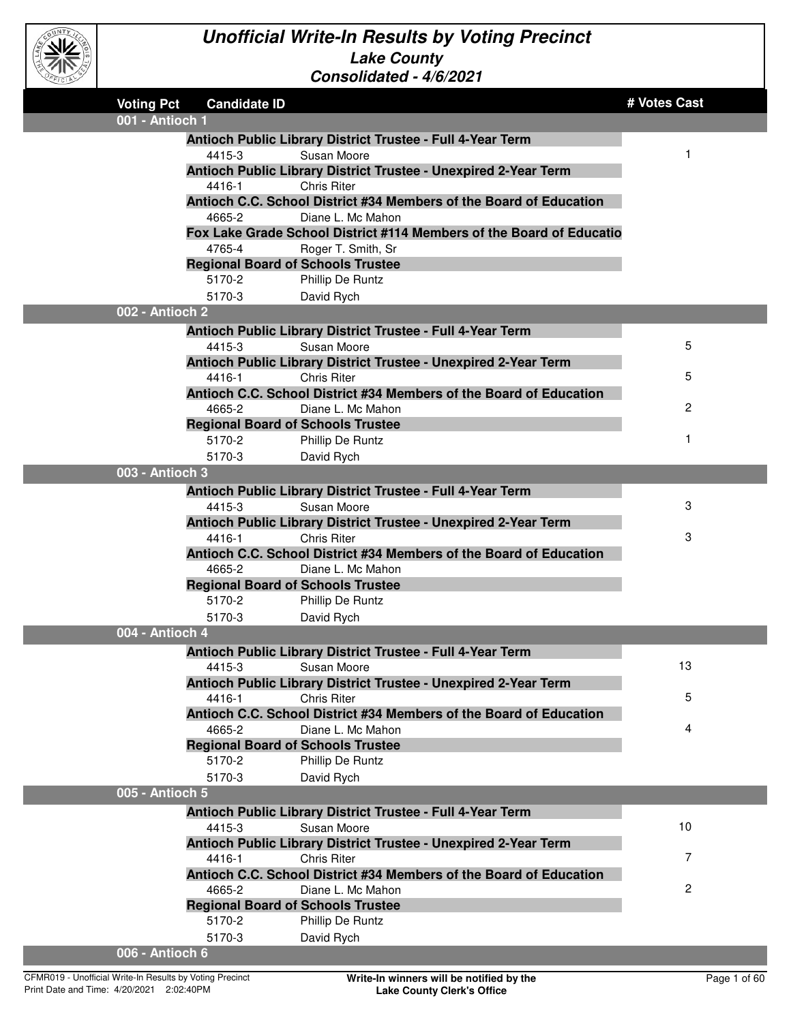

| <b>Voting Pct</b> | <b>Candidate ID</b>                      |                                                                                | # Votes Cast   |
|-------------------|------------------------------------------|--------------------------------------------------------------------------------|----------------|
| 001 - Antioch 1   |                                          |                                                                                |                |
|                   |                                          | Antioch Public Library District Trustee - Full 4-Year Term                     |                |
|                   | 4415-3                                   | Susan Moore                                                                    | 1              |
|                   |                                          | Antioch Public Library District Trustee - Unexpired 2-Year Term                |                |
|                   | 4416-1                                   | <b>Chris Riter</b>                                                             |                |
|                   |                                          | Antioch C.C. School District #34 Members of the Board of Education             |                |
|                   | 4665-2                                   | Diane L. Mc Mahon                                                              |                |
|                   |                                          | Fox Lake Grade School District #114 Members of the Board of Educatio           |                |
|                   | 4765-4                                   | Roger T. Smith, Sr                                                             |                |
|                   | <b>Regional Board of Schools Trustee</b> |                                                                                |                |
|                   | 5170-2                                   | Phillip De Runtz                                                               |                |
|                   | 5170-3                                   | David Rych                                                                     |                |
| 002 - Antioch 2   |                                          |                                                                                |                |
|                   |                                          | Antioch Public Library District Trustee - Full 4-Year Term                     |                |
|                   | 4415-3                                   | Susan Moore                                                                    | 5              |
|                   |                                          | Antioch Public Library District Trustee - Unexpired 2-Year Term                |                |
|                   | 4416-1                                   | Chris Riter                                                                    | 5              |
|                   |                                          | Antioch C.C. School District #34 Members of the Board of Education             |                |
|                   | 4665-2                                   | Diane L. Mc Mahon                                                              | $\overline{c}$ |
|                   | <b>Regional Board of Schools Trustee</b> |                                                                                | 1              |
|                   | 5170-2                                   | Phillip De Runtz                                                               |                |
|                   | 5170-3                                   | David Rych                                                                     |                |
| 003 - Antioch 3   |                                          |                                                                                |                |
|                   |                                          | Antioch Public Library District Trustee - Full 4-Year Term                     |                |
|                   | 4415-3                                   | Susan Moore                                                                    | 3              |
|                   |                                          | Antioch Public Library District Trustee - Unexpired 2-Year Term                |                |
|                   | 4416-1                                   | <b>Chris Riter</b>                                                             | 3              |
|                   | 4665-2                                   | Antioch C.C. School District #34 Members of the Board of Education             |                |
|                   | <b>Regional Board of Schools Trustee</b> | Diane L. Mc Mahon                                                              |                |
|                   | 5170-2                                   |                                                                                |                |
|                   | 5170-3                                   | Phillip De Runtz<br>David Rych                                                 |                |
| 004 - Antioch 4   |                                          |                                                                                |                |
|                   |                                          |                                                                                |                |
|                   |                                          | Antioch Public Library District Trustee - Full 4-Year Term                     | 13             |
|                   | 4415-3                                   | Susan Moore<br>Antioch Public Library District Trustee - Unexpired 2-Year Term |                |
|                   | 4416-1                                   | <b>Chris Riter</b>                                                             | 5              |
|                   |                                          | Antioch C.C. School District #34 Members of the Board of Education             |                |
|                   | 4665-2                                   | Diane L. Mc Mahon                                                              | 4              |
|                   |                                          | <b>Regional Board of Schools Trustee</b>                                       |                |
|                   | 5170-2                                   | Phillip De Runtz                                                               |                |
|                   | 5170-3                                   | David Rych                                                                     |                |
| 005 - Antioch 5   |                                          |                                                                                |                |
|                   |                                          | Antioch Public Library District Trustee - Full 4-Year Term                     |                |
|                   | 4415-3                                   | Susan Moore                                                                    | 10             |
|                   |                                          | Antioch Public Library District Trustee - Unexpired 2-Year Term                |                |
|                   | 4416-1                                   | Chris Riter                                                                    | 7              |
|                   |                                          | Antioch C.C. School District #34 Members of the Board of Education             |                |
|                   | 4665-2                                   | Diane L. Mc Mahon                                                              | $\overline{c}$ |
|                   | <b>Regional Board of Schools Trustee</b> |                                                                                |                |
|                   | 5170-2                                   | Phillip De Runtz                                                               |                |
|                   | 5170-3                                   | David Rych                                                                     |                |
| 006 - Antioch 6   |                                          |                                                                                |                |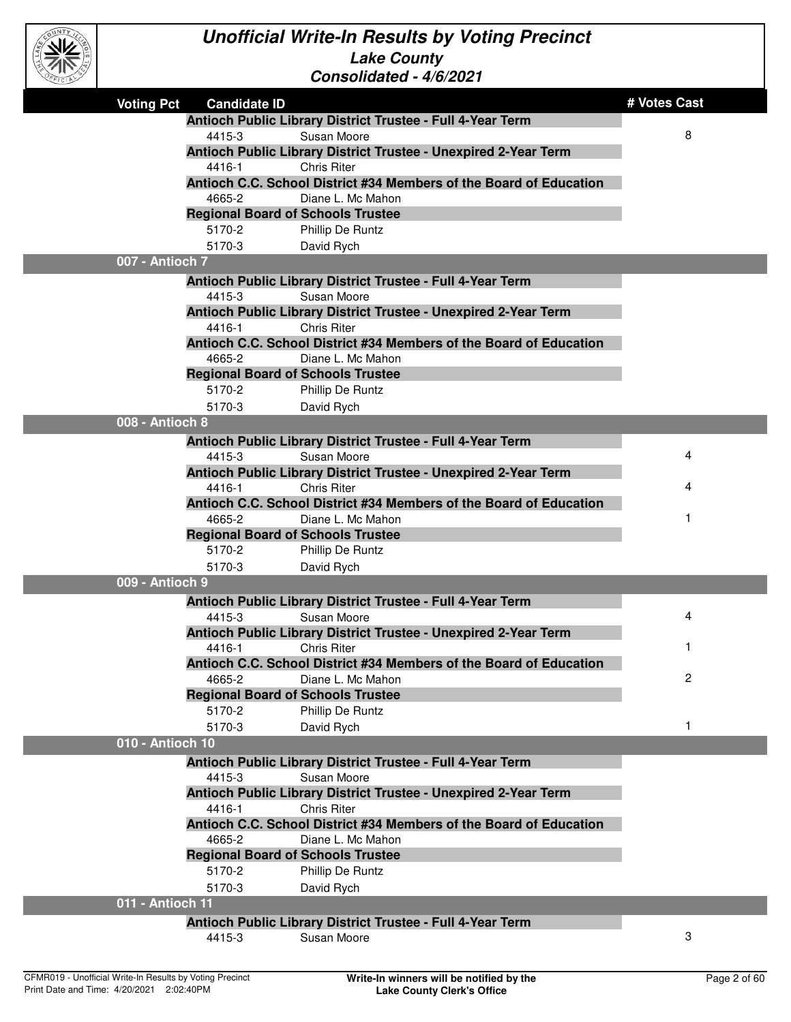

| EFICIAL |                   |                     | Consolidated - 4/6/2021                                            |                |
|---------|-------------------|---------------------|--------------------------------------------------------------------|----------------|
|         | <b>Voting Pct</b> | <b>Candidate ID</b> |                                                                    | # Votes Cast   |
|         |                   |                     | Antioch Public Library District Trustee - Full 4-Year Term         |                |
|         |                   | 4415-3              | Susan Moore                                                        | 8              |
|         |                   |                     | Antioch Public Library District Trustee - Unexpired 2-Year Term    |                |
|         |                   | 4416-1              | <b>Chris Riter</b>                                                 |                |
|         |                   |                     | Antioch C.C. School District #34 Members of the Board of Education |                |
|         |                   | 4665-2              | Diane L. Mc Mahon                                                  |                |
|         |                   |                     | <b>Regional Board of Schools Trustee</b>                           |                |
|         |                   | 5170-2              | Phillip De Runtz                                                   |                |
|         |                   | 5170-3              | David Rych                                                         |                |
|         | 007 - Antioch 7   |                     |                                                                    |                |
|         |                   |                     | Antioch Public Library District Trustee - Full 4-Year Term         |                |
|         |                   | 4415-3              | Susan Moore                                                        |                |
|         |                   |                     | Antioch Public Library District Trustee - Unexpired 2-Year Term    |                |
|         |                   | 4416-1              | <b>Chris Riter</b>                                                 |                |
|         |                   |                     | Antioch C.C. School District #34 Members of the Board of Education |                |
|         |                   | 4665-2              | Diane L. Mc Mahon                                                  |                |
|         |                   |                     | <b>Regional Board of Schools Trustee</b>                           |                |
|         |                   | 5170-2              | Phillip De Runtz                                                   |                |
|         |                   | 5170-3              | David Rych                                                         |                |
|         | 008 - Antioch 8   |                     |                                                                    |                |
|         |                   |                     | Antioch Public Library District Trustee - Full 4-Year Term         |                |
|         |                   | 4415-3              | Susan Moore                                                        | 4              |
|         |                   |                     | Antioch Public Library District Trustee - Unexpired 2-Year Term    |                |
|         |                   | 4416-1              | <b>Chris Riter</b>                                                 | 4              |
|         |                   |                     | Antioch C.C. School District #34 Members of the Board of Education |                |
|         |                   | 4665-2              | Diane L. Mc Mahon                                                  |                |
|         |                   |                     | <b>Regional Board of Schools Trustee</b>                           |                |
|         |                   | 5170-2              | Phillip De Runtz                                                   |                |
|         |                   | 5170-3              | David Rych                                                         |                |
|         | 009 - Antioch 9   |                     |                                                                    |                |
|         |                   |                     | Antioch Public Library District Trustee - Full 4-Year Term         |                |
|         |                   | 4415-3              | Susan Moore                                                        | 4              |
|         |                   |                     | Antioch Public Library District Trustee - Unexpired 2-Year Term    |                |
|         |                   | 4416-1              | <b>Chris Riter</b>                                                 | 1              |
|         |                   |                     | Antioch C.C. School District #34 Members of the Board of Education |                |
|         |                   | 4665-2              | Diane L. Mc Mahon                                                  | $\overline{c}$ |
|         |                   |                     | <b>Regional Board of Schools Trustee</b>                           |                |
|         |                   | 5170-2              | Phillip De Runtz                                                   |                |
|         |                   | 5170-3              | David Rych                                                         | $\mathbf{1}$   |
|         | 010 - Antioch 10  |                     |                                                                    |                |
|         |                   |                     | Antioch Public Library District Trustee - Full 4-Year Term         |                |
|         |                   | 4415-3              | Susan Moore                                                        |                |
|         |                   |                     | Antioch Public Library District Trustee - Unexpired 2-Year Term    |                |
|         |                   | 4416-1              | <b>Chris Riter</b>                                                 |                |
|         |                   |                     | Antioch C.C. School District #34 Members of the Board of Education |                |
|         |                   | 4665-2              | Diane L. Mc Mahon                                                  |                |
|         |                   |                     | <b>Regional Board of Schools Trustee</b>                           |                |
|         |                   | 5170-2              | Phillip De Runtz                                                   |                |
|         |                   | 5170-3              | David Rych                                                         |                |
|         | 011 - Antioch 11  |                     |                                                                    |                |
|         |                   |                     | Antioch Public Library District Trustee - Full 4-Year Term         |                |
|         |                   | 4415-3              | Susan Moore                                                        | 3              |
|         |                   |                     |                                                                    |                |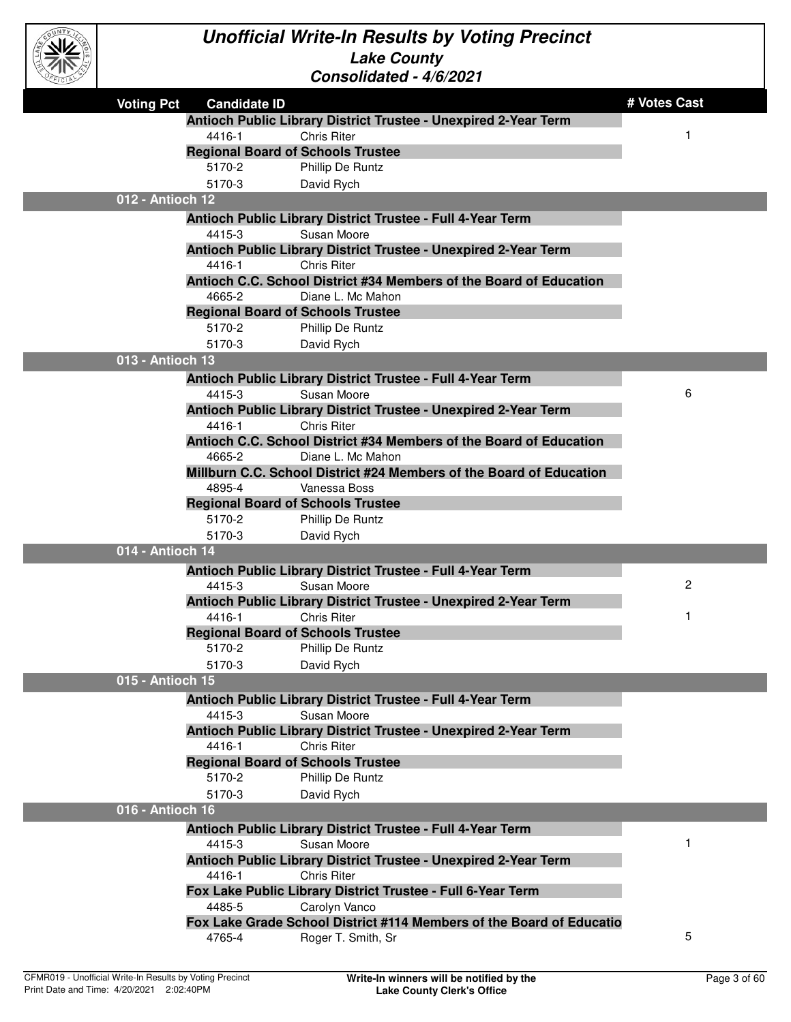

L.

| PEICIAL |                   |                     | Consolidated - 4/6/2021                                     |                                                                      |              |
|---------|-------------------|---------------------|-------------------------------------------------------------|----------------------------------------------------------------------|--------------|
|         | <b>Voting Pct</b> | <b>Candidate ID</b> |                                                             |                                                                      | # Votes Cast |
|         |                   |                     |                                                             | Antioch Public Library District Trustee - Unexpired 2-Year Term      |              |
|         |                   | 4416-1              | <b>Chris Riter</b>                                          |                                                                      | $\mathbf 1$  |
|         |                   |                     | <b>Regional Board of Schools Trustee</b>                    |                                                                      |              |
|         |                   | 5170-2              | Phillip De Runtz                                            |                                                                      |              |
|         |                   | 5170-3              | David Rych                                                  |                                                                      |              |
|         | 012 - Antioch 12  |                     |                                                             |                                                                      |              |
|         |                   |                     | Antioch Public Library District Trustee - Full 4-Year Term  |                                                                      |              |
|         |                   | 4415-3              | Susan Moore                                                 |                                                                      |              |
|         |                   |                     |                                                             | Antioch Public Library District Trustee - Unexpired 2-Year Term      |              |
|         |                   | 4416-1              | <b>Chris Riter</b>                                          |                                                                      |              |
|         |                   |                     |                                                             | Antioch C.C. School District #34 Members of the Board of Education   |              |
|         |                   | 4665-2              | Diane L. Mc Mahon                                           |                                                                      |              |
|         |                   | 5170-2              | <b>Regional Board of Schools Trustee</b>                    |                                                                      |              |
|         |                   | 5170-3              | Phillip De Runtz                                            |                                                                      |              |
|         | 013 - Antioch 13  |                     | David Rych                                                  |                                                                      |              |
|         |                   |                     |                                                             |                                                                      |              |
|         |                   | 4415-3              | Antioch Public Library District Trustee - Full 4-Year Term  |                                                                      | 6            |
|         |                   |                     | Susan Moore                                                 | Antioch Public Library District Trustee - Unexpired 2-Year Term      |              |
|         |                   | 4416-1              | <b>Chris Riter</b>                                          |                                                                      |              |
|         |                   |                     |                                                             | Antioch C.C. School District #34 Members of the Board of Education   |              |
|         |                   | 4665-2              | Diane L. Mc Mahon                                           |                                                                      |              |
|         |                   |                     |                                                             | Millburn C.C. School District #24 Members of the Board of Education  |              |
|         |                   | 4895-4              | Vanessa Boss                                                |                                                                      |              |
|         |                   |                     | <b>Regional Board of Schools Trustee</b>                    |                                                                      |              |
|         |                   | 5170-2              | Phillip De Runtz                                            |                                                                      |              |
|         |                   | 5170-3              | David Rych                                                  |                                                                      |              |
|         | 014 - Antioch 14  |                     |                                                             |                                                                      |              |
|         |                   |                     | Antioch Public Library District Trustee - Full 4-Year Term  |                                                                      |              |
|         |                   | 4415-3              | Susan Moore                                                 |                                                                      | 2            |
|         |                   |                     |                                                             | Antioch Public Library District Trustee - Unexpired 2-Year Term      |              |
|         |                   | 4416-1              | <b>Chris Riter</b>                                          |                                                                      | $\mathbf{1}$ |
|         |                   |                     | <b>Regional Board of Schools Trustee</b>                    |                                                                      |              |
|         |                   | 5170-2              | Phillip De Runtz                                            |                                                                      |              |
|         |                   | 5170-3              | David Rych                                                  |                                                                      |              |
|         | 015 - Antioch 15  |                     |                                                             |                                                                      |              |
|         |                   |                     | Antioch Public Library District Trustee - Full 4-Year Term  |                                                                      |              |
|         |                   | 4415-3              | Susan Moore                                                 |                                                                      |              |
|         |                   |                     |                                                             | Antioch Public Library District Trustee - Unexpired 2-Year Term      |              |
|         |                   | 4416-1              | <b>Chris Riter</b>                                          |                                                                      |              |
|         |                   | 5170-2              | <b>Regional Board of Schools Trustee</b>                    |                                                                      |              |
|         |                   | 5170-3              | Phillip De Runtz                                            |                                                                      |              |
|         | 016 - Antioch 16  |                     | David Rych                                                  |                                                                      |              |
|         |                   |                     |                                                             |                                                                      |              |
|         |                   |                     | Antioch Public Library District Trustee - Full 4-Year Term  |                                                                      | 1            |
|         |                   | 4415-3              | Susan Moore                                                 |                                                                      |              |
|         |                   | 4416-1              | <b>Chris Riter</b>                                          | Antioch Public Library District Trustee - Unexpired 2-Year Term      |              |
|         |                   |                     | Fox Lake Public Library District Trustee - Full 6-Year Term |                                                                      |              |
|         |                   | 4485-5              | Carolyn Vanco                                               |                                                                      |              |
|         |                   |                     |                                                             | Fox Lake Grade School District #114 Members of the Board of Educatio |              |
|         |                   | 4765-4              | Roger T. Smith, Sr                                          |                                                                      | 5            |
|         |                   |                     |                                                             |                                                                      |              |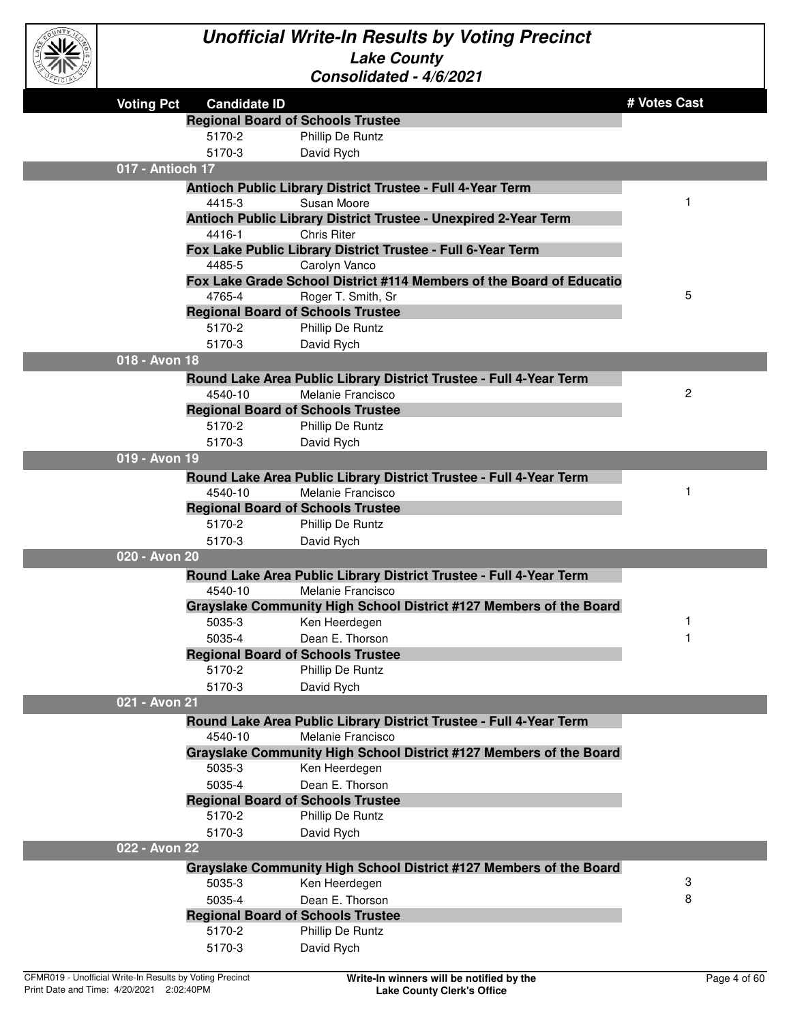

| <b>Voting Pct</b> | <b>Candidate ID</b>                      |                                                                      | # Votes Cast |
|-------------------|------------------------------------------|----------------------------------------------------------------------|--------------|
|                   | <b>Regional Board of Schools Trustee</b> |                                                                      |              |
|                   | 5170-2                                   | Phillip De Runtz                                                     |              |
|                   | 5170-3                                   | David Rych                                                           |              |
| 017 - Antioch 17  |                                          |                                                                      |              |
|                   |                                          | Antioch Public Library District Trustee - Full 4-Year Term           |              |
|                   | 4415-3                                   | Susan Moore                                                          |              |
|                   |                                          | Antioch Public Library District Trustee - Unexpired 2-Year Term      |              |
|                   | 4416-1                                   | <b>Chris Riter</b>                                                   |              |
|                   |                                          | Fox Lake Public Library District Trustee - Full 6-Year Term          |              |
|                   | 4485-5                                   | Carolyn Vanco                                                        |              |
|                   |                                          | Fox Lake Grade School District #114 Members of the Board of Educatio |              |
|                   | 4765-4                                   | Roger T. Smith, Sr                                                   | 5            |
|                   | <b>Regional Board of Schools Trustee</b> |                                                                      |              |
|                   | 5170-2                                   | Phillip De Runtz                                                     |              |
|                   | 5170-3                                   | David Rych                                                           |              |
| 018 - Avon 18     |                                          |                                                                      |              |
|                   |                                          |                                                                      |              |
|                   | 4540-10                                  | Round Lake Area Public Library District Trustee - Full 4-Year Term   | 2            |
|                   |                                          | Melanie Francisco                                                    |              |
|                   | <b>Regional Board of Schools Trustee</b> |                                                                      |              |
|                   | 5170-2                                   | Phillip De Runtz                                                     |              |
|                   | 5170-3                                   | David Rych                                                           |              |
| 019 - Avon 19     |                                          |                                                                      |              |
|                   |                                          | Round Lake Area Public Library District Trustee - Full 4-Year Term   |              |
|                   | 4540-10                                  | Melanie Francisco                                                    |              |
|                   | <b>Regional Board of Schools Trustee</b> |                                                                      |              |
|                   | 5170-2                                   | Phillip De Runtz                                                     |              |
|                   | 5170-3                                   | David Rych                                                           |              |
| 020 - Avon 20     |                                          |                                                                      |              |
|                   |                                          | Round Lake Area Public Library District Trustee - Full 4-Year Term   |              |
|                   | 4540-10                                  | Melanie Francisco                                                    |              |
|                   |                                          | Grayslake Community High School District #127 Members of the Board   |              |
|                   | 5035-3                                   | Ken Heerdegen                                                        |              |
|                   | 5035-4                                   | Dean E. Thorson                                                      |              |
|                   | <b>Regional Board of Schools Trustee</b> |                                                                      |              |
|                   | 5170-2                                   | Phillip De Runtz                                                     |              |
|                   | 5170-3                                   | David Rych                                                           |              |
| 021 - Avon 21     |                                          |                                                                      |              |
|                   |                                          | Round Lake Area Public Library District Trustee - Full 4-Year Term   |              |
|                   | 4540-10                                  | Melanie Francisco                                                    |              |
|                   |                                          | Grayslake Community High School District #127 Members of the Board   |              |
|                   | 5035-3                                   | Ken Heerdegen                                                        |              |
|                   | 5035-4                                   | Dean E. Thorson                                                      |              |
|                   | <b>Regional Board of Schools Trustee</b> |                                                                      |              |
|                   | 5170-2                                   | Phillip De Runtz                                                     |              |
|                   | 5170-3                                   |                                                                      |              |
| 022 - Avon 22     |                                          | David Rych                                                           |              |
|                   |                                          |                                                                      |              |
|                   |                                          | Grayslake Community High School District #127 Members of the Board   |              |
|                   | 5035-3                                   | Ken Heerdegen                                                        | 3            |
|                   | 5035-4                                   | Dean E. Thorson                                                      | 8            |
|                   | <b>Regional Board of Schools Trustee</b> |                                                                      |              |
|                   | 5170-2                                   | Phillip De Runtz                                                     |              |
|                   | 5170-3                                   | David Rych                                                           |              |
|                   |                                          |                                                                      |              |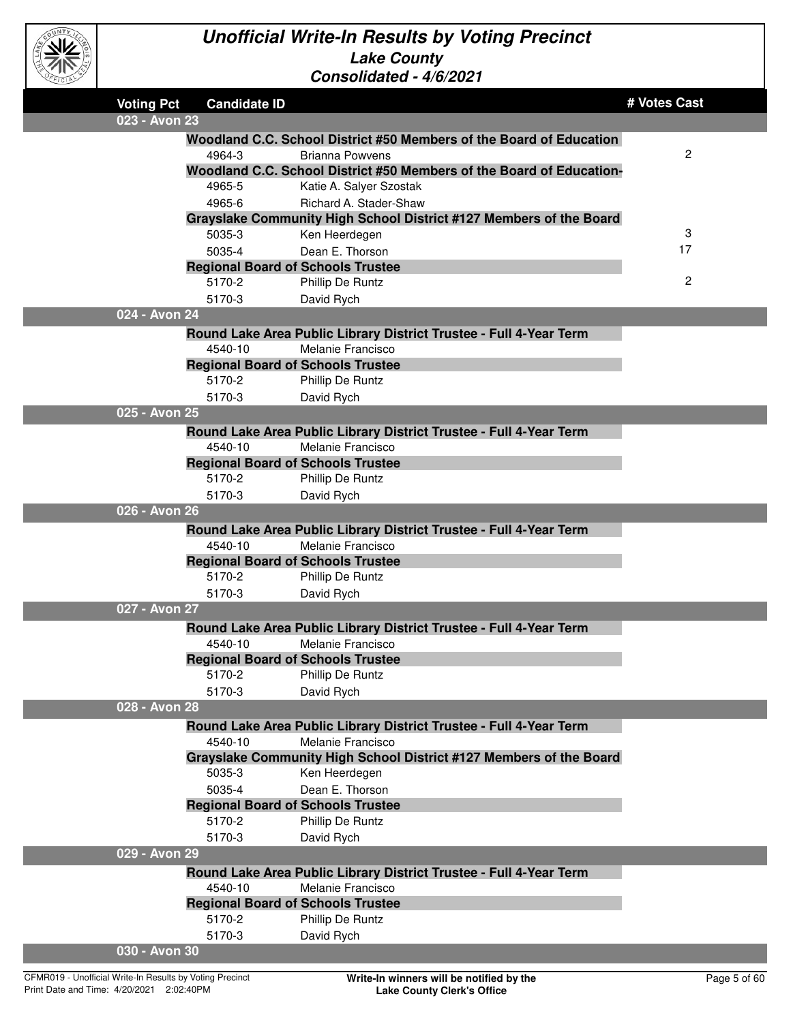

| EFICIAL |                   |                     | CONSONQUEQ - 4/0/2021                                                |              |
|---------|-------------------|---------------------|----------------------------------------------------------------------|--------------|
|         | <b>Voting Pct</b> | <b>Candidate ID</b> |                                                                      | # Votes Cast |
|         | 023 - Avon 23     |                     |                                                                      |              |
|         |                   |                     | Woodland C.C. School District #50 Members of the Board of Education  |              |
|         |                   | 4964-3              | <b>Brianna Powvens</b>                                               | 2            |
|         |                   |                     | Woodland C.C. School District #50 Members of the Board of Education- |              |
|         |                   | 4965-5              | Katie A. Salyer Szostak                                              |              |
|         |                   | 4965-6              | Richard A. Stader-Shaw                                               |              |
|         |                   |                     | Grayslake Community High School District #127 Members of the Board   |              |
|         |                   | 5035-3              | Ken Heerdegen                                                        | 3            |
|         |                   | 5035-4              | Dean E. Thorson                                                      | 17           |
|         |                   |                     | <b>Regional Board of Schools Trustee</b>                             |              |
|         |                   | 5170-2              | Phillip De Runtz                                                     | 2            |
|         |                   | 5170-3              | David Rych                                                           |              |
|         | 024 - Avon 24     |                     |                                                                      |              |
|         |                   |                     | Round Lake Area Public Library District Trustee - Full 4-Year Term   |              |
|         |                   | 4540-10             | Melanie Francisco                                                    |              |
|         |                   |                     | <b>Regional Board of Schools Trustee</b>                             |              |
|         |                   | 5170-2              | Phillip De Runtz                                                     |              |
|         |                   | 5170-3              | David Rych                                                           |              |
|         | 025 - Avon 25     |                     |                                                                      |              |
|         |                   |                     | Round Lake Area Public Library District Trustee - Full 4-Year Term   |              |
|         |                   | 4540-10             | Melanie Francisco                                                    |              |
|         |                   |                     | <b>Regional Board of Schools Trustee</b>                             |              |
|         |                   | 5170-2              | Phillip De Runtz                                                     |              |
|         |                   | 5170-3              | David Rych                                                           |              |
|         | 026 - Avon 26     |                     |                                                                      |              |
|         |                   |                     | Round Lake Area Public Library District Trustee - Full 4-Year Term   |              |
|         |                   | 4540-10             | Melanie Francisco                                                    |              |
|         |                   |                     | <b>Regional Board of Schools Trustee</b>                             |              |
|         |                   | 5170-2              | Phillip De Runtz                                                     |              |
|         |                   | 5170-3              | David Rych                                                           |              |
|         | 027 - Avon 27     |                     |                                                                      |              |
|         |                   |                     | Round Lake Area Public Library District Trustee - Full 4-Year Term   |              |
|         |                   | 4540-10             | Melanie Francisco                                                    |              |
|         |                   |                     | <b>Regional Board of Schools Trustee</b>                             |              |
|         |                   | 5170-2              | Phillip De Runtz                                                     |              |
|         |                   | 5170-3              | David Rych                                                           |              |
|         | 028 - Avon 28     |                     |                                                                      |              |
|         |                   |                     | Round Lake Area Public Library District Trustee - Full 4-Year Term   |              |
|         |                   | 4540-10             | Melanie Francisco                                                    |              |
|         |                   |                     | Grayslake Community High School District #127 Members of the Board   |              |
|         |                   | 5035-3              | Ken Heerdegen                                                        |              |
|         |                   | 5035-4              | Dean E. Thorson                                                      |              |
|         |                   |                     | <b>Regional Board of Schools Trustee</b>                             |              |
|         |                   | 5170-2              | Phillip De Runtz                                                     |              |
|         |                   | 5170-3              | David Rych                                                           |              |
|         | 029 - Avon 29     |                     |                                                                      |              |
|         |                   |                     | Round Lake Area Public Library District Trustee - Full 4-Year Term   |              |
|         |                   | 4540-10             | Melanie Francisco                                                    |              |
|         |                   |                     | <b>Regional Board of Schools Trustee</b>                             |              |
|         |                   | 5170-2              | Phillip De Runtz                                                     |              |
|         |                   | 5170-3              | David Rych                                                           |              |
|         | 030 - Avon 30     |                     |                                                                      |              |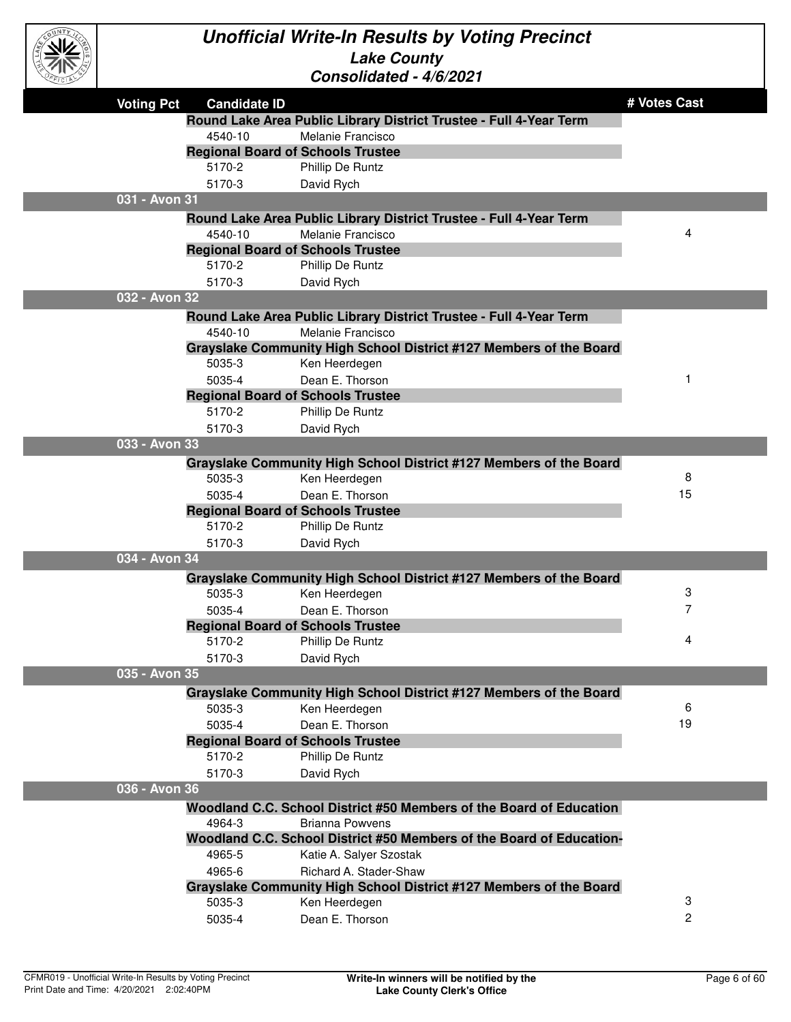

| и.<br>OFFICIAL |                   |                     | Consolidated - 4/6/2021                                              |              |
|----------------|-------------------|---------------------|----------------------------------------------------------------------|--------------|
|                | <b>Voting Pct</b> | <b>Candidate ID</b> |                                                                      | # Votes Cast |
|                |                   |                     | Round Lake Area Public Library District Trustee - Full 4-Year Term   |              |
|                |                   | 4540-10             | Melanie Francisco                                                    |              |
|                |                   |                     | <b>Regional Board of Schools Trustee</b>                             |              |
|                |                   | 5170-2              | Phillip De Runtz                                                     |              |
|                |                   | 5170-3              | David Rych                                                           |              |
|                | 031 - Avon 31     |                     |                                                                      |              |
|                |                   |                     | Round Lake Area Public Library District Trustee - Full 4-Year Term   |              |
|                |                   | 4540-10             | Melanie Francisco                                                    | 4            |
|                |                   |                     | <b>Regional Board of Schools Trustee</b>                             |              |
|                |                   | 5170-2              | Phillip De Runtz                                                     |              |
|                |                   | 5170-3              | David Rych                                                           |              |
|                | 032 - Avon 32     |                     |                                                                      |              |
|                |                   |                     | Round Lake Area Public Library District Trustee - Full 4-Year Term   |              |
|                |                   | 4540-10             | Melanie Francisco                                                    |              |
|                |                   |                     | Grayslake Community High School District #127 Members of the Board   |              |
|                |                   | 5035-3              | Ken Heerdegen                                                        |              |
|                |                   | 5035-4              | Dean E. Thorson                                                      | 1            |
|                |                   |                     | <b>Regional Board of Schools Trustee</b>                             |              |
|                |                   | 5170-2              | Phillip De Runtz                                                     |              |
|                |                   | 5170-3              | David Rych                                                           |              |
|                | 033 - Avon 33     |                     |                                                                      |              |
|                |                   |                     | Grayslake Community High School District #127 Members of the Board   |              |
|                |                   | 5035-3              | Ken Heerdegen                                                        | 8            |
|                |                   | 5035-4              | Dean E. Thorson                                                      | 15           |
|                |                   |                     | <b>Regional Board of Schools Trustee</b>                             |              |
|                |                   | 5170-2              | Phillip De Runtz                                                     |              |
|                |                   | 5170-3              | David Rych                                                           |              |
|                | 034 - Avon 34     |                     |                                                                      |              |
|                |                   |                     | Grayslake Community High School District #127 Members of the Board   |              |
|                |                   | 5035-3              | Ken Heerdegen                                                        | 3            |
|                |                   | 5035-4              | Dean E. Thorson                                                      | 7            |
|                |                   |                     | <b>Regional Board of Schools Trustee</b>                             |              |
|                |                   | 5170-2              | Phillip De Runtz                                                     | 4            |
|                |                   | 5170-3              | David Rych                                                           |              |
|                | 035 - Avon 35     |                     |                                                                      |              |
|                |                   |                     | Grayslake Community High School District #127 Members of the Board   |              |
|                |                   | 5035-3              | Ken Heerdegen                                                        | 6            |
|                |                   | 5035-4              | Dean E. Thorson                                                      | 19           |
|                |                   |                     | <b>Regional Board of Schools Trustee</b>                             |              |
|                |                   | 5170-2              | Phillip De Runtz                                                     |              |
|                |                   | 5170-3              | David Rych                                                           |              |
|                | 036 - Avon 36     |                     |                                                                      |              |
|                |                   |                     | Woodland C.C. School District #50 Members of the Board of Education  |              |
|                |                   | 4964-3              | Brianna Powvens                                                      |              |
|                |                   |                     | Woodland C.C. School District #50 Members of the Board of Education- |              |
|                |                   | 4965-5              | Katie A. Salyer Szostak                                              |              |
|                |                   | 4965-6              | Richard A. Stader-Shaw                                               |              |
|                |                   |                     | Grayslake Community High School District #127 Members of the Board   |              |
|                |                   | 5035-3              | Ken Heerdegen                                                        | 3            |
|                |                   | 5035-4              | Dean E. Thorson                                                      | 2            |
|                |                   |                     |                                                                      |              |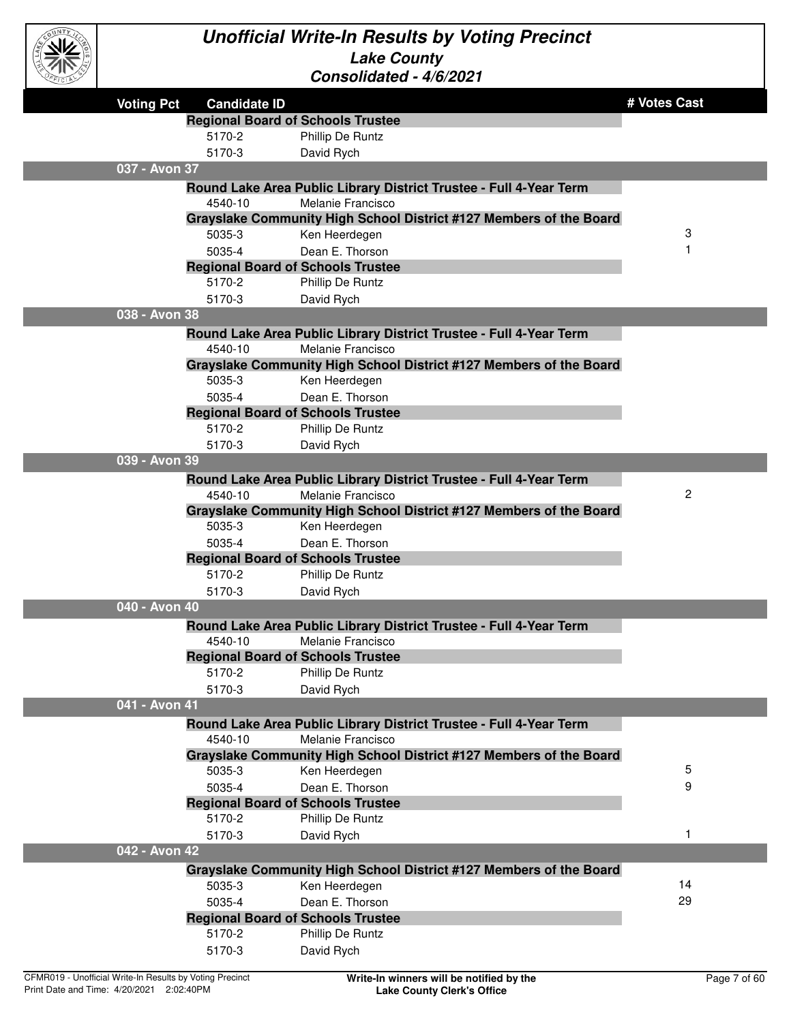

| <i>CEICIA</i> |                   |                                                    | UUIISUIIUAIGU - 4/0/404 I                                          |              |
|---------------|-------------------|----------------------------------------------------|--------------------------------------------------------------------|--------------|
|               | <b>Voting Pct</b> | <b>Candidate ID</b>                                |                                                                    | # Votes Cast |
|               |                   | <b>Regional Board of Schools Trustee</b>           |                                                                    |              |
|               |                   | 5170-2                                             | Phillip De Runtz                                                   |              |
|               |                   | 5170-3                                             | David Rych                                                         |              |
|               | 037 - Avon 37     |                                                    |                                                                    |              |
|               |                   |                                                    | Round Lake Area Public Library District Trustee - Full 4-Year Term |              |
|               |                   | 4540-10                                            | Melanie Francisco                                                  |              |
|               |                   |                                                    | Grayslake Community High School District #127 Members of the Board |              |
|               |                   | 5035-3                                             | Ken Heerdegen                                                      | 3            |
|               |                   | 5035-4                                             | Dean E. Thorson                                                    | 1            |
|               |                   | <b>Regional Board of Schools Trustee</b>           |                                                                    |              |
|               |                   | 5170-2                                             | Phillip De Runtz                                                   |              |
|               |                   | 5170-3                                             | David Rych                                                         |              |
|               | 038 - Avon 38     |                                                    |                                                                    |              |
|               |                   |                                                    | Round Lake Area Public Library District Trustee - Full 4-Year Term |              |
|               |                   | 4540-10                                            | Melanie Francisco                                                  |              |
|               |                   |                                                    | Grayslake Community High School District #127 Members of the Board |              |
|               |                   | 5035-3                                             | Ken Heerdegen                                                      |              |
|               |                   | 5035-4<br><b>Regional Board of Schools Trustee</b> | Dean E. Thorson                                                    |              |
|               |                   | 5170-2                                             | Phillip De Runtz                                                   |              |
|               |                   | 5170-3                                             | David Rych                                                         |              |
|               | 039 - Avon 39     |                                                    |                                                                    |              |
|               |                   |                                                    | Round Lake Area Public Library District Trustee - Full 4-Year Term |              |
|               |                   | 4540-10                                            | Melanie Francisco                                                  | $\mathbf{2}$ |
|               |                   |                                                    | Grayslake Community High School District #127 Members of the Board |              |
|               |                   | 5035-3                                             | Ken Heerdegen                                                      |              |
|               |                   | 5035-4                                             | Dean E. Thorson                                                    |              |
|               |                   | <b>Regional Board of Schools Trustee</b>           |                                                                    |              |
|               |                   | 5170-2                                             | Phillip De Runtz                                                   |              |
|               |                   | 5170-3                                             | David Rych                                                         |              |
|               | 040 - Avon 40     |                                                    |                                                                    |              |
|               |                   |                                                    | Round Lake Area Public Library District Trustee - Full 4-Year Term |              |
|               |                   | 4540-10                                            | Melanie Francisco                                                  |              |
|               |                   | <b>Regional Board of Schools Trustee</b>           |                                                                    |              |
|               |                   | 5170-2                                             | Phillip De Runtz                                                   |              |
|               |                   | 5170-3                                             | David Rych                                                         |              |
|               | 041 - Avon 41     |                                                    |                                                                    |              |
|               |                   |                                                    | Round Lake Area Public Library District Trustee - Full 4-Year Term |              |
|               |                   | 4540-10                                            | Melanie Francisco                                                  |              |
|               |                   |                                                    | Grayslake Community High School District #127 Members of the Board |              |
|               |                   | 5035-3                                             | Ken Heerdegen                                                      | 5<br>9       |
|               |                   | 5035-4<br><b>Regional Board of Schools Trustee</b> | Dean E. Thorson                                                    |              |
|               |                   | 5170-2                                             | Phillip De Runtz                                                   |              |
|               |                   | 5170-3                                             | David Rych                                                         | 1            |
|               | 042 - Avon 42     |                                                    |                                                                    |              |
|               |                   |                                                    | Grayslake Community High School District #127 Members of the Board |              |
|               |                   | 5035-3                                             | Ken Heerdegen                                                      | 14           |
|               |                   | 5035-4                                             | Dean E. Thorson                                                    | 29           |
|               |                   | <b>Regional Board of Schools Trustee</b>           |                                                                    |              |
|               |                   | 5170-2                                             | Phillip De Runtz                                                   |              |
|               |                   | 5170-3                                             | David Rych                                                         |              |
|               |                   |                                                    |                                                                    |              |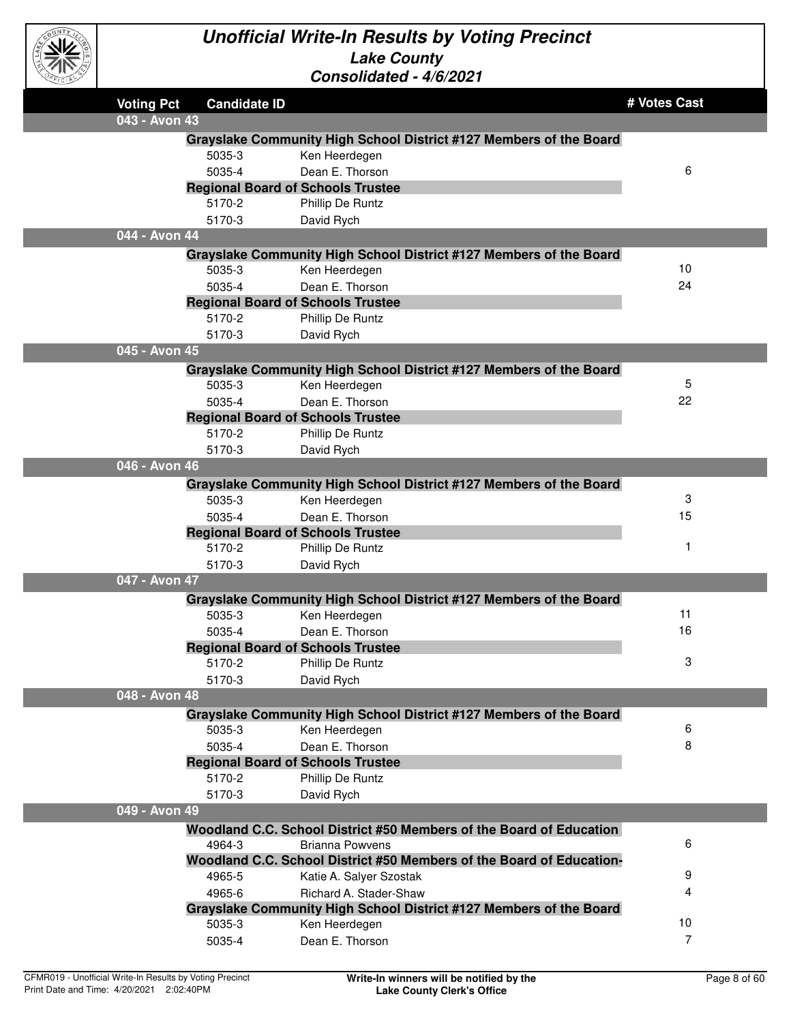

| ごにゅン              |                     | OUNSUNGGU - TUZUZ I                                                                           |              |
|-------------------|---------------------|-----------------------------------------------------------------------------------------------|--------------|
| <b>Voting Pct</b> | <b>Candidate ID</b> |                                                                                               | # Votes Cast |
| 043 - Avon 43     |                     |                                                                                               |              |
|                   |                     | Grayslake Community High School District #127 Members of the Board                            |              |
|                   | 5035-3              | Ken Heerdegen                                                                                 |              |
|                   | 5035-4              | Dean E. Thorson                                                                               | 6            |
|                   |                     | <b>Regional Board of Schools Trustee</b>                                                      |              |
|                   | 5170-2              | Phillip De Runtz                                                                              |              |
|                   | 5170-3              | David Rych                                                                                    |              |
| 044 - Avon 44     |                     |                                                                                               |              |
|                   |                     | Grayslake Community High School District #127 Members of the Board                            |              |
|                   | 5035-3              | Ken Heerdegen                                                                                 | 10           |
|                   | 5035-4              | Dean E. Thorson                                                                               | 24           |
|                   |                     | <b>Regional Board of Schools Trustee</b>                                                      |              |
|                   | 5170-2              | Phillip De Runtz                                                                              |              |
|                   | 5170-3              | David Rych                                                                                    |              |
| 045 - Avon 45     |                     |                                                                                               |              |
|                   |                     | Grayslake Community High School District #127 Members of the Board                            |              |
|                   | 5035-3              | Ken Heerdegen                                                                                 | 5            |
|                   | 5035-4              | Dean E. Thorson                                                                               | 22           |
|                   |                     | <b>Regional Board of Schools Trustee</b>                                                      |              |
|                   | 5170-2              | Phillip De Runtz                                                                              |              |
|                   | 5170-3              | David Rych                                                                                    |              |
| 046 - Avon 46     |                     |                                                                                               |              |
|                   |                     | Grayslake Community High School District #127 Members of the Board                            |              |
|                   | 5035-3              | Ken Heerdegen                                                                                 | 3            |
|                   | 5035-4              | Dean E. Thorson                                                                               | 15           |
|                   |                     | <b>Regional Board of Schools Trustee</b>                                                      |              |
|                   | 5170-2              | Phillip De Runtz                                                                              | 1            |
|                   | 5170-3              | David Rych                                                                                    |              |
| 047 - Avon 47     |                     |                                                                                               |              |
|                   |                     | Grayslake Community High School District #127 Members of the Board                            |              |
|                   | 5035-3              | Ken Heerdegen                                                                                 | 11           |
|                   | 5035-4              | Dean E. Thorson                                                                               | 16           |
|                   |                     | <b>Regional Board of Schools Trustee</b>                                                      |              |
|                   | 5170-2              | Phillip De Runtz                                                                              | З            |
|                   | 5170-3              | David Rych                                                                                    |              |
| 048 - Avon 48     |                     |                                                                                               |              |
|                   |                     | Grayslake Community High School District #127 Members of the Board                            |              |
|                   | 5035-3              | Ken Heerdegen                                                                                 | 6            |
|                   | 5035-4              | Dean E. Thorson                                                                               | 8            |
|                   | 5170-2              | <b>Regional Board of Schools Trustee</b>                                                      |              |
|                   | 5170-3              | Phillip De Runtz                                                                              |              |
| 049 - Avon 49     |                     | David Rych                                                                                    |              |
|                   |                     |                                                                                               |              |
|                   | 4964-3              | Woodland C.C. School District #50 Members of the Board of Education<br><b>Brianna Powvens</b> | 6            |
|                   |                     | Woodland C.C. School District #50 Members of the Board of Education-                          |              |
|                   | 4965-5              | Katie A. Salyer Szostak                                                                       | 9            |
|                   | 4965-6              | Richard A. Stader-Shaw                                                                        | 4            |
|                   |                     | Grayslake Community High School District #127 Members of the Board                            |              |
|                   | 5035-3              | Ken Heerdegen                                                                                 | 10           |
|                   | 5035-4              | Dean E. Thorson                                                                               | 7            |
|                   |                     |                                                                                               |              |
|                   |                     |                                                                                               |              |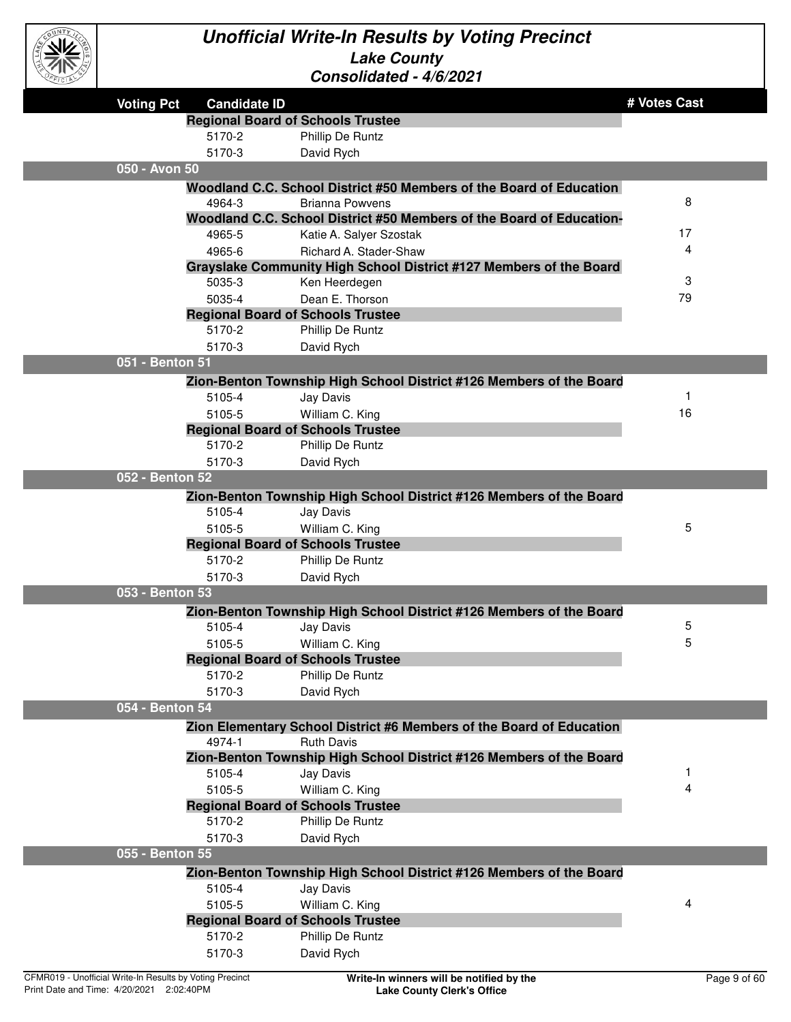

| <b>CEICIBY</b>                                           |                                          | UUIISUIIUAIGU <sup>-</sup> 7/U/4U4 I                                 |              |
|----------------------------------------------------------|------------------------------------------|----------------------------------------------------------------------|--------------|
| <b>Voting Pct</b>                                        | <b>Candidate ID</b>                      |                                                                      | # Votes Cast |
|                                                          | <b>Regional Board of Schools Trustee</b> |                                                                      |              |
|                                                          | 5170-2                                   | Phillip De Runtz                                                     |              |
|                                                          | 5170-3                                   | David Rych                                                           |              |
| 050 - Avon 50                                            |                                          |                                                                      |              |
|                                                          |                                          | Woodland C.C. School District #50 Members of the Board of Education  |              |
|                                                          | 4964-3                                   | <b>Brianna Powvens</b>                                               | 8            |
|                                                          |                                          | Woodland C.C. School District #50 Members of the Board of Education- |              |
|                                                          | 4965-5                                   | Katie A. Salyer Szostak                                              | 17           |
|                                                          | 4965-6                                   | Richard A. Stader-Shaw                                               | 4            |
|                                                          |                                          | Grayslake Community High School District #127 Members of the Board   |              |
|                                                          | 5035-3                                   | Ken Heerdegen                                                        | 3            |
|                                                          | 5035-4                                   | Dean E. Thorson                                                      | 79           |
|                                                          | <b>Regional Board of Schools Trustee</b> |                                                                      |              |
|                                                          | 5170-2                                   | Phillip De Runtz                                                     |              |
|                                                          | 5170-3                                   | David Rych                                                           |              |
| 051 - Benton 51                                          |                                          |                                                                      |              |
|                                                          |                                          | Zion-Benton Township High School District #126 Members of the Board  |              |
|                                                          | 5105-4                                   | Jay Davis                                                            | -1           |
|                                                          | 5105-5                                   | William C. King                                                      | 16           |
|                                                          | <b>Regional Board of Schools Trustee</b> |                                                                      |              |
|                                                          | 5170-2                                   | Phillip De Runtz                                                     |              |
|                                                          | 5170-3                                   | David Rych                                                           |              |
| 052 - Benton 52                                          |                                          |                                                                      |              |
|                                                          |                                          | Zion-Benton Township High School District #126 Members of the Board  |              |
|                                                          | 5105-4                                   | Jay Davis                                                            |              |
|                                                          | 5105-5                                   | William C. King                                                      | 5            |
|                                                          | <b>Regional Board of Schools Trustee</b> |                                                                      |              |
|                                                          | 5170-2                                   | Phillip De Runtz                                                     |              |
|                                                          | 5170-3                                   | David Rych                                                           |              |
| 053 - Benton 53                                          |                                          |                                                                      |              |
|                                                          |                                          | Zion-Benton Township High School District #126 Members of the Board  |              |
|                                                          | 5105-4                                   | Jay Davis                                                            | 5            |
|                                                          | 5105-5                                   | William C. King                                                      | 5            |
|                                                          | <b>Regional Board of Schools Trustee</b> |                                                                      |              |
|                                                          | 5170-2                                   | Phillip De Runtz                                                     |              |
|                                                          | 5170-3                                   | David Rych                                                           |              |
| 054 - Benton 54                                          |                                          |                                                                      |              |
|                                                          |                                          | Zion Elementary School District #6 Members of the Board of Education |              |
|                                                          | 4974-1                                   | <b>Ruth Davis</b>                                                    |              |
|                                                          |                                          | Zion-Benton Township High School District #126 Members of the Board  |              |
|                                                          | 5105-4                                   | Jay Davis                                                            | 1            |
|                                                          | 5105-5                                   | William C. King                                                      | 4            |
|                                                          | <b>Regional Board of Schools Trustee</b> |                                                                      |              |
|                                                          | 5170-2                                   | Phillip De Runtz                                                     |              |
|                                                          | 5170-3                                   | David Rych                                                           |              |
| 055 - Benton 55                                          |                                          |                                                                      |              |
|                                                          |                                          | Zion-Benton Township High School District #126 Members of the Board  |              |
|                                                          | 5105-4                                   | Jay Davis                                                            |              |
|                                                          | 5105-5                                   | William C. King                                                      | 4            |
|                                                          | <b>Regional Board of Schools Trustee</b> |                                                                      |              |
|                                                          | 5170-2                                   | Phillip De Runtz                                                     |              |
|                                                          | 5170-3                                   | David Rych                                                           |              |
| CFMR019 - Unofficial Write-In Results by Voting Precinct |                                          | Write-In winners will be notified by the                             | Page 9 of 60 |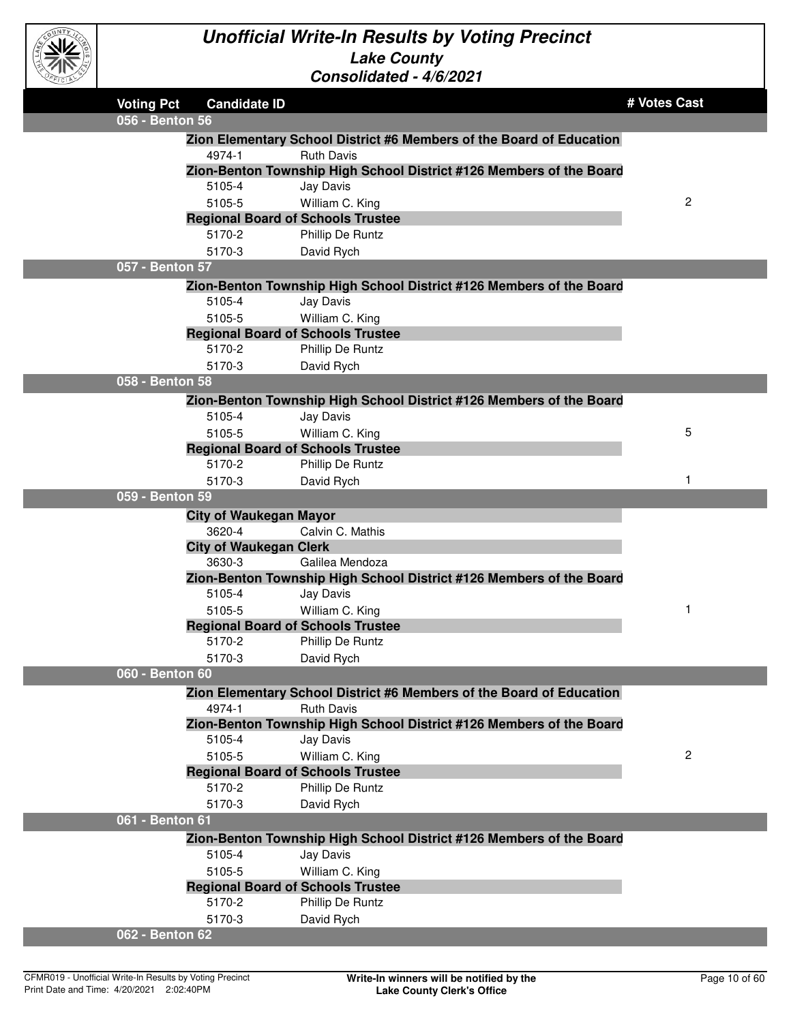

| CEICIAY |                                                             | <u> CONSON</u> QUEQ - 4/0/2021                                       |                |
|---------|-------------------------------------------------------------|----------------------------------------------------------------------|----------------|
|         | <b>Voting Pct</b><br><b>Candidate ID</b><br>056 - Benton 56 |                                                                      | # Votes Cast   |
|         |                                                             | Zion Elementary School District #6 Members of the Board of Education |                |
|         | 4974-1                                                      | <b>Ruth Davis</b>                                                    |                |
|         |                                                             | Zion-Benton Township High School District #126 Members of the Board  |                |
|         | 5105-4                                                      | Jay Davis                                                            |                |
|         | 5105-5                                                      | William C. King                                                      | $\overline{c}$ |
|         | <b>Regional Board of Schools Trustee</b>                    |                                                                      |                |
|         | 5170-2                                                      | Phillip De Runtz                                                     |                |
|         | 5170-3                                                      | David Rych                                                           |                |
|         | 057 - Benton 57                                             |                                                                      |                |
|         |                                                             | Zion-Benton Township High School District #126 Members of the Board  |                |
|         | 5105-4                                                      | Jay Davis                                                            |                |
|         | 5105-5                                                      | William C. King                                                      |                |
|         | <b>Regional Board of Schools Trustee</b>                    |                                                                      |                |
|         | 5170-2                                                      | Phillip De Runtz                                                     |                |
|         | 5170-3                                                      | David Rych                                                           |                |
|         | 058 - Benton 58                                             |                                                                      |                |
|         |                                                             | Zion-Benton Township High School District #126 Members of the Board  |                |
|         | 5105-4                                                      | Jay Davis                                                            |                |
|         | 5105-5                                                      | William C. King                                                      | 5              |
|         | <b>Regional Board of Schools Trustee</b><br>5170-2          | Phillip De Runtz                                                     |                |
|         | 5170-3                                                      |                                                                      |                |
|         | 059 - Benton 59                                             | David Rych                                                           |                |
|         | <b>City of Waukegan Mayor</b>                               |                                                                      |                |
|         | 3620-4                                                      | Calvin C. Mathis                                                     |                |
|         | <b>City of Waukegan Clerk</b>                               |                                                                      |                |
|         | 3630-3                                                      | Galilea Mendoza                                                      |                |
|         |                                                             | Zion-Benton Township High School District #126 Members of the Board  |                |
|         | 5105-4                                                      | Jay Davis                                                            |                |
|         | 5105-5                                                      | William C. King                                                      | 1              |
|         | <b>Regional Board of Schools Trustee</b>                    |                                                                      |                |
|         | 5170-2                                                      | Phillip De Runtz                                                     |                |
|         | 5170-3                                                      | David Rych                                                           |                |
|         | 060 - Benton 60                                             |                                                                      |                |
|         |                                                             | Zion Elementary School District #6 Members of the Board of Education |                |
|         | 4974-1                                                      | <b>Ruth Davis</b>                                                    |                |
|         |                                                             | Zion-Benton Township High School District #126 Members of the Board  |                |
|         | 5105-4                                                      | Jay Davis                                                            |                |
|         | 5105-5                                                      | William C. King                                                      | $\overline{c}$ |
|         | <b>Regional Board of Schools Trustee</b>                    |                                                                      |                |
|         | 5170-2                                                      | Phillip De Runtz                                                     |                |
|         | 5170-3                                                      | David Rych                                                           |                |
|         | 061 - Benton 61                                             |                                                                      |                |
|         |                                                             | Zion-Benton Township High School District #126 Members of the Board  |                |
|         | 5105-4                                                      | Jay Davis                                                            |                |
|         | 5105-5                                                      | William C. King                                                      |                |
|         | <b>Regional Board of Schools Trustee</b>                    |                                                                      |                |
|         | 5170-2                                                      | Phillip De Runtz                                                     |                |
|         | 5170-3                                                      | David Rych                                                           |                |
|         | 062 - Benton 62                                             |                                                                      |                |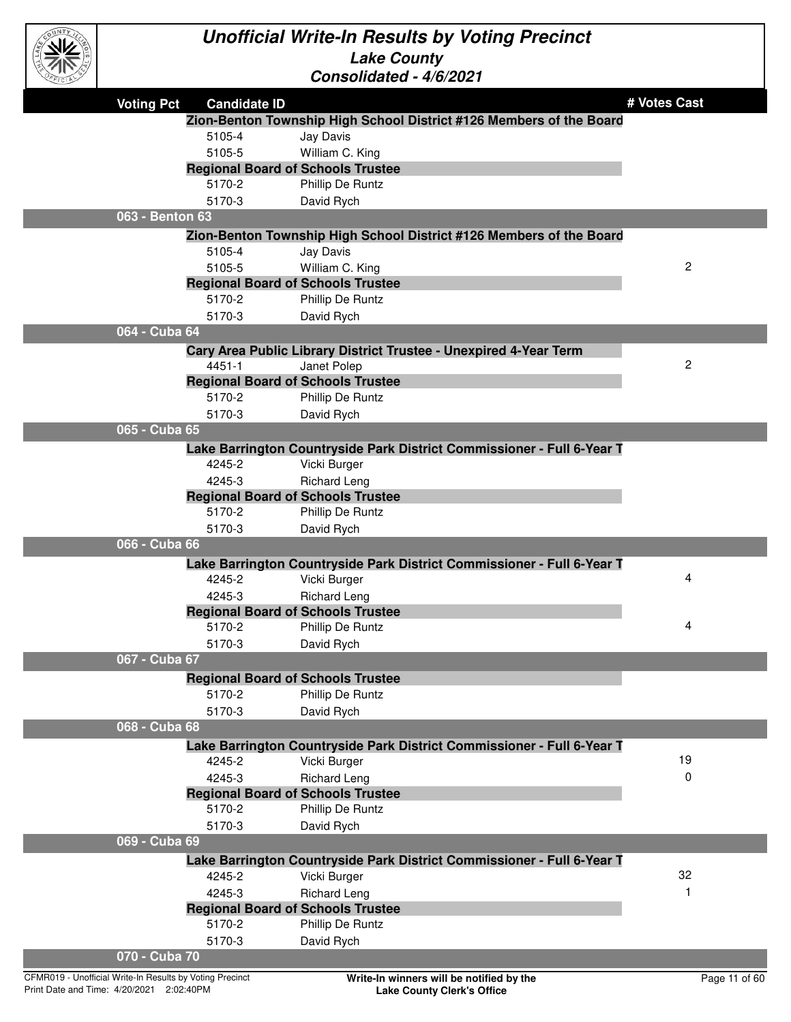

| EFICIAL |                                          | <u> Consolidated - 4/0/2021</u>                                        |                |
|---------|------------------------------------------|------------------------------------------------------------------------|----------------|
|         | <b>Voting Pct</b><br><b>Candidate ID</b> |                                                                        | # Votes Cast   |
|         |                                          | Zion-Benton Township High School District #126 Members of the Board    |                |
|         | 5105-4                                   | Jay Davis                                                              |                |
|         | 5105-5                                   | William C. King                                                        |                |
|         | <b>Regional Board of Schools Trustee</b> |                                                                        |                |
|         | 5170-2                                   | Phillip De Runtz                                                       |                |
|         | 5170-3                                   | David Rych                                                             |                |
|         | 063 - Benton 63                          |                                                                        |                |
|         |                                          | Zion-Benton Township High School District #126 Members of the Board    |                |
|         | 5105-4                                   | Jay Davis                                                              |                |
|         | 5105-5                                   | William C. King                                                        | $\overline{2}$ |
|         | <b>Regional Board of Schools Trustee</b> |                                                                        |                |
|         | 5170-2                                   | Phillip De Runtz                                                       |                |
|         | 5170-3                                   | David Rych                                                             |                |
|         | 064 - Cuba 64                            |                                                                        |                |
|         |                                          | Cary Area Public Library District Trustee - Unexpired 4-Year Term      |                |
|         | 4451-1                                   | Janet Polep                                                            | $\mathbf{2}$   |
|         | <b>Regional Board of Schools Trustee</b> |                                                                        |                |
|         | 5170-2                                   | Phillip De Runtz                                                       |                |
|         | 5170-3                                   | David Rych                                                             |                |
|         | 065 - Cuba 65                            |                                                                        |                |
|         |                                          | Lake Barrington Countryside Park District Commissioner - Full 6-Year T |                |
|         | 4245-2                                   | Vicki Burger                                                           |                |
|         | 4245-3                                   | <b>Richard Leng</b>                                                    |                |
|         | <b>Regional Board of Schools Trustee</b> |                                                                        |                |
|         | 5170-2                                   | Phillip De Runtz                                                       |                |
|         | 5170-3                                   | David Rych                                                             |                |
|         | 066 - Cuba 66                            |                                                                        |                |
|         |                                          | Lake Barrington Countryside Park District Commissioner - Full 6-Year T |                |
|         | 4245-2                                   | Vicki Burger                                                           | 4              |
|         | 4245-3                                   | <b>Richard Leng</b>                                                    |                |
|         | <b>Regional Board of Schools Trustee</b> |                                                                        |                |
|         | 5170-2                                   | Phillip De Runtz                                                       | 4              |
|         | 5170-3                                   | David Rych                                                             |                |
|         | 067 - Cuba 67                            |                                                                        |                |
|         | <b>Regional Board of Schools Trustee</b> |                                                                        |                |
|         | 5170-2                                   | Phillip De Runtz                                                       |                |
|         | 5170-3                                   | David Rych                                                             |                |
|         | 068 - Cuba 68                            |                                                                        |                |
|         |                                          | Lake Barrington Countryside Park District Commissioner - Full 6-Year T |                |
|         | 4245-2                                   | Vicki Burger                                                           | 19             |
|         | 4245-3                                   | <b>Richard Leng</b>                                                    | $\Omega$       |
|         | <b>Regional Board of Schools Trustee</b> |                                                                        |                |
|         | 5170-2                                   | Phillip De Runtz                                                       |                |
|         | 5170-3                                   | David Rych                                                             |                |
|         | 069 - Cuba 69                            |                                                                        |                |
|         |                                          | Lake Barrington Countryside Park District Commissioner - Full 6-Year T |                |
|         | 4245-2                                   | Vicki Burger                                                           | 32             |
|         | 4245-3                                   | <b>Richard Leng</b>                                                    | 1              |
|         | <b>Regional Board of Schools Trustee</b> |                                                                        |                |
|         | 5170-2                                   | Phillip De Runtz                                                       |                |
|         | 5170-3                                   | David Rych                                                             |                |
|         | 070 - Cuba 70                            |                                                                        |                |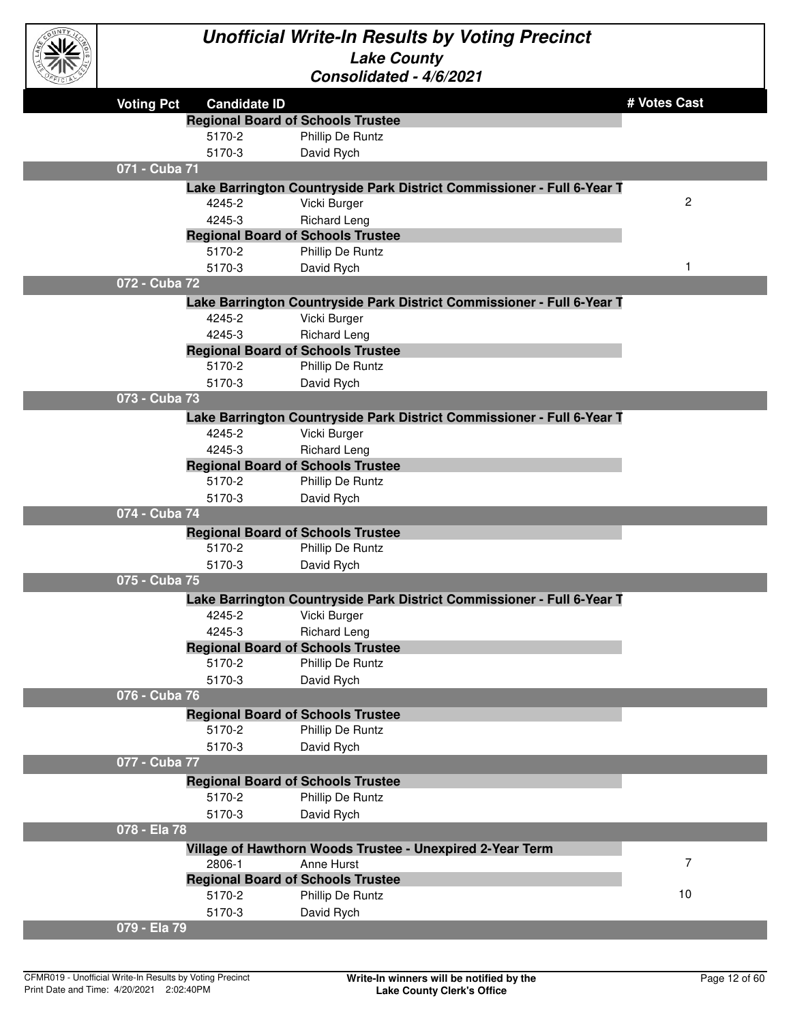

| ستانات |                   |                     |                                                                        |              |
|--------|-------------------|---------------------|------------------------------------------------------------------------|--------------|
|        | <b>Voting Pct</b> | <b>Candidate ID</b> |                                                                        | # Votes Cast |
|        |                   |                     | <b>Regional Board of Schools Trustee</b>                               |              |
|        |                   | 5170-2              | Phillip De Runtz                                                       |              |
|        |                   | 5170-3              | David Rych                                                             |              |
|        | 071 - Cuba 71     |                     |                                                                        |              |
|        |                   |                     | Lake Barrington Countryside Park District Commissioner - Full 6-Year T |              |
|        |                   | 4245-2              | Vicki Burger                                                           | 2            |
|        |                   | 4245-3              | <b>Richard Leng</b>                                                    |              |
|        |                   |                     | <b>Regional Board of Schools Trustee</b>                               |              |
|        |                   | 5170-2              | Phillip De Runtz                                                       |              |
|        |                   | 5170-3              | David Rych                                                             | 1            |
|        | 072 - Cuba 72     |                     |                                                                        |              |
|        |                   |                     | Lake Barrington Countryside Park District Commissioner - Full 6-Year T |              |
|        |                   | 4245-2              | Vicki Burger                                                           |              |
|        |                   | 4245-3              | <b>Richard Leng</b>                                                    |              |
|        |                   |                     | <b>Regional Board of Schools Trustee</b>                               |              |
|        |                   | 5170-2              | Phillip De Runtz                                                       |              |
|        |                   | 5170-3              | David Rych                                                             |              |
|        | 073 - Cuba 73     |                     |                                                                        |              |
|        |                   |                     | Lake Barrington Countryside Park District Commissioner - Full 6-Year T |              |
|        |                   | 4245-2              | Vicki Burger                                                           |              |
|        |                   | 4245-3              | <b>Richard Leng</b>                                                    |              |
|        |                   |                     | <b>Regional Board of Schools Trustee</b>                               |              |
|        |                   | 5170-2              | Phillip De Runtz                                                       |              |
|        |                   | 5170-3              | David Rych                                                             |              |
|        | 074 - Cuba 74     |                     |                                                                        |              |
|        |                   |                     | <b>Regional Board of Schools Trustee</b>                               |              |
|        |                   | 5170-2              | Phillip De Runtz                                                       |              |
|        |                   | 5170-3              | David Rych                                                             |              |
|        | 075 - Cuba 75     |                     |                                                                        |              |
|        |                   |                     | Lake Barrington Countryside Park District Commissioner - Full 6-Year T |              |
|        |                   | 4245-2              | Vicki Burger                                                           |              |
|        |                   | 4245-3              | <b>Richard Leng</b>                                                    |              |
|        |                   |                     | <b>Regional Board of Schools Trustee</b>                               |              |
|        |                   | 5170-2              | Phillip De Runtz                                                       |              |
|        | 076 - Cuba 76     | 5170-3              | David Rych                                                             |              |
|        |                   |                     |                                                                        |              |
|        |                   | 5170-2              | <b>Regional Board of Schools Trustee</b>                               |              |
|        |                   |                     | Phillip De Runtz                                                       |              |
|        | 077 - Cuba 77     | 5170-3              | David Rych                                                             |              |
|        |                   |                     |                                                                        |              |
|        |                   |                     | <b>Regional Board of Schools Trustee</b>                               |              |
|        |                   | 5170-2              | Phillip De Runtz                                                       |              |
|        | 078 - Ela 78      | 5170-3              | David Rych                                                             |              |
|        |                   |                     |                                                                        |              |
|        |                   |                     | Village of Hawthorn Woods Trustee - Unexpired 2-Year Term              | 7            |
|        |                   | 2806-1              | Anne Hurst<br><b>Regional Board of Schools Trustee</b>                 |              |
|        |                   | 5170-2              | Phillip De Runtz                                                       | 10           |
|        |                   | 5170-3              | David Rych                                                             |              |
|        | 079 - Ela 79      |                     |                                                                        |              |
|        |                   |                     |                                                                        |              |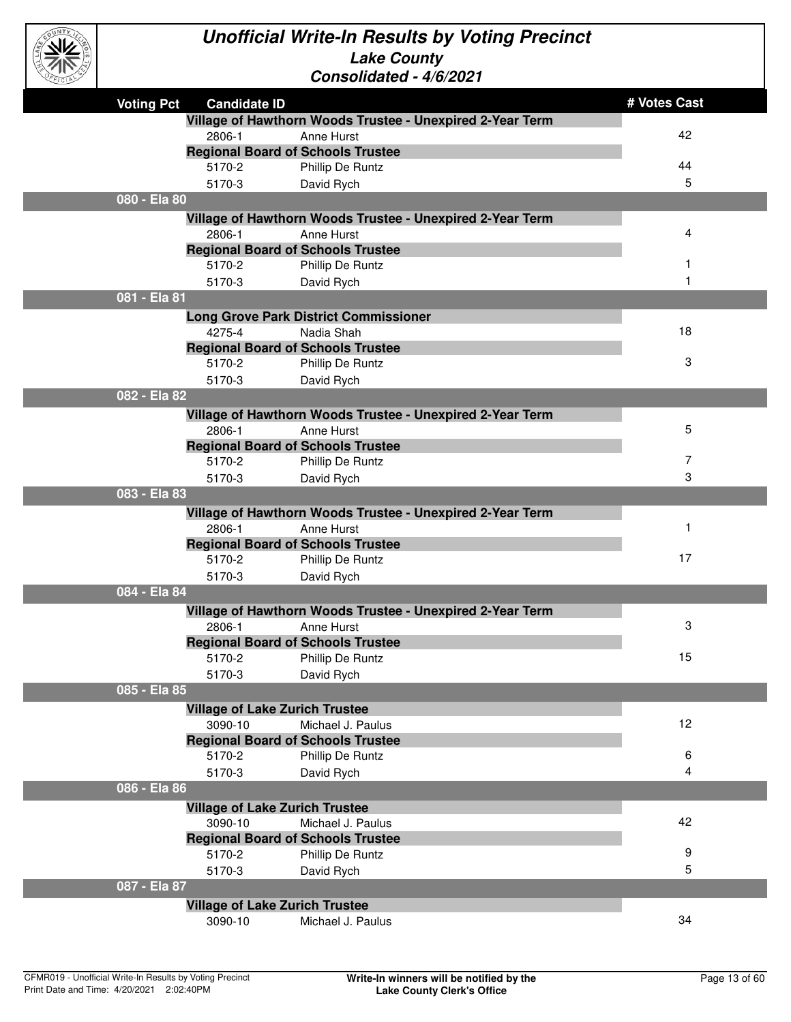

| <b>CIP</b> |                   |                     |                                                           |              |
|------------|-------------------|---------------------|-----------------------------------------------------------|--------------|
|            | <b>Voting Pct</b> | <b>Candidate ID</b> |                                                           | # Votes Cast |
|            |                   |                     | Village of Hawthorn Woods Trustee - Unexpired 2-Year Term |              |
|            |                   | 2806-1              | Anne Hurst                                                | 42           |
|            |                   |                     | <b>Regional Board of Schools Trustee</b>                  |              |
|            |                   | 5170-2              | Phillip De Runtz                                          | 44           |
|            |                   | 5170-3              | David Rych                                                | 5            |
|            | 080 - Ela 80      |                     |                                                           |              |
|            |                   |                     | Village of Hawthorn Woods Trustee - Unexpired 2-Year Term |              |
|            |                   | 2806-1              | Anne Hurst                                                | 4            |
|            |                   |                     | <b>Regional Board of Schools Trustee</b>                  |              |
|            |                   | 5170-2              | Phillip De Runtz                                          |              |
|            |                   | 5170-3              | David Rych                                                |              |
|            | 081 - Ela 81      |                     |                                                           |              |
|            |                   |                     | <b>Long Grove Park District Commissioner</b>              |              |
|            |                   | 4275-4              | Nadia Shah                                                | 18           |
|            |                   |                     | <b>Regional Board of Schools Trustee</b>                  |              |
|            |                   | 5170-2              | Phillip De Runtz                                          | 3            |
|            |                   | 5170-3              | David Rych                                                |              |
|            | 082 - Ela 82      |                     |                                                           |              |
|            |                   |                     | Village of Hawthorn Woods Trustee - Unexpired 2-Year Term |              |
|            |                   | 2806-1              | Anne Hurst                                                | 5            |
|            |                   |                     | <b>Regional Board of Schools Trustee</b>                  |              |
|            |                   | 5170-2              | Phillip De Runtz                                          | 7            |
|            |                   | 5170-3              | David Rych                                                | 3            |
|            | 083 - Ela 83      |                     |                                                           |              |
|            |                   |                     | Village of Hawthorn Woods Trustee - Unexpired 2-Year Term |              |
|            |                   | 2806-1              | Anne Hurst                                                | $\mathbf{1}$ |
|            |                   |                     | <b>Regional Board of Schools Trustee</b>                  |              |
|            |                   | 5170-2              | Phillip De Runtz                                          | 17           |
|            |                   | 5170-3              | David Rych                                                |              |
|            | 084 - Ela 84      |                     |                                                           |              |
|            |                   |                     | Village of Hawthorn Woods Trustee - Unexpired 2-Year Term |              |
|            |                   | 2806-1              | Anne Hurst                                                | 3            |
|            |                   |                     | <b>Regional Board of Schools Trustee</b>                  |              |
|            |                   | 5170-2              | Phillip De Runtz                                          | 15           |
|            |                   | 5170-3              | David Rych                                                |              |
|            | 085 - Ela 85      |                     |                                                           |              |
|            |                   |                     | <b>Village of Lake Zurich Trustee</b>                     |              |
|            |                   | 3090-10             | Michael J. Paulus                                         | 12           |
|            |                   |                     | <b>Regional Board of Schools Trustee</b>                  |              |
|            |                   | 5170-2              | Phillip De Runtz                                          | 6            |
|            |                   | 5170-3              | David Rych                                                | 4            |
|            | 086 - Ela 86      |                     |                                                           |              |
|            |                   |                     | <b>Village of Lake Zurich Trustee</b>                     |              |
|            |                   | 3090-10             | Michael J. Paulus                                         | 42           |
|            |                   |                     | <b>Regional Board of Schools Trustee</b>                  |              |
|            |                   | 5170-2              | Phillip De Runtz                                          | 9            |
|            |                   | 5170-3              | David Rych                                                | 5            |
|            | 087 - Ela 87      |                     |                                                           |              |
|            |                   |                     | <b>Village of Lake Zurich Trustee</b>                     |              |
|            |                   | 3090-10             | Michael J. Paulus                                         | 34           |
|            |                   |                     |                                                           |              |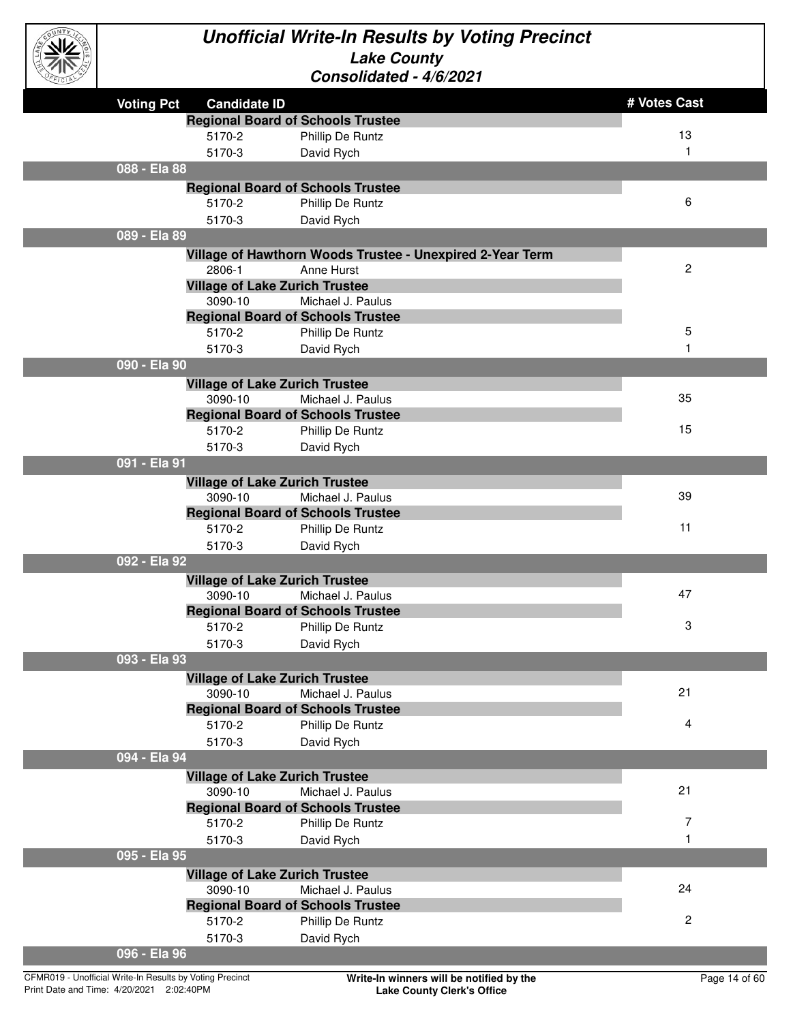

| <b>Voting Pct</b><br><b>Candidate ID</b><br><b>Regional Board of Schools Trustee</b><br>5170-2<br>Phillip De Runtz<br>5170-3<br>David Rych<br>088 - Ela 88<br><b>Regional Board of Schools Trustee</b><br>5170-2<br>Phillip De Runtz<br>5170-3<br>David Rych<br>089 - Ela 89<br>Village of Hawthorn Woods Trustee - Unexpired 2-Year Term<br>2806-1<br>Anne Hurst | # Votes Cast<br>13<br>$\mathbf{1}$<br>6 |
|-------------------------------------------------------------------------------------------------------------------------------------------------------------------------------------------------------------------------------------------------------------------------------------------------------------------------------------------------------------------|-----------------------------------------|
|                                                                                                                                                                                                                                                                                                                                                                   |                                         |
|                                                                                                                                                                                                                                                                                                                                                                   |                                         |
|                                                                                                                                                                                                                                                                                                                                                                   |                                         |
|                                                                                                                                                                                                                                                                                                                                                                   |                                         |
|                                                                                                                                                                                                                                                                                                                                                                   |                                         |
|                                                                                                                                                                                                                                                                                                                                                                   |                                         |
|                                                                                                                                                                                                                                                                                                                                                                   |                                         |
|                                                                                                                                                                                                                                                                                                                                                                   |                                         |
|                                                                                                                                                                                                                                                                                                                                                                   |                                         |
|                                                                                                                                                                                                                                                                                                                                                                   |                                         |
|                                                                                                                                                                                                                                                                                                                                                                   | $\mathbf{2}$                            |
| <b>Village of Lake Zurich Trustee</b>                                                                                                                                                                                                                                                                                                                             |                                         |
| 3090-10<br>Michael J. Paulus                                                                                                                                                                                                                                                                                                                                      |                                         |
| <b>Regional Board of Schools Trustee</b>                                                                                                                                                                                                                                                                                                                          |                                         |
| 5170-2<br>Phillip De Runtz                                                                                                                                                                                                                                                                                                                                        | 5                                       |
| 5170-3<br>David Rych                                                                                                                                                                                                                                                                                                                                              | $\mathbf{1}$                            |
| 090 - Ela 90                                                                                                                                                                                                                                                                                                                                                      |                                         |
| <b>Village of Lake Zurich Trustee</b>                                                                                                                                                                                                                                                                                                                             |                                         |
| 3090-10<br>Michael J. Paulus                                                                                                                                                                                                                                                                                                                                      | 35                                      |
| <b>Regional Board of Schools Trustee</b>                                                                                                                                                                                                                                                                                                                          |                                         |
| 5170-2<br>Phillip De Runtz                                                                                                                                                                                                                                                                                                                                        | 15                                      |
| 5170-3<br>David Rych                                                                                                                                                                                                                                                                                                                                              |                                         |
| 091 - Ela 91                                                                                                                                                                                                                                                                                                                                                      |                                         |
|                                                                                                                                                                                                                                                                                                                                                                   |                                         |
| <b>Village of Lake Zurich Trustee</b><br>3090-10<br>Michael J. Paulus                                                                                                                                                                                                                                                                                             | 39                                      |
| <b>Regional Board of Schools Trustee</b>                                                                                                                                                                                                                                                                                                                          |                                         |
| 5170-2<br>Phillip De Runtz                                                                                                                                                                                                                                                                                                                                        | 11                                      |
| 5170-3<br>David Rych                                                                                                                                                                                                                                                                                                                                              |                                         |
| 092 - Ela 92                                                                                                                                                                                                                                                                                                                                                      |                                         |
|                                                                                                                                                                                                                                                                                                                                                                   |                                         |
| <b>Village of Lake Zurich Trustee</b><br>3090-10<br>Michael J. Paulus                                                                                                                                                                                                                                                                                             | 47                                      |
| <b>Regional Board of Schools Trustee</b>                                                                                                                                                                                                                                                                                                                          |                                         |
| 5170-2<br>Phillip De Runtz                                                                                                                                                                                                                                                                                                                                        | 3                                       |
| 5170-3<br>David Rych                                                                                                                                                                                                                                                                                                                                              |                                         |
| 093 - Ela 93                                                                                                                                                                                                                                                                                                                                                      |                                         |
|                                                                                                                                                                                                                                                                                                                                                                   |                                         |
| <b>Village of Lake Zurich Trustee</b><br>Michael J. Paulus                                                                                                                                                                                                                                                                                                        | 21                                      |
| 3090-10<br><b>Regional Board of Schools Trustee</b>                                                                                                                                                                                                                                                                                                               |                                         |
| 5170-2<br>Phillip De Runtz                                                                                                                                                                                                                                                                                                                                        | 4                                       |
| 5170-3<br>David Rych                                                                                                                                                                                                                                                                                                                                              |                                         |
| 094 - Ela 94                                                                                                                                                                                                                                                                                                                                                      |                                         |
|                                                                                                                                                                                                                                                                                                                                                                   |                                         |
| <b>Village of Lake Zurich Trustee</b><br>3090-10<br>Michael J. Paulus                                                                                                                                                                                                                                                                                             | 21                                      |
| <b>Regional Board of Schools Trustee</b>                                                                                                                                                                                                                                                                                                                          |                                         |
| 5170-2<br>Phillip De Runtz                                                                                                                                                                                                                                                                                                                                        | 7                                       |
|                                                                                                                                                                                                                                                                                                                                                                   | $\mathbf{1}$                            |
| 5170-3<br>David Rych<br>095 - Ela 95                                                                                                                                                                                                                                                                                                                              |                                         |
|                                                                                                                                                                                                                                                                                                                                                                   |                                         |
| <b>Village of Lake Zurich Trustee</b>                                                                                                                                                                                                                                                                                                                             | 24                                      |
| 3090-10<br>Michael J. Paulus                                                                                                                                                                                                                                                                                                                                      |                                         |
| <b>Regional Board of Schools Trustee</b>                                                                                                                                                                                                                                                                                                                          | $\mathbf{2}$                            |
| 5170-2<br>Phillip De Runtz                                                                                                                                                                                                                                                                                                                                        |                                         |
| 5170-3<br>David Rych<br>096 - Ela 96                                                                                                                                                                                                                                                                                                                              |                                         |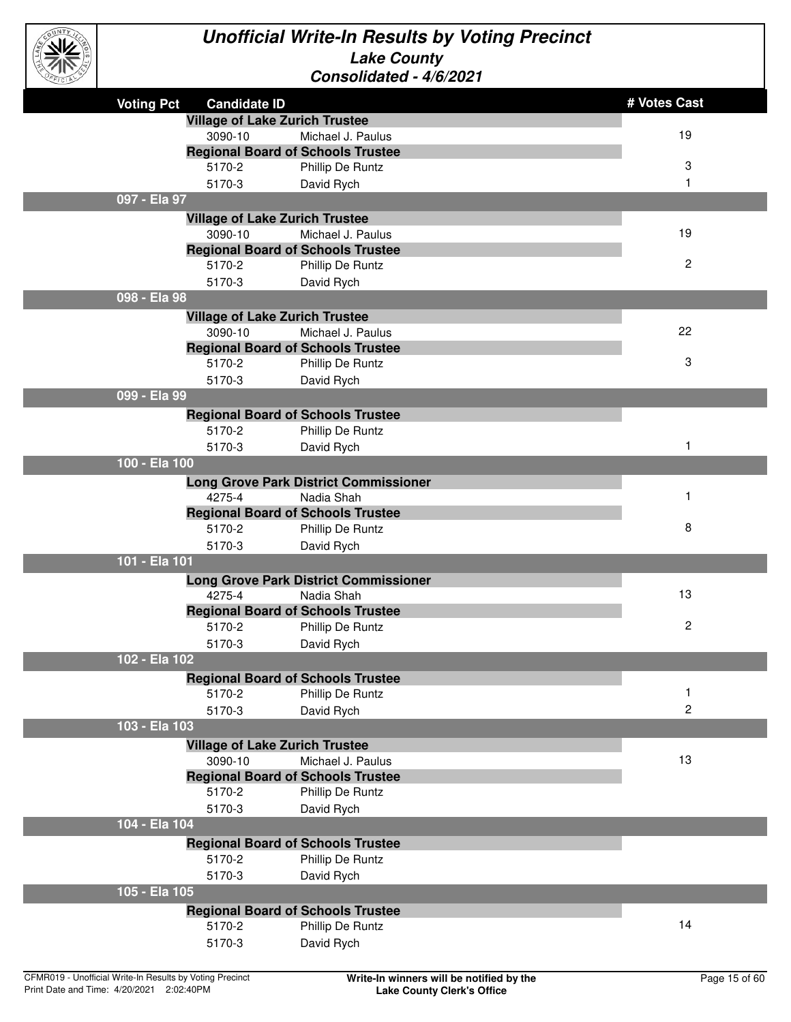

| <b>CEICLE</b> |                                          | UUIISUIIUAIGU - 7/U/4U4 I                                    |                |
|---------------|------------------------------------------|--------------------------------------------------------------|----------------|
|               | <b>Voting Pct</b><br><b>Candidate ID</b> |                                                              | # Votes Cast   |
|               |                                          | <b>Village of Lake Zurich Trustee</b>                        |                |
|               | 3090-10                                  | Michael J. Paulus                                            | 19             |
|               |                                          | <b>Regional Board of Schools Trustee</b>                     |                |
|               | 5170-2                                   | Phillip De Runtz                                             | 3              |
|               | 5170-3                                   | David Rych                                                   | 1              |
|               | 097 - Ela 97                             |                                                              |                |
|               |                                          | <b>Village of Lake Zurich Trustee</b>                        |                |
|               | 3090-10                                  | Michael J. Paulus                                            | 19             |
|               |                                          | <b>Regional Board of Schools Trustee</b>                     |                |
|               | 5170-2                                   | Phillip De Runtz                                             | $\overline{c}$ |
|               | 5170-3                                   | David Rych                                                   |                |
|               | 098 - Ela 98                             |                                                              |                |
|               |                                          | <b>Village of Lake Zurich Trustee</b>                        |                |
|               | 3090-10                                  | Michael J. Paulus                                            | 22             |
|               |                                          | <b>Regional Board of Schools Trustee</b>                     |                |
|               | 5170-2                                   | Phillip De Runtz                                             | 3              |
|               | 5170-3                                   | David Rych                                                   |                |
|               | 099 - Ela 99                             |                                                              |                |
|               |                                          | <b>Regional Board of Schools Trustee</b>                     |                |
|               | 5170-2                                   | Phillip De Runtz                                             |                |
|               | 5170-3                                   | David Rych                                                   | 1              |
|               | 100 - Ela 100                            |                                                              |                |
|               |                                          | <b>Long Grove Park District Commissioner</b>                 | 1              |
|               | 4275-4                                   | Nadia Shah                                                   |                |
|               | 5170-2                                   | <b>Regional Board of Schools Trustee</b><br>Phillip De Runtz | 8              |
|               | 5170-3                                   |                                                              |                |
|               | 101 - Ela 101                            | David Rych                                                   |                |
|               |                                          | <b>Long Grove Park District Commissioner</b>                 |                |
|               | 4275-4                                   | Nadia Shah                                                   | 13             |
|               |                                          | <b>Regional Board of Schools Trustee</b>                     |                |
|               | 5170-2                                   | Phillip De Runtz                                             | 2              |
|               | 5170-3                                   | David Rych                                                   |                |
|               | 102 - Ela 102                            |                                                              |                |
|               |                                          | <b>Regional Board of Schools Trustee</b>                     |                |
|               | 5170-2                                   | Phillip De Runtz                                             | 1              |
|               | 5170-3                                   | David Rych                                                   | 2              |
|               | 103 - Ela 103                            |                                                              |                |
|               |                                          | <b>Village of Lake Zurich Trustee</b>                        |                |
|               | 3090-10                                  | Michael J. Paulus                                            | 13             |
|               |                                          | <b>Regional Board of Schools Trustee</b>                     |                |
|               | 5170-2                                   | Phillip De Runtz                                             |                |
|               | 5170-3                                   | David Rych                                                   |                |
|               | 104 - Ela 104                            |                                                              |                |
|               |                                          | <b>Regional Board of Schools Trustee</b>                     |                |
|               | 5170-2                                   | Phillip De Runtz                                             |                |
|               | 5170-3                                   | David Rych                                                   |                |
|               | 105 - Ela 105                            |                                                              |                |
|               |                                          | <b>Regional Board of Schools Trustee</b>                     |                |
|               | 5170-2                                   | Phillip De Runtz                                             | 14             |
|               | 5170-3                                   | David Rych                                                   |                |
|               |                                          |                                                              |                |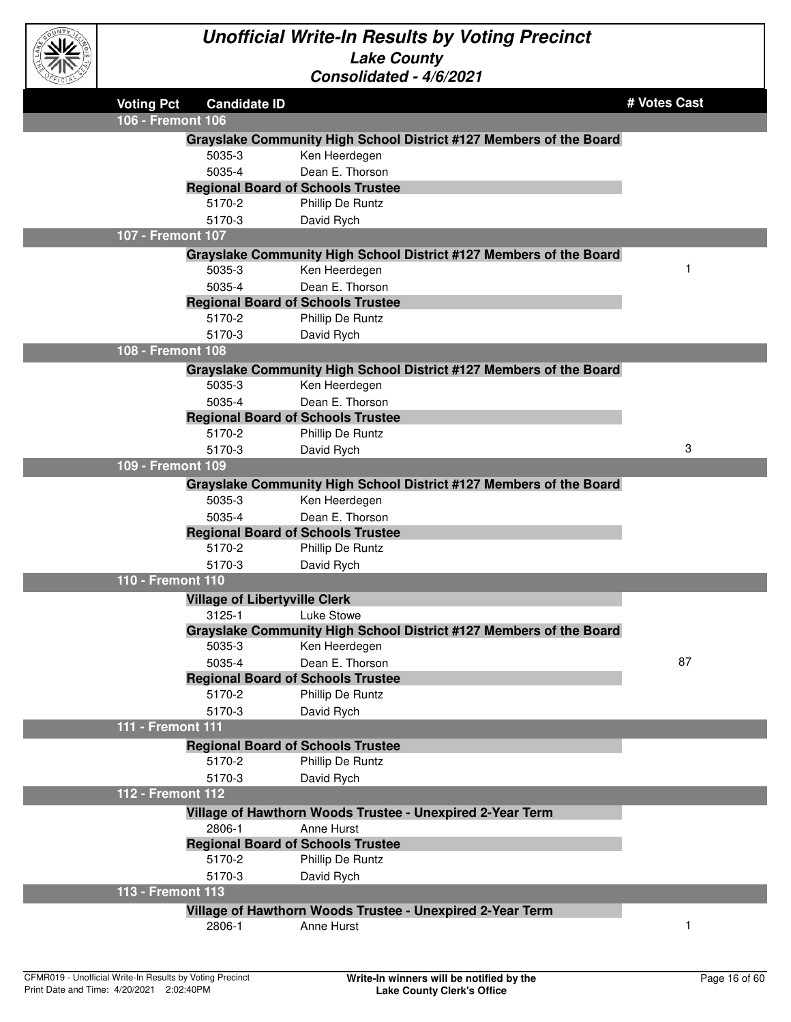

| <b>Voting Pct</b> | <b>Candidate ID</b>                            |                                                                                     | # Votes Cast |
|-------------------|------------------------------------------------|-------------------------------------------------------------------------------------|--------------|
| 106 - Fremont 106 |                                                |                                                                                     |              |
|                   |                                                | Grayslake Community High School District #127 Members of the Board                  |              |
|                   | 5035-3                                         | Ken Heerdegen                                                                       |              |
|                   | 5035-4                                         | Dean E. Thorson                                                                     |              |
|                   | <b>Regional Board of Schools Trustee</b>       |                                                                                     |              |
|                   | 5170-2                                         | Phillip De Runtz                                                                    |              |
|                   | 5170-3                                         | David Rych                                                                          |              |
| 107 - Fremont 107 |                                                |                                                                                     |              |
|                   |                                                | Grayslake Community High School District #127 Members of the Board                  |              |
|                   | 5035-3                                         | Ken Heerdegen                                                                       |              |
|                   | 5035-4                                         | Dean E. Thorson                                                                     |              |
|                   | <b>Regional Board of Schools Trustee</b>       |                                                                                     |              |
|                   | 5170-2                                         | Phillip De Runtz                                                                    |              |
|                   | 5170-3                                         | David Rych                                                                          |              |
| 108 - Fremont 108 |                                                |                                                                                     |              |
|                   |                                                | Grayslake Community High School District #127 Members of the Board                  |              |
|                   | 5035-3                                         | Ken Heerdegen                                                                       |              |
|                   | 5035-4                                         | Dean E. Thorson                                                                     |              |
|                   | <b>Regional Board of Schools Trustee</b>       |                                                                                     |              |
|                   | 5170-2                                         | Phillip De Runtz                                                                    |              |
|                   | 5170-3                                         | David Rych                                                                          | 3            |
| 109 - Fremont 109 |                                                |                                                                                     |              |
|                   |                                                |                                                                                     |              |
|                   | 5035-3                                         | Grayslake Community High School District #127 Members of the Board<br>Ken Heerdegen |              |
|                   | 5035-4                                         | Dean E. Thorson                                                                     |              |
|                   | <b>Regional Board of Schools Trustee</b>       |                                                                                     |              |
|                   | 5170-2                                         | Phillip De Runtz                                                                    |              |
|                   | 5170-3                                         | David Rych                                                                          |              |
| 110 - Fremont 110 |                                                |                                                                                     |              |
|                   |                                                |                                                                                     |              |
|                   | <b>Village of Libertyville Clerk</b><br>3125-1 | Luke Stowe                                                                          |              |
|                   |                                                | Grayslake Community High School District #127 Members of the Board                  |              |
|                   | 5035-3                                         | Ken Heerdegen                                                                       |              |
|                   | 5035-4                                         | Dean E. Thorson                                                                     | 87           |
|                   | <b>Regional Board of Schools Trustee</b>       |                                                                                     |              |
|                   | 5170-2                                         | Phillip De Runtz                                                                    |              |
|                   | 5170-3                                         | David Rych                                                                          |              |
| 111 - Fremont 111 |                                                |                                                                                     |              |
|                   | <b>Regional Board of Schools Trustee</b>       |                                                                                     |              |
|                   | 5170-2                                         | Phillip De Runtz                                                                    |              |
|                   | 5170-3                                         | David Rych                                                                          |              |
| 112 - Fremont 112 |                                                |                                                                                     |              |
|                   |                                                |                                                                                     |              |
|                   | 2806-1                                         | Village of Hawthorn Woods Trustee - Unexpired 2-Year Term<br>Anne Hurst             |              |
|                   | <b>Regional Board of Schools Trustee</b>       |                                                                                     |              |
|                   | 5170-2                                         | Phillip De Runtz                                                                    |              |
|                   | 5170-3                                         |                                                                                     |              |
| 113 - Fremont 113 |                                                | David Rych                                                                          |              |
|                   |                                                |                                                                                     |              |
|                   |                                                | Village of Hawthorn Woods Trustee - Unexpired 2-Year Term                           |              |
|                   | 2806-1                                         | Anne Hurst                                                                          | 1            |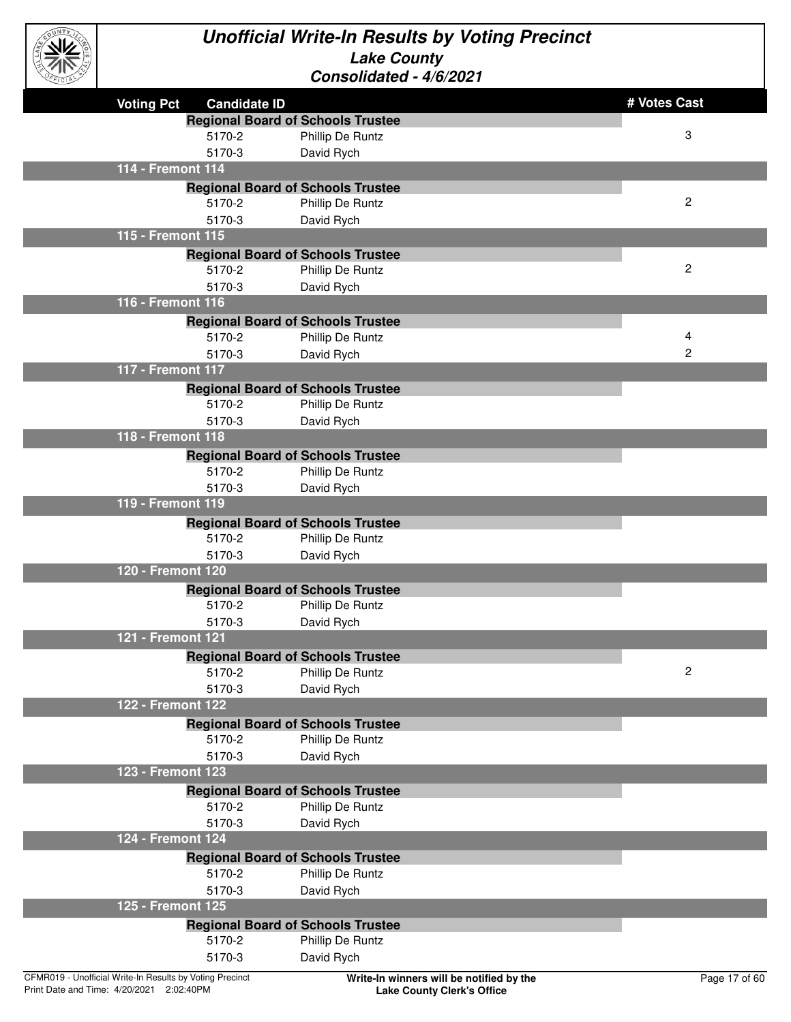

| <b>CELE</b>                                              | UUIIJUIIUULU - 7/U/LUL I                 |               |
|----------------------------------------------------------|------------------------------------------|---------------|
| <b>Voting Pct</b><br><b>Candidate ID</b>                 |                                          | # Votes Cast  |
|                                                          | <b>Regional Board of Schools Trustee</b> |               |
| 5170-2                                                   | Phillip De Runtz                         | 3             |
| 5170-3                                                   | David Rych                               |               |
| 114 - Fremont 114                                        |                                          |               |
|                                                          | <b>Regional Board of Schools Trustee</b> |               |
| 5170-2                                                   | Phillip De Runtz                         | 2             |
| 5170-3                                                   | David Rych                               |               |
| 115 - Fremont 115                                        |                                          |               |
|                                                          | <b>Regional Board of Schools Trustee</b> |               |
| 5170-2                                                   | Phillip De Runtz                         | 2             |
| 5170-3                                                   | David Rych                               |               |
| 116 - Fremont 116                                        |                                          |               |
|                                                          | <b>Regional Board of Schools Trustee</b> |               |
| 5170-2                                                   | Phillip De Runtz                         | 4             |
| 5170-3                                                   | David Rych                               | 2             |
| 117 - Fremont 117                                        |                                          |               |
|                                                          | <b>Regional Board of Schools Trustee</b> |               |
| 5170-2                                                   | Phillip De Runtz                         |               |
| 5170-3                                                   | David Rych                               |               |
| 118 - Fremont 118                                        |                                          |               |
|                                                          | <b>Regional Board of Schools Trustee</b> |               |
| 5170-2                                                   | Phillip De Runtz                         |               |
| 5170-3                                                   | David Rych                               |               |
| 119 - Fremont 119                                        |                                          |               |
|                                                          | <b>Regional Board of Schools Trustee</b> |               |
| 5170-2                                                   | Phillip De Runtz                         |               |
| 5170-3                                                   | David Rych                               |               |
| 120 - Fremont 120                                        |                                          |               |
|                                                          | <b>Regional Board of Schools Trustee</b> |               |
| 5170-2                                                   | Phillip De Runtz                         |               |
| 5170-3                                                   | David Rych                               |               |
| 121 - Fremont 121                                        |                                          |               |
|                                                          | <b>Regional Board of Schools Trustee</b> |               |
| 5170-2                                                   | Phillip De Runtz                         | 2             |
| 5170-3                                                   | David Rych                               |               |
| 122 - Fremont 122                                        |                                          |               |
|                                                          | <b>Regional Board of Schools Trustee</b> |               |
| 5170-2                                                   | Phillip De Runtz                         |               |
| 5170-3                                                   | David Rych                               |               |
| 123 - Fremont 123                                        |                                          |               |
|                                                          | <b>Regional Board of Schools Trustee</b> |               |
| 5170-2                                                   | Phillip De Runtz                         |               |
| 5170-3                                                   | David Rych                               |               |
| 124 - Fremont 124                                        |                                          |               |
|                                                          | <b>Regional Board of Schools Trustee</b> |               |
| 5170-2                                                   | Phillip De Runtz                         |               |
| 5170-3                                                   | David Rych                               |               |
| 125 - Fremont 125                                        |                                          |               |
|                                                          | <b>Regional Board of Schools Trustee</b> |               |
| 5170-2                                                   | Phillip De Runtz                         |               |
| 5170-3                                                   | David Rych                               |               |
| CFMR019 - Unofficial Write-In Results by Voting Precinct | Write-In winners will be notified by the | Page 17 of 60 |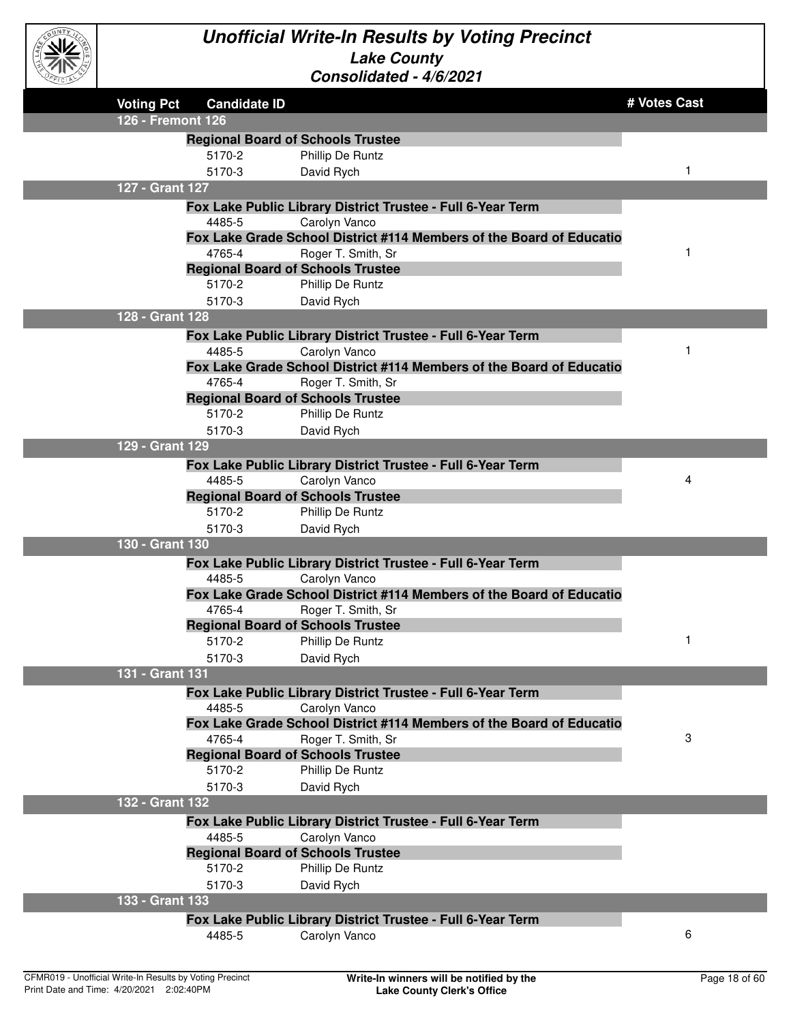

| <b>CEICIBY</b> |                   |                                                    | CONSONGAIGO - 7/0/2021                                               |              |
|----------------|-------------------|----------------------------------------------------|----------------------------------------------------------------------|--------------|
|                | <b>Voting Pct</b> | <b>Candidate ID</b>                                |                                                                      | # Votes Cast |
|                | 126 - Fremont 126 |                                                    |                                                                      |              |
|                |                   | <b>Regional Board of Schools Trustee</b>           |                                                                      |              |
|                |                   | 5170-2                                             | Phillip De Runtz                                                     |              |
|                |                   | 5170-3                                             | David Rych                                                           | 1            |
|                | 127 - Grant 127   |                                                    |                                                                      |              |
|                |                   |                                                    | Fox Lake Public Library District Trustee - Full 6-Year Term          |              |
|                |                   | 4485-5                                             | Carolyn Vanco                                                        |              |
|                |                   |                                                    | Fox Lake Grade School District #114 Members of the Board of Educatio |              |
|                |                   | 4765-4                                             | Roger T. Smith, Sr                                                   | 1            |
|                |                   | <b>Regional Board of Schools Trustee</b>           |                                                                      |              |
|                |                   | 5170-2                                             | Phillip De Runtz                                                     |              |
|                |                   | 5170-3                                             | David Rych                                                           |              |
|                | 128 - Grant 128   |                                                    |                                                                      |              |
|                |                   |                                                    | Fox Lake Public Library District Trustee - Full 6-Year Term          |              |
|                |                   | 4485-5                                             | Carolyn Vanco                                                        |              |
|                |                   |                                                    | Fox Lake Grade School District #114 Members of the Board of Educatio |              |
|                |                   | 4765-4                                             | Roger T. Smith, Sr                                                   |              |
|                |                   | <b>Regional Board of Schools Trustee</b>           |                                                                      |              |
|                |                   | 5170-2                                             | Phillip De Runtz                                                     |              |
|                | 129 - Grant 129   | 5170-3                                             | David Rych                                                           |              |
|                |                   |                                                    |                                                                      |              |
|                |                   |                                                    | Fox Lake Public Library District Trustee - Full 6-Year Term          | 4            |
|                |                   | 4485-5<br><b>Regional Board of Schools Trustee</b> | Carolyn Vanco                                                        |              |
|                |                   | 5170-2                                             | Phillip De Runtz                                                     |              |
|                |                   | 5170-3                                             | David Rych                                                           |              |
|                | 130 - Grant 130   |                                                    |                                                                      |              |
|                |                   |                                                    | Fox Lake Public Library District Trustee - Full 6-Year Term          |              |
|                |                   | 4485-5                                             | Carolyn Vanco                                                        |              |
|                |                   |                                                    | Fox Lake Grade School District #114 Members of the Board of Educatio |              |
|                |                   | 4765-4                                             | Roger T. Smith, Sr                                                   |              |
|                |                   | <b>Regional Board of Schools Trustee</b>           |                                                                      |              |
|                |                   | 5170-2                                             | <b>Phillip De Runtz</b>                                              | 1            |
|                |                   | 5170-3                                             | David Rych                                                           |              |
|                | 131 - Grant 131   |                                                    |                                                                      |              |
|                |                   |                                                    | Fox Lake Public Library District Trustee - Full 6-Year Term          |              |
|                |                   | 4485-5                                             | Carolyn Vanco                                                        |              |
|                |                   |                                                    | Fox Lake Grade School District #114 Members of the Board of Educatio |              |
|                |                   | 4765-4                                             | Roger T. Smith, Sr                                                   | 3            |
|                |                   | <b>Regional Board of Schools Trustee</b>           |                                                                      |              |
|                |                   | 5170-2                                             | Phillip De Runtz                                                     |              |
|                |                   | 5170-3                                             | David Rych                                                           |              |
|                | 132 - Grant 132   |                                                    |                                                                      |              |
|                |                   |                                                    | Fox Lake Public Library District Trustee - Full 6-Year Term          |              |
|                |                   | 4485-5                                             | Carolyn Vanco                                                        |              |
|                |                   | <b>Regional Board of Schools Trustee</b>           |                                                                      |              |
|                |                   | 5170-2                                             | Phillip De Runtz                                                     |              |
|                |                   | 5170-3                                             | David Rych                                                           |              |
|                | 133 - Grant 133   |                                                    |                                                                      |              |
|                |                   |                                                    | Fox Lake Public Library District Trustee - Full 6-Year Term          | 6            |
|                |                   | 4485-5                                             | Carolyn Vanco                                                        |              |
|                |                   |                                                    |                                                                      |              |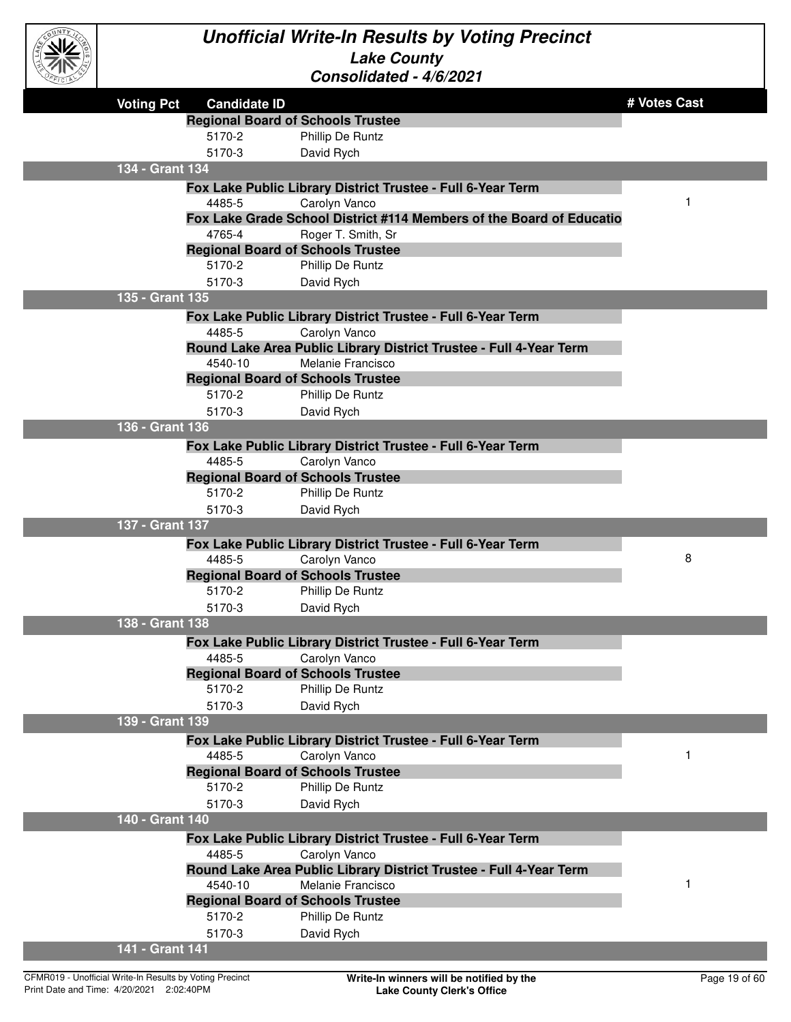

| <b>Voting Pct</b> | <b>Candidate ID</b> |                                                                      | # Votes Cast |
|-------------------|---------------------|----------------------------------------------------------------------|--------------|
|                   |                     | <b>Regional Board of Schools Trustee</b>                             |              |
|                   | 5170-2              | Phillip De Runtz                                                     |              |
|                   | 5170-3              | David Rych                                                           |              |
| 134 - Grant 134   |                     |                                                                      |              |
|                   |                     | Fox Lake Public Library District Trustee - Full 6-Year Term          |              |
|                   | 4485-5              | Carolyn Vanco                                                        | 1            |
|                   |                     | Fox Lake Grade School District #114 Members of the Board of Educatio |              |
|                   | 4765-4              | Roger T. Smith, Sr                                                   |              |
|                   |                     | <b>Regional Board of Schools Trustee</b>                             |              |
|                   | 5170-2              | Phillip De Runtz                                                     |              |
|                   | 5170-3              | David Rych                                                           |              |
| 135 - Grant 135   |                     |                                                                      |              |
|                   |                     | Fox Lake Public Library District Trustee - Full 6-Year Term          |              |
|                   | 4485-5              | Carolyn Vanco                                                        |              |
|                   |                     | Round Lake Area Public Library District Trustee - Full 4-Year Term   |              |
|                   | 4540-10             | Melanie Francisco                                                    |              |
|                   |                     | <b>Regional Board of Schools Trustee</b>                             |              |
|                   | 5170-2              | Phillip De Runtz                                                     |              |
|                   | 5170-3              | David Rych                                                           |              |
| 136 - Grant 136   |                     |                                                                      |              |
|                   |                     | Fox Lake Public Library District Trustee - Full 6-Year Term          |              |
|                   | 4485-5              | Carolyn Vanco                                                        |              |
|                   |                     | <b>Regional Board of Schools Trustee</b>                             |              |
|                   | 5170-2              | Phillip De Runtz                                                     |              |
|                   | 5170-3              | David Rych                                                           |              |
| 137 - Grant 137   |                     |                                                                      |              |
|                   |                     | Fox Lake Public Library District Trustee - Full 6-Year Term          |              |
|                   | 4485-5              | Carolyn Vanco                                                        | 8            |
|                   |                     | <b>Regional Board of Schools Trustee</b>                             |              |
|                   | 5170-2              | Phillip De Runtz                                                     |              |
|                   | 5170-3              | David Rych                                                           |              |
| 138 - Grant 138   |                     |                                                                      |              |
|                   |                     | Fox Lake Public Library District Trustee - Full 6-Year Term          |              |
|                   | 4485-5              | Carolyn Vanco                                                        |              |
|                   |                     | <b>Regional Board of Schools Trustee</b>                             |              |
|                   | 5170-2              | Phillip De Runtz                                                     |              |
|                   | 5170-3              | David Rych                                                           |              |
| 139 - Grant 139   |                     |                                                                      |              |
|                   |                     | Fox Lake Public Library District Trustee - Full 6-Year Term          |              |
|                   | 4485-5              | Carolyn Vanco                                                        | 1            |
|                   |                     | <b>Regional Board of Schools Trustee</b>                             |              |
|                   | 5170-2              | Phillip De Runtz                                                     |              |
|                   | 5170-3              | David Rych                                                           |              |
| 140 - Grant 140   |                     |                                                                      |              |
|                   |                     | Fox Lake Public Library District Trustee - Full 6-Year Term          |              |
|                   | 4485-5              | Carolyn Vanco                                                        |              |
|                   |                     | Round Lake Area Public Library District Trustee - Full 4-Year Term   |              |
|                   | 4540-10             | Melanie Francisco                                                    | 1            |
|                   |                     | <b>Regional Board of Schools Trustee</b>                             |              |
|                   | 5170-2              | Phillip De Runtz                                                     |              |
|                   | 5170-3              | David Rych                                                           |              |
| 141 - Grant 141   |                     |                                                                      |              |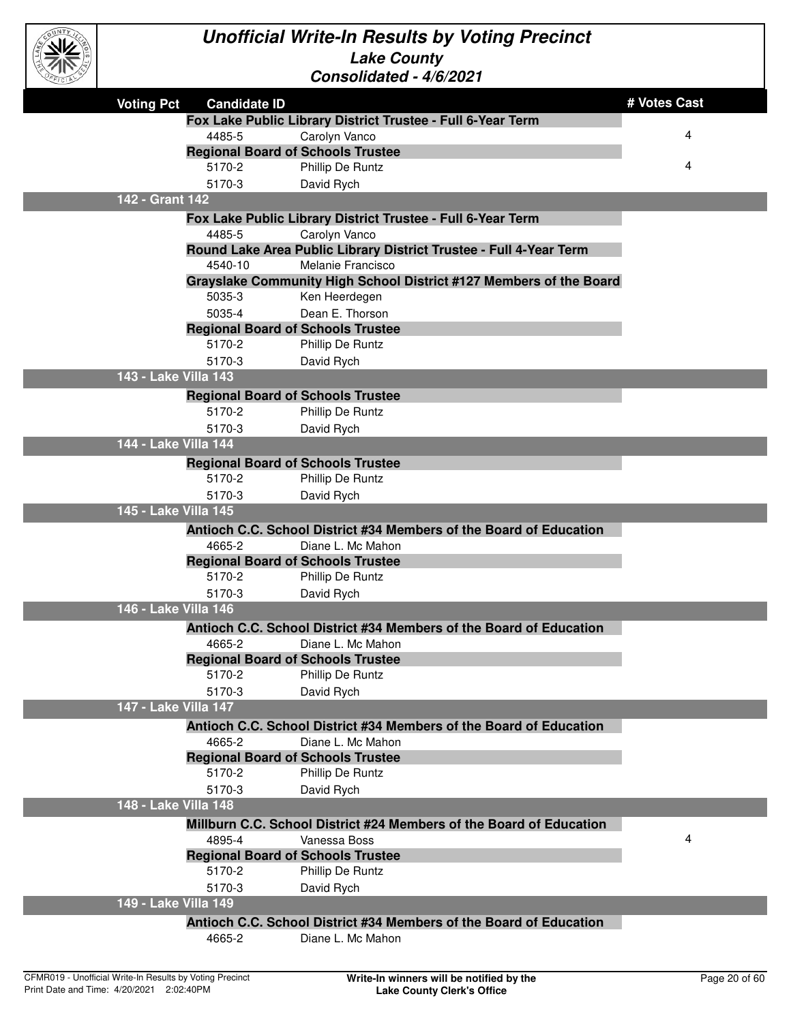

| EFICIAL |                      |                     | CONSONOAICO - 4/0/2021                                                                  |              |
|---------|----------------------|---------------------|-----------------------------------------------------------------------------------------|--------------|
|         | <b>Voting Pct</b>    | <b>Candidate ID</b> |                                                                                         | # Votes Cast |
|         |                      |                     | Fox Lake Public Library District Trustee - Full 6-Year Term                             |              |
|         |                      | 4485-5              | Carolyn Vanco                                                                           | 4            |
|         |                      |                     | <b>Regional Board of Schools Trustee</b>                                                |              |
|         |                      | 5170-2              | Phillip De Runtz                                                                        | 4            |
|         |                      | 5170-3              | David Rych                                                                              |              |
|         | 142 - Grant 142      |                     |                                                                                         |              |
|         |                      |                     | Fox Lake Public Library District Trustee - Full 6-Year Term                             |              |
|         |                      | 4485-5              | Carolyn Vanco                                                                           |              |
|         |                      |                     | Round Lake Area Public Library District Trustee - Full 4-Year Term                      |              |
|         |                      | 4540-10             | Melanie Francisco                                                                       |              |
|         |                      |                     | Grayslake Community High School District #127 Members of the Board                      |              |
|         |                      | 5035-3<br>5035-4    | Ken Heerdegen<br>Dean E. Thorson                                                        |              |
|         |                      |                     | <b>Regional Board of Schools Trustee</b>                                                |              |
|         |                      | 5170-2              | Phillip De Runtz                                                                        |              |
|         |                      | 5170-3              | David Rych                                                                              |              |
|         | 143 - Lake Villa 143 |                     |                                                                                         |              |
|         |                      |                     | <b>Regional Board of Schools Trustee</b>                                                |              |
|         |                      | 5170-2              | Phillip De Runtz                                                                        |              |
|         |                      | 5170-3              | David Rych                                                                              |              |
|         | 144 - Lake Villa 144 |                     |                                                                                         |              |
|         |                      |                     | <b>Regional Board of Schools Trustee</b>                                                |              |
|         |                      | 5170-2              | Phillip De Runtz                                                                        |              |
|         |                      | 5170-3              | David Rych                                                                              |              |
|         | 145 - Lake Villa 145 |                     |                                                                                         |              |
|         |                      |                     | Antioch C.C. School District #34 Members of the Board of Education                      |              |
|         |                      | 4665-2              | Diane L. Mc Mahon                                                                       |              |
|         |                      |                     | <b>Regional Board of Schools Trustee</b>                                                |              |
|         |                      | 5170-2              | Phillip De Runtz                                                                        |              |
|         |                      | 5170-3              | David Rych                                                                              |              |
|         | 146 - Lake Villa 146 |                     |                                                                                         |              |
|         |                      |                     | Antioch C.C. School District #34 Members of the Board of Education                      |              |
|         |                      | 4665-2              | Diane L. Mc Mahon                                                                       |              |
|         |                      |                     | <b>Regional Board of Schools Trustee</b>                                                |              |
|         |                      | 5170-2              | Phillip De Runtz                                                                        |              |
|         |                      | 5170-3              | David Rych                                                                              |              |
|         | 147 - Lake Villa 147 |                     |                                                                                         |              |
|         |                      |                     | Antioch C.C. School District #34 Members of the Board of Education                      |              |
|         |                      | 4665-2              | Diane L. Mc Mahon                                                                       |              |
|         |                      |                     | <b>Regional Board of Schools Trustee</b>                                                |              |
|         |                      | 5170-2              | Phillip De Runtz                                                                        |              |
|         |                      | 5170-3              | David Rych                                                                              |              |
|         | 148 - Lake Villa 148 |                     |                                                                                         |              |
|         |                      |                     | Millburn C.C. School District #24 Members of the Board of Education                     |              |
|         |                      | 4895-4              | Vanessa Boss                                                                            | 4            |
|         |                      |                     | <b>Regional Board of Schools Trustee</b>                                                |              |
|         |                      | 5170-2              | Phillip De Runtz                                                                        |              |
|         | 149 - Lake Villa 149 | 5170-3              | David Rych                                                                              |              |
|         |                      |                     |                                                                                         |              |
|         |                      | 4665-2              | Antioch C.C. School District #34 Members of the Board of Education<br>Diane L. Mc Mahon |              |
|         |                      |                     |                                                                                         |              |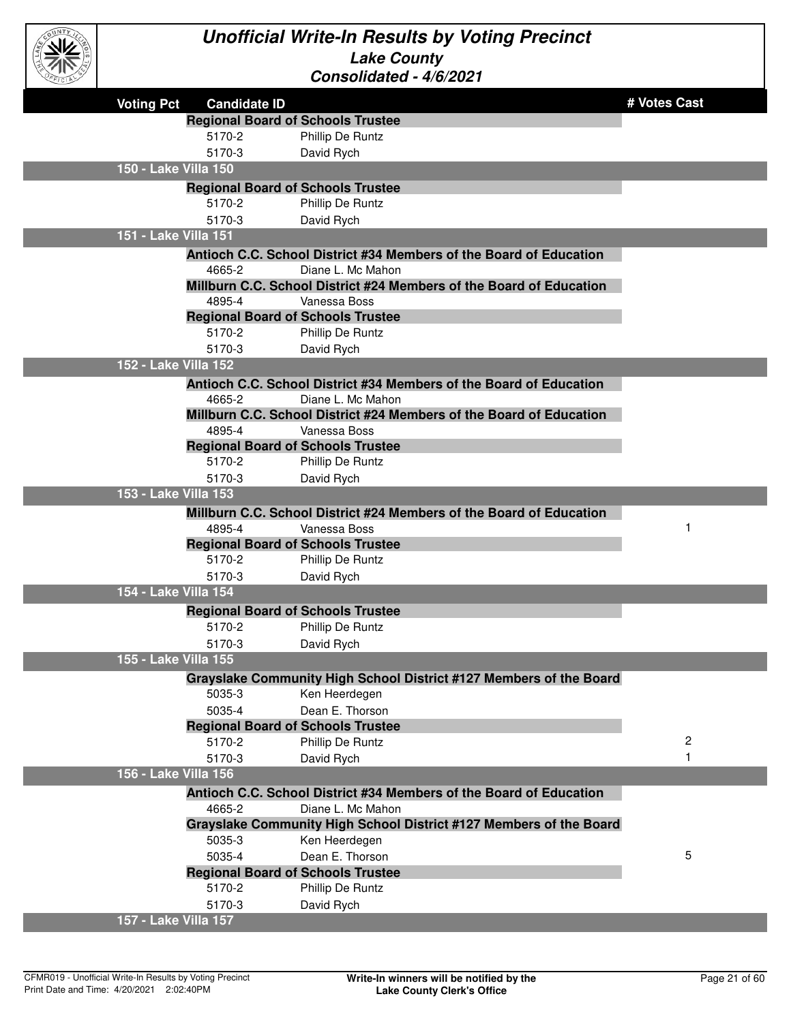

| <b>Voting Pct</b>    | <b>Candidate ID</b>                      |                                                                     | # Votes Cast |
|----------------------|------------------------------------------|---------------------------------------------------------------------|--------------|
|                      | <b>Regional Board of Schools Trustee</b> |                                                                     |              |
|                      | 5170-2                                   | Phillip De Runtz                                                    |              |
|                      | 5170-3                                   | David Rych                                                          |              |
| 150 - Lake Villa 150 |                                          |                                                                     |              |
|                      | <b>Regional Board of Schools Trustee</b> |                                                                     |              |
|                      | 5170-2                                   | Phillip De Runtz                                                    |              |
|                      | 5170-3                                   | David Rych                                                          |              |
| 151 - Lake Villa 151 |                                          |                                                                     |              |
|                      |                                          | Antioch C.C. School District #34 Members of the Board of Education  |              |
|                      | 4665-2                                   | Diane L. Mc Mahon                                                   |              |
|                      |                                          | Millburn C.C. School District #24 Members of the Board of Education |              |
|                      | 4895-4                                   | Vanessa Boss                                                        |              |
|                      | <b>Regional Board of Schools Trustee</b> |                                                                     |              |
|                      | 5170-2                                   | Phillip De Runtz                                                    |              |
|                      | 5170-3                                   | David Rych                                                          |              |
| 152 - Lake Villa 152 |                                          |                                                                     |              |
|                      |                                          | Antioch C.C. School District #34 Members of the Board of Education  |              |
|                      | 4665-2                                   | Diane L. Mc Mahon                                                   |              |
|                      |                                          | Millburn C.C. School District #24 Members of the Board of Education |              |
|                      | 4895-4                                   | Vanessa Boss                                                        |              |
|                      | <b>Regional Board of Schools Trustee</b> |                                                                     |              |
|                      | 5170-2                                   | Phillip De Runtz                                                    |              |
|                      | 5170-3                                   | David Rych                                                          |              |
| 153 - Lake Villa 153 |                                          |                                                                     |              |
|                      |                                          | Millburn C.C. School District #24 Members of the Board of Education |              |
|                      | 4895-4                                   | Vanessa Boss                                                        |              |
|                      | <b>Regional Board of Schools Trustee</b> |                                                                     |              |
|                      | 5170-2                                   | Phillip De Runtz                                                    |              |
|                      | 5170-3                                   | David Rych                                                          |              |
| 154 - Lake Villa 154 |                                          |                                                                     |              |
|                      | <b>Regional Board of Schools Trustee</b> |                                                                     |              |
|                      | 5170-2                                   | Phillip De Runtz                                                    |              |
|                      | 5170-3                                   | David Rych                                                          |              |
| 155 - Lake Villa 155 |                                          |                                                                     |              |
|                      |                                          | Grayslake Community High School District #127 Members of the Board  |              |
|                      | 5035-3                                   | Ken Heerdegen                                                       |              |
|                      | 5035-4                                   | Dean E. Thorson                                                     |              |
|                      | <b>Regional Board of Schools Trustee</b> |                                                                     |              |
|                      | 5170-2                                   | Phillip De Runtz                                                    | 2            |
|                      | 5170-3                                   | David Rych                                                          |              |
| 156 - Lake Villa 156 |                                          |                                                                     |              |
|                      |                                          | Antioch C.C. School District #34 Members of the Board of Education  |              |
|                      | 4665-2                                   | Diane L. Mc Mahon                                                   |              |
|                      |                                          | Grayslake Community High School District #127 Members of the Board  |              |
|                      | 5035-3                                   | Ken Heerdegen                                                       |              |
|                      | 5035-4                                   | Dean E. Thorson                                                     | 5            |
|                      | <b>Regional Board of Schools Trustee</b> |                                                                     |              |
|                      | 5170-2                                   | Phillip De Runtz                                                    |              |
|                      | 5170-3                                   | David Rych                                                          |              |
| 157 - Lake Villa 157 |                                          |                                                                     |              |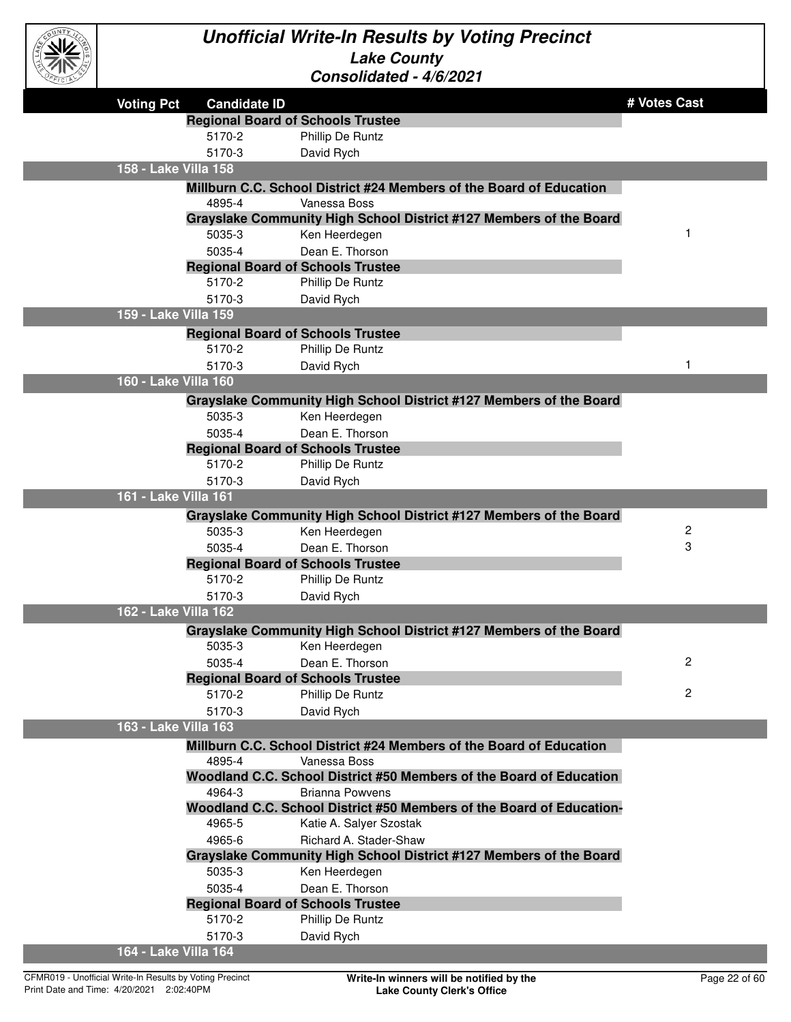

| アバルン                 |                                          |                                                                                     |                |
|----------------------|------------------------------------------|-------------------------------------------------------------------------------------|----------------|
| <b>Voting Pct</b>    | <b>Candidate ID</b>                      |                                                                                     | # Votes Cast   |
|                      | <b>Regional Board of Schools Trustee</b> |                                                                                     |                |
|                      | 5170-2                                   | Phillip De Runtz                                                                    |                |
|                      | 5170-3                                   | David Rych                                                                          |                |
| 158 - Lake Villa 158 |                                          |                                                                                     |                |
|                      |                                          | Millburn C.C. School District #24 Members of the Board of Education                 |                |
|                      | 4895-4                                   | Vanessa Boss                                                                        |                |
|                      |                                          | Grayslake Community High School District #127 Members of the Board                  |                |
|                      | 5035-3                                   | Ken Heerdegen                                                                       | 1              |
|                      | 5035-4                                   | Dean E. Thorson                                                                     |                |
|                      | <b>Regional Board of Schools Trustee</b> |                                                                                     |                |
|                      | 5170-2                                   | Phillip De Runtz                                                                    |                |
|                      | 5170-3                                   | David Rych                                                                          |                |
| 159 - Lake Villa 159 |                                          |                                                                                     |                |
|                      | <b>Regional Board of Schools Trustee</b> |                                                                                     |                |
|                      | 5170-2                                   | Phillip De Runtz                                                                    |                |
|                      | 5170-3                                   | David Rych                                                                          | 1              |
| 160 - Lake Villa 160 |                                          |                                                                                     |                |
|                      |                                          | Grayslake Community High School District #127 Members of the Board                  |                |
|                      | 5035-3                                   | Ken Heerdegen                                                                       |                |
|                      | 5035-4                                   | Dean E. Thorson                                                                     |                |
|                      | <b>Regional Board of Schools Trustee</b> |                                                                                     |                |
|                      | 5170-2                                   | Phillip De Runtz                                                                    |                |
|                      | 5170-3                                   | David Rych                                                                          |                |
| 161 - Lake Villa 161 |                                          |                                                                                     |                |
|                      |                                          | Grayslake Community High School District #127 Members of the Board                  |                |
|                      | 5035-3                                   | Ken Heerdegen                                                                       | 2              |
|                      | 5035-4                                   | Dean E. Thorson                                                                     | 3              |
|                      | <b>Regional Board of Schools Trustee</b> |                                                                                     |                |
|                      | 5170-2                                   | Phillip De Runtz                                                                    |                |
|                      | 5170-3                                   | David Rych                                                                          |                |
| 162 - Lake Villa 162 |                                          |                                                                                     |                |
|                      |                                          | Grayslake Community High School District #127 Members of the Board                  |                |
|                      | 5035-3                                   | Ken Heerdegen                                                                       |                |
|                      | 5035-4                                   | Dean E. Thorson                                                                     | 2              |
|                      | <b>Regional Board of Schools Trustee</b> |                                                                                     | $\overline{c}$ |
|                      | 5170-2                                   | Phillip De Runtz                                                                    |                |
| 163 - Lake Villa 163 | 5170-3                                   | David Rych                                                                          |                |
|                      |                                          |                                                                                     |                |
|                      | 4895-4                                   | Millburn C.C. School District #24 Members of the Board of Education                 |                |
|                      |                                          | Vanessa Boss<br>Woodland C.C. School District #50 Members of the Board of Education |                |
|                      | 4964-3                                   | <b>Brianna Powvens</b>                                                              |                |
|                      |                                          | Woodland C.C. School District #50 Members of the Board of Education-                |                |
|                      | 4965-5                                   | Katie A. Salyer Szostak                                                             |                |
|                      | 4965-6                                   | Richard A. Stader-Shaw                                                              |                |
|                      |                                          | Grayslake Community High School District #127 Members of the Board                  |                |
|                      | 5035-3                                   | Ken Heerdegen                                                                       |                |
|                      | 5035-4                                   | Dean E. Thorson                                                                     |                |
|                      | <b>Regional Board of Schools Trustee</b> |                                                                                     |                |
|                      | 5170-2                                   | Phillip De Runtz                                                                    |                |
|                      | 5170-3                                   | David Rych                                                                          |                |
| 164 - Lake Villa 164 |                                          |                                                                                     |                |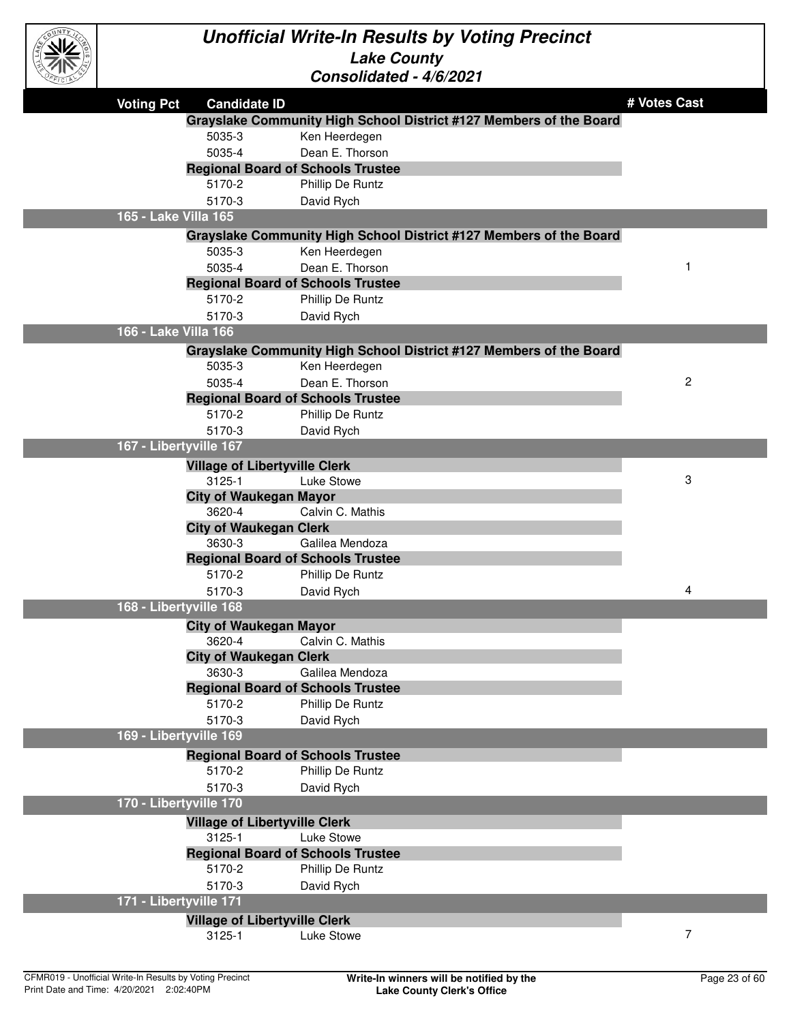

| マルン                    |                                                    |                                                                    |                |
|------------------------|----------------------------------------------------|--------------------------------------------------------------------|----------------|
| <b>Voting Pct</b>      | <b>Candidate ID</b>                                |                                                                    | # Votes Cast   |
|                        |                                                    | Grayslake Community High School District #127 Members of the Board |                |
|                        | 5035-3                                             | Ken Heerdegen                                                      |                |
|                        | 5035-4                                             | Dean E. Thorson                                                    |                |
|                        | <b>Regional Board of Schools Trustee</b>           |                                                                    |                |
|                        | 5170-2                                             | Phillip De Runtz                                                   |                |
|                        | 5170-3                                             | David Rych                                                         |                |
| 165 - Lake Villa 165   |                                                    |                                                                    |                |
|                        |                                                    | Grayslake Community High School District #127 Members of the Board |                |
|                        | 5035-3                                             | Ken Heerdegen                                                      |                |
|                        | 5035-4                                             | Dean E. Thorson                                                    | 1              |
|                        | <b>Regional Board of Schools Trustee</b>           |                                                                    |                |
|                        | 5170-2                                             | Phillip De Runtz                                                   |                |
|                        | 5170-3                                             | David Rych                                                         |                |
| 166 - Lake Villa 166   |                                                    |                                                                    |                |
|                        |                                                    | Grayslake Community High School District #127 Members of the Board |                |
|                        | 5035-3                                             | Ken Heerdegen                                                      |                |
|                        | 5035-4                                             | Dean E. Thorson                                                    | $\overline{c}$ |
|                        | <b>Regional Board of Schools Trustee</b>           |                                                                    |                |
|                        | 5170-2                                             | Phillip De Runtz                                                   |                |
|                        | 5170-3                                             | David Rych                                                         |                |
| 167 - Libertyville 167 |                                                    |                                                                    |                |
|                        | <b>Village of Libertyville Clerk</b>               |                                                                    |                |
|                        | 3125-1                                             | Luke Stowe                                                         | 3              |
|                        | <b>City of Waukegan Mayor</b>                      |                                                                    |                |
|                        | 3620-4                                             | Calvin C. Mathis                                                   |                |
|                        | <b>City of Waukegan Clerk</b>                      |                                                                    |                |
|                        | 3630-3                                             | Galilea Mendoza                                                    |                |
|                        | <b>Regional Board of Schools Trustee</b>           |                                                                    |                |
|                        | 5170-2                                             | Phillip De Runtz                                                   |                |
|                        | 5170-3                                             | David Rych                                                         | 4              |
| 168 - Libertyville 168 |                                                    |                                                                    |                |
|                        | <b>City of Waukegan Mayor</b>                      |                                                                    |                |
|                        | 3620-4                                             | Calvin C. Mathis                                                   |                |
|                        | <b>City of Waukegan Clerk</b>                      |                                                                    |                |
|                        | 3630-3                                             | Galilea Mendoza                                                    |                |
|                        | <b>Regional Board of Schools Trustee</b><br>5170-2 | Phillip De Runtz                                                   |                |
|                        | 5170-3                                             |                                                                    |                |
| 169 - Libertyville 169 |                                                    | David Rych                                                         |                |
|                        |                                                    |                                                                    |                |
|                        | <b>Regional Board of Schools Trustee</b><br>5170-2 | Phillip De Runtz                                                   |                |
|                        | 5170-3                                             | David Rych                                                         |                |
| 170 - Libertyville 170 |                                                    |                                                                    |                |
|                        |                                                    |                                                                    |                |
|                        | <b>Village of Libertyville Clerk</b><br>3125-1     | Luke Stowe                                                         |                |
|                        | <b>Regional Board of Schools Trustee</b>           |                                                                    |                |
|                        | 5170-2                                             | Phillip De Runtz                                                   |                |
|                        | 5170-3                                             | David Rych                                                         |                |
| 171 - Libertyville 171 |                                                    |                                                                    |                |
|                        | <b>Village of Libertyville Clerk</b>               |                                                                    |                |
|                        | 3125-1                                             | Luke Stowe                                                         | 7              |
|                        |                                                    |                                                                    |                |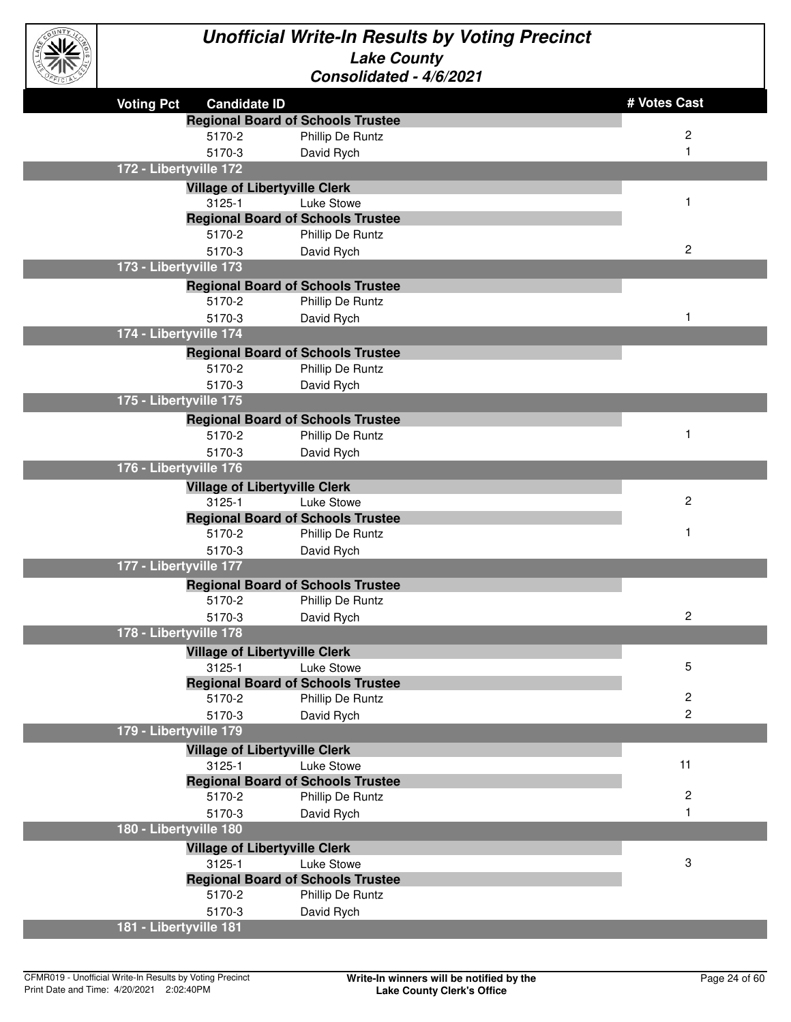

| EFICIAL |                                          | <u> CONSONOAICO - 4/0/2021</u>                         |                         |
|---------|------------------------------------------|--------------------------------------------------------|-------------------------|
|         | <b>Voting Pct</b><br><b>Candidate ID</b> |                                                        | # Votes Cast            |
|         |                                          | <b>Regional Board of Schools Trustee</b>               |                         |
|         | 5170-2                                   | Phillip De Runtz                                       | 2                       |
|         | 5170-3                                   | David Rych                                             | 1                       |
|         | 172 - Libertyville 172                   |                                                        |                         |
|         | <b>Village of Libertyville Clerk</b>     |                                                        |                         |
|         | 3125-1                                   | Luke Stowe                                             | $\mathbf 1$             |
|         |                                          | <b>Regional Board of Schools Trustee</b>               |                         |
|         | 5170-2                                   | Phillip De Runtz                                       |                         |
|         | 5170-3                                   | David Rych                                             | 2                       |
|         | 173 - Libertyville 173                   |                                                        |                         |
|         |                                          | <b>Regional Board of Schools Trustee</b>               |                         |
|         | 5170-2                                   | Phillip De Runtz                                       |                         |
|         | 5170-3                                   | David Rych                                             | 1                       |
|         | 174 - Libertyville 174                   |                                                        |                         |
|         |                                          | <b>Regional Board of Schools Trustee</b>               |                         |
|         | 5170-2                                   | Phillip De Runtz                                       |                         |
|         | 5170-3                                   | David Rych                                             |                         |
|         | 175 - Libertyville 175                   |                                                        |                         |
|         |                                          | <b>Regional Board of Schools Trustee</b>               |                         |
|         | 5170-2                                   | Phillip De Runtz                                       | $\mathbf 1$             |
|         | 5170-3                                   | David Rych                                             |                         |
|         | 176 - Libertyville 176                   |                                                        |                         |
|         | <b>Village of Libertyville Clerk</b>     |                                                        |                         |
|         | 3125-1                                   | Luke Stowe                                             | $\overline{c}$          |
|         |                                          | <b>Regional Board of Schools Trustee</b>               |                         |
|         | 5170-2                                   | Phillip De Runtz                                       | 1                       |
|         | 5170-3                                   | David Rych                                             |                         |
|         | 177 - Libertyville 177                   |                                                        |                         |
|         |                                          | <b>Regional Board of Schools Trustee</b>               |                         |
|         | 5170-2                                   | Phillip De Runtz                                       |                         |
|         | 5170-3<br>178 - Libertyville 178         | David Rych                                             | 2                       |
|         |                                          |                                                        |                         |
|         | <b>Village of Libertyville Clerk</b>     |                                                        | 5                       |
|         | 3125-1                                   | Luke Stowe<br><b>Regional Board of Schools Trustee</b> |                         |
|         | 5170-2                                   | Phillip De Runtz                                       | 2                       |
|         | 5170-3                                   | David Rych                                             | 2                       |
|         | 179 - Libertyville 179                   |                                                        |                         |
|         | <b>Village of Libertyville Clerk</b>     |                                                        |                         |
|         | 3125-1                                   | Luke Stowe                                             | 11                      |
|         |                                          | <b>Regional Board of Schools Trustee</b>               |                         |
|         | 5170-2                                   | Phillip De Runtz                                       | $\overline{\mathbf{c}}$ |
|         | 5170-3                                   | David Rych                                             | 1                       |
|         | 180 - Libertyville 180                   |                                                        |                         |
|         | <b>Village of Libertyville Clerk</b>     |                                                        |                         |
|         | 3125-1                                   | Luke Stowe                                             | 3                       |
|         |                                          | <b>Regional Board of Schools Trustee</b>               |                         |
|         | 5170-2                                   | Phillip De Runtz                                       |                         |
|         | 5170-3                                   | David Rych                                             |                         |
|         | 181 - Libertyville 181                   |                                                        |                         |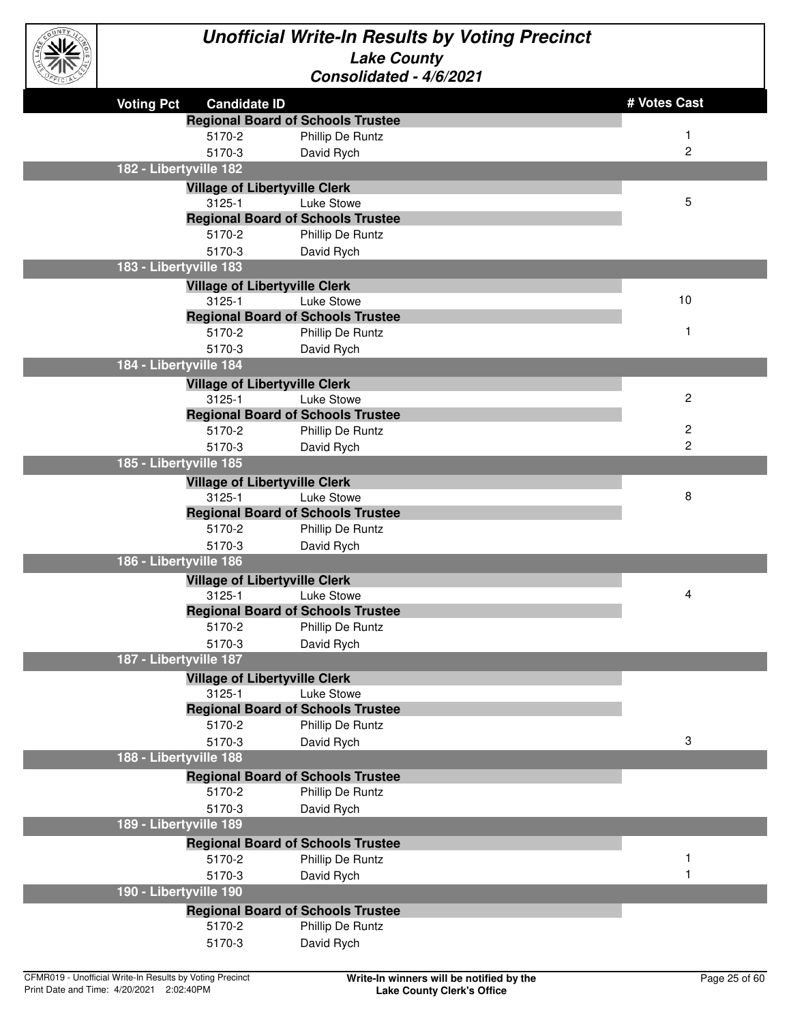

| EFICIAL           |                                      | <u> Consonualeu - 4/0/2021</u>           |              |
|-------------------|--------------------------------------|------------------------------------------|--------------|
| <b>Voting Pct</b> | <b>Candidate ID</b>                  |                                          | # Votes Cast |
|                   |                                      | <b>Regional Board of Schools Trustee</b> |              |
|                   | 5170-2                               | Phillip De Runtz                         |              |
|                   | 5170-3                               | David Rych                               | 2            |
|                   | 182 - Libertyville 182               |                                          |              |
|                   | <b>Village of Libertyville Clerk</b> |                                          |              |
|                   | 3125-1                               | Luke Stowe                               | 5            |
|                   |                                      | <b>Regional Board of Schools Trustee</b> |              |
|                   | 5170-2                               | Phillip De Runtz                         |              |
|                   | 5170-3                               | David Rych                               |              |
|                   | 183 - Libertyville 183               |                                          |              |
|                   | <b>Village of Libertyville Clerk</b> |                                          |              |
|                   | 3125-1                               | Luke Stowe                               | 10           |
|                   |                                      | <b>Regional Board of Schools Trustee</b> |              |
|                   | 5170-2                               | Phillip De Runtz                         | 1            |
|                   | 5170-3                               | David Rych                               |              |
|                   | 184 - Libertyville 184               |                                          |              |
|                   | <b>Village of Libertyville Clerk</b> |                                          |              |
|                   | $3125 - 1$                           | Luke Stowe                               | 2            |
|                   |                                      | <b>Regional Board of Schools Trustee</b> |              |
|                   | 5170-2                               | Phillip De Runtz                         | 2            |
|                   | 5170-3                               | David Rych                               | 2            |
|                   | 185 - Libertyville 185               |                                          |              |
|                   | <b>Village of Libertyville Clerk</b> |                                          |              |
|                   | 3125-1                               | Luke Stowe                               | 8            |
|                   |                                      | <b>Regional Board of Schools Trustee</b> |              |
|                   | 5170-2                               | Phillip De Runtz                         |              |
|                   | 5170-3                               | David Rych                               |              |
|                   | 186 - Libertyville 186               |                                          |              |
|                   | <b>Village of Libertyville Clerk</b> |                                          |              |
|                   | 3125-1                               | Luke Stowe                               | 4            |
|                   |                                      | <b>Regional Board of Schools Trustee</b> |              |
|                   | 5170-2                               | Phillip De Runtz                         |              |
|                   | 5170-3                               | David Rych                               |              |
|                   | 187 - Libertyville 187               |                                          |              |
|                   | <b>Village of Libertyville Clerk</b> |                                          |              |
|                   | 3125-1                               | Luke Stowe                               |              |
|                   | 5170-2                               | <b>Regional Board of Schools Trustee</b> |              |
|                   |                                      | Phillip De Runtz                         | 3            |
|                   | 5170-3<br>188 - Libertyville 188     | David Rych                               |              |
|                   |                                      |                                          |              |
|                   |                                      | <b>Regional Board of Schools Trustee</b> |              |
|                   | 5170-2                               | Phillip De Runtz                         |              |
|                   | 5170-3                               | David Rych                               |              |
|                   | 189 - Libertyville 189               |                                          |              |
|                   |                                      | <b>Regional Board of Schools Trustee</b> |              |
|                   | 5170-2                               | Phillip De Runtz                         |              |
|                   | 5170-3                               | David Rych                               |              |
|                   | 190 - Libertyville 190               |                                          |              |
|                   |                                      | <b>Regional Board of Schools Trustee</b> |              |
|                   | 5170-2                               | Phillip De Runtz                         |              |
|                   | 5170-3                               | David Rych                               |              |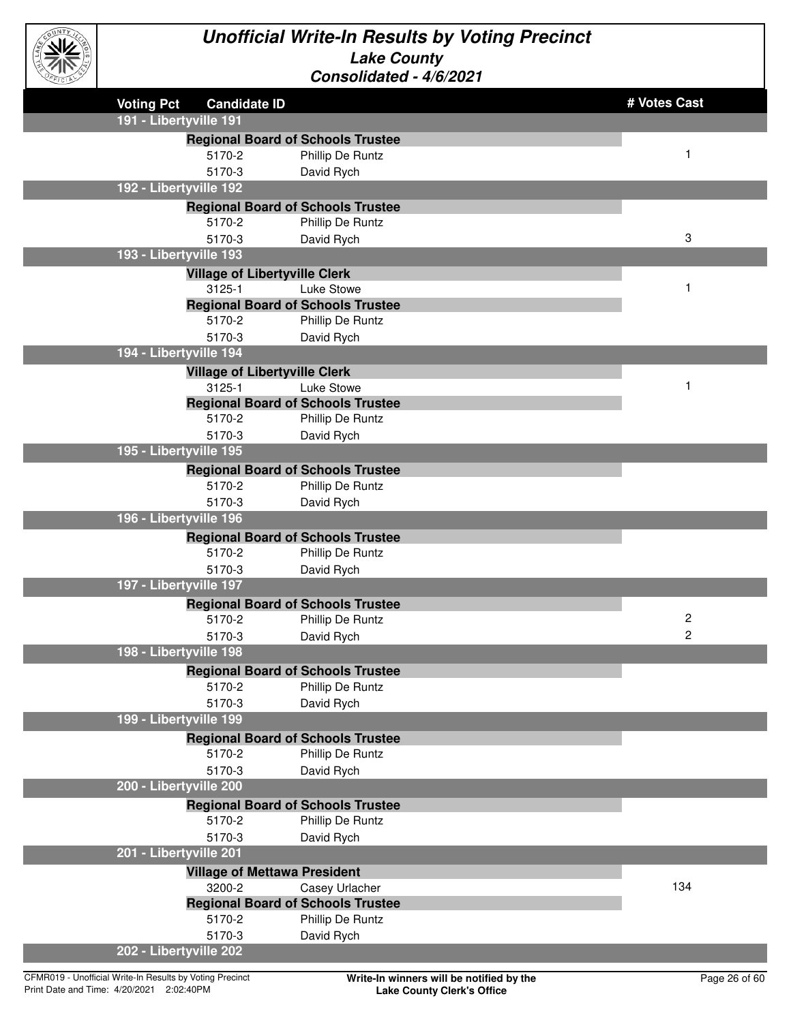

| EFICIAL |                                                                    | CONSONOGICO - 4/0/2021                   |                |
|---------|--------------------------------------------------------------------|------------------------------------------|----------------|
|         | <b>Voting Pct</b><br><b>Candidate ID</b><br>191 - Libertyville 191 |                                          | # Votes Cast   |
|         |                                                                    | <b>Regional Board of Schools Trustee</b> |                |
|         | 5170-2                                                             | Phillip De Runtz                         | 1              |
|         | 5170-3                                                             | David Rych                               |                |
|         | 192 - Libertyville 192                                             |                                          |                |
|         |                                                                    | <b>Regional Board of Schools Trustee</b> |                |
|         | 5170-2                                                             | Phillip De Runtz                         |                |
|         | 5170-3                                                             | David Rych                               | 3              |
|         | 193 - Libertyville 193                                             |                                          |                |
|         | <b>Village of Libertyville Clerk</b>                               |                                          |                |
|         | 3125-1                                                             | Luke Stowe                               | 1              |
|         |                                                                    | <b>Regional Board of Schools Trustee</b> |                |
|         | 5170-2                                                             | Phillip De Runtz                         |                |
|         | 5170-3                                                             | David Rych                               |                |
|         | 194 - Libertyville 194                                             |                                          |                |
|         | <b>Village of Libertyville Clerk</b>                               |                                          |                |
|         | 3125-1                                                             | Luke Stowe                               | 1              |
|         |                                                                    | <b>Regional Board of Schools Trustee</b> |                |
|         | 5170-2                                                             | Phillip De Runtz                         |                |
|         | 5170-3                                                             | David Rych                               |                |
|         | 195 - Libertyville 195                                             |                                          |                |
|         |                                                                    | <b>Regional Board of Schools Trustee</b> |                |
|         | 5170-2                                                             | Phillip De Runtz                         |                |
|         | 5170-3                                                             | David Rych                               |                |
|         | 196 - Libertyville 196                                             |                                          |                |
|         |                                                                    | <b>Regional Board of Schools Trustee</b> |                |
|         | 5170-2                                                             | Phillip De Runtz                         |                |
|         | 5170-3                                                             | David Rych                               |                |
|         | 197 - Libertyville 197                                             |                                          |                |
|         |                                                                    | <b>Regional Board of Schools Trustee</b> |                |
|         | 5170-2                                                             | Phillip De Runtz                         | $\overline{c}$ |
|         | 5170-3                                                             | David Rych                               | 2              |
|         | 198 - Libertyville 198                                             |                                          |                |
|         |                                                                    | <b>Regional Board of Schools Trustee</b> |                |
|         | 5170-2                                                             | Phillip De Runtz                         |                |
|         | 5170-3                                                             | David Rych                               |                |
|         | 199 - Libertyville 199                                             |                                          |                |
|         |                                                                    | <b>Regional Board of Schools Trustee</b> |                |
|         | 5170-2                                                             | Phillip De Runtz                         |                |
|         | 5170-3                                                             | David Rych                               |                |
|         | 200 - Libertyville 200                                             |                                          |                |
|         |                                                                    | <b>Regional Board of Schools Trustee</b> |                |
|         | 5170-2                                                             | Phillip De Runtz                         |                |
|         | 5170-3                                                             | David Rych                               |                |
|         | 201 - Libertyville 201                                             |                                          |                |
|         | <b>Village of Mettawa President</b>                                |                                          |                |
|         | 3200-2                                                             | Casey Urlacher                           | 134            |
|         |                                                                    | <b>Regional Board of Schools Trustee</b> |                |
|         | 5170-2                                                             | Phillip De Runtz                         |                |
|         | 5170-3                                                             | David Rych                               |                |
|         | 202 - Libertyville 202                                             |                                          |                |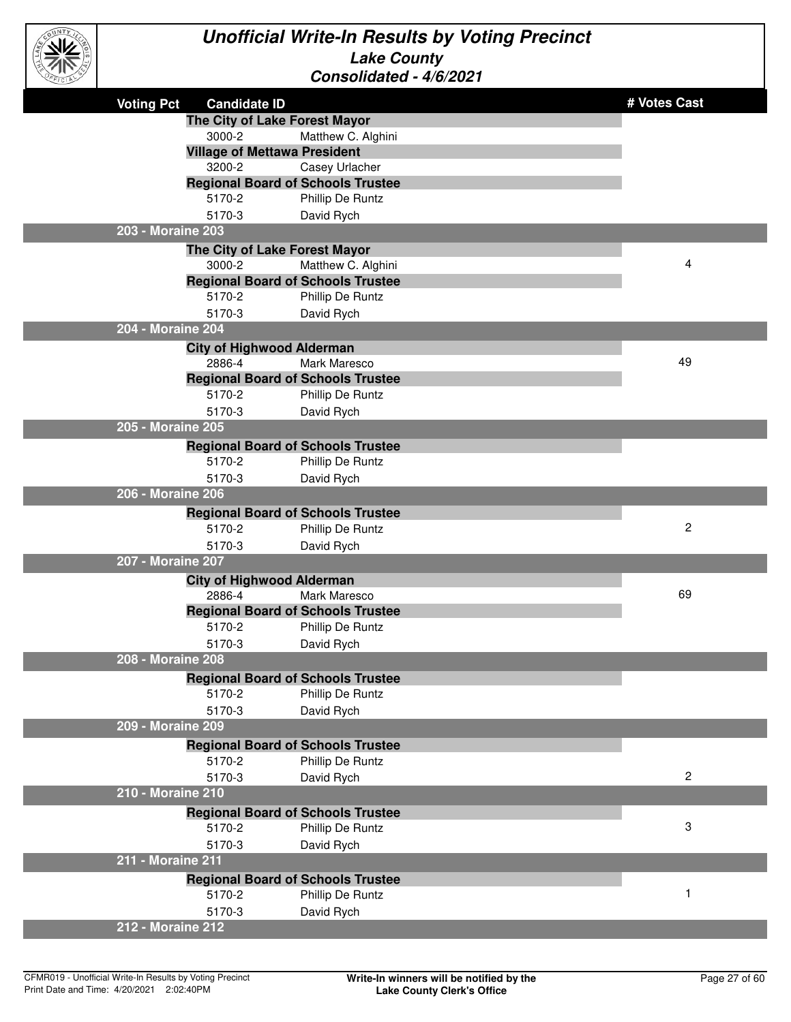

| ごにゅう |                   |                                            | novnuutu                                 |              |
|------|-------------------|--------------------------------------------|------------------------------------------|--------------|
|      | <b>Voting Pct</b> | <b>Candidate ID</b>                        |                                          | # Votes Cast |
|      |                   | The City of Lake Forest Mayor              |                                          |              |
|      |                   | 3000-2                                     | Matthew C. Alghini                       |              |
|      |                   | <b>Village of Mettawa President</b>        |                                          |              |
|      |                   | 3200-2                                     | Casey Urlacher                           |              |
|      |                   |                                            | <b>Regional Board of Schools Trustee</b> |              |
|      |                   | 5170-2                                     | Phillip De Runtz                         |              |
|      |                   | 5170-3                                     | David Rych                               |              |
|      | 203 - Moraine 203 |                                            |                                          |              |
|      |                   | The City of Lake Forest Mayor              |                                          |              |
|      |                   | 3000-2                                     | Matthew C. Alghini                       | 4            |
|      |                   |                                            | <b>Regional Board of Schools Trustee</b> |              |
|      |                   | 5170-2                                     | Phillip De Runtz                         |              |
|      | 204 - Moraine 204 | 5170-3                                     | David Rych                               |              |
|      |                   |                                            |                                          |              |
|      |                   | <b>City of Highwood Alderman</b><br>2886-4 | Mark Maresco                             | 49           |
|      |                   |                                            | <b>Regional Board of Schools Trustee</b> |              |
|      |                   | 5170-2                                     | Phillip De Runtz                         |              |
|      |                   | 5170-3                                     | David Rych                               |              |
|      | 205 - Moraine 205 |                                            |                                          |              |
|      |                   |                                            | <b>Regional Board of Schools Trustee</b> |              |
|      |                   | 5170-2                                     | Phillip De Runtz                         |              |
|      |                   | 5170-3                                     | David Rych                               |              |
|      | 206 - Moraine 206 |                                            |                                          |              |
|      |                   |                                            | <b>Regional Board of Schools Trustee</b> |              |
|      |                   | 5170-2                                     | Phillip De Runtz                         | 2            |
|      |                   | 5170-3                                     | David Rych                               |              |
|      | 207 - Moraine 207 |                                            |                                          |              |
|      |                   | <b>City of Highwood Alderman</b>           |                                          |              |
|      |                   | 2886-4                                     | <b>Mark Maresco</b>                      | 69           |
|      |                   |                                            | <b>Regional Board of Schools Trustee</b> |              |
|      |                   | 5170-2                                     | Phillip De Runtz                         |              |
|      |                   | 5170-3                                     | David Rych                               |              |
|      | 208 - Moraine 208 |                                            |                                          |              |
|      |                   |                                            | <b>Regional Board of Schools Trustee</b> |              |
|      |                   | 5170-2                                     | Phillip De Runtz                         |              |
|      |                   | 5170-3                                     | David Rych                               |              |
|      | 209 - Moraine 209 |                                            |                                          |              |
|      |                   |                                            | <b>Regional Board of Schools Trustee</b> |              |
|      |                   | 5170-2                                     | Phillip De Runtz                         |              |
|      |                   | 5170-3                                     | David Rych                               | $\mathbf{2}$ |
|      | 210 - Moraine 210 |                                            |                                          |              |
|      |                   |                                            | <b>Regional Board of Schools Trustee</b> |              |
|      |                   | 5170-2                                     | Phillip De Runtz                         | 3            |
|      |                   | 5170-3                                     | David Rych                               |              |
|      | 211 - Moraine 211 |                                            |                                          |              |
|      |                   |                                            | <b>Regional Board of Schools Trustee</b> |              |
|      |                   | 5170-2                                     | Phillip De Runtz                         | $\mathbf{1}$ |
|      |                   | 5170-3                                     | David Rych                               |              |
|      | 212 - Moraine 212 |                                            |                                          |              |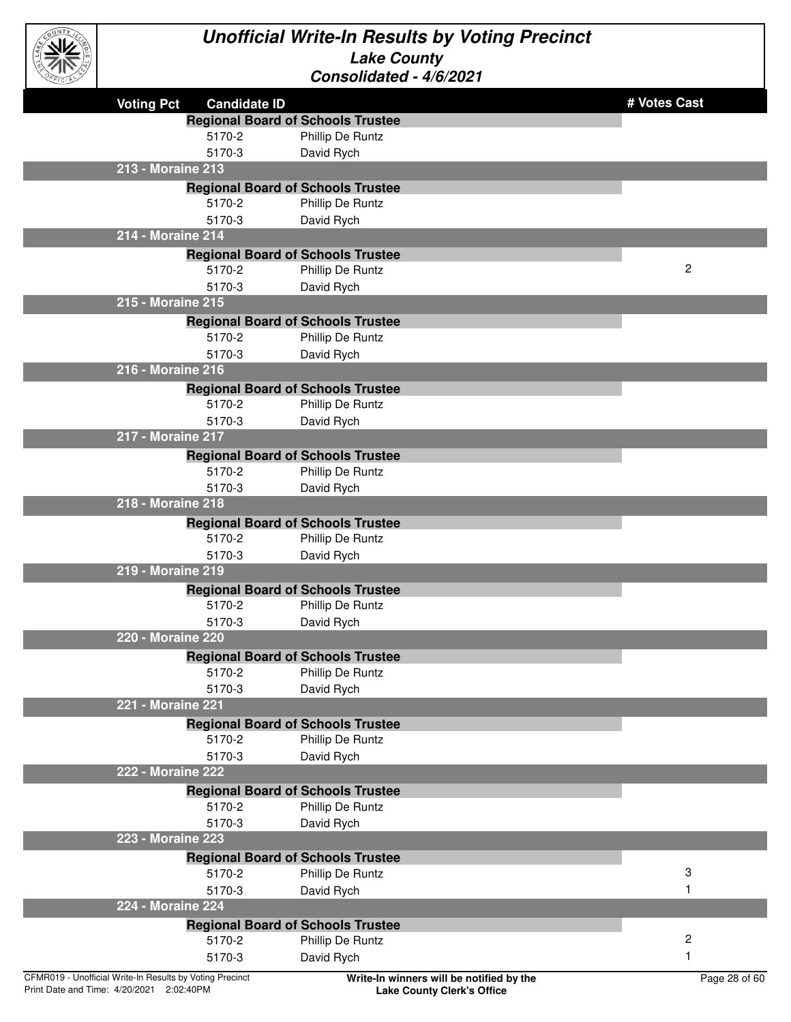

|                                                          | <b>Voting Pct</b><br><b>Candidate ID</b> |                                                              | # Votes Cast            |
|----------------------------------------------------------|------------------------------------------|--------------------------------------------------------------|-------------------------|
|                                                          |                                          | <b>Regional Board of Schools Trustee</b>                     |                         |
|                                                          | 5170-2                                   | Phillip De Runtz                                             |                         |
|                                                          | 5170-3                                   | David Rych                                                   |                         |
|                                                          | 213 - Moraine 213                        |                                                              |                         |
|                                                          |                                          | <b>Regional Board of Schools Trustee</b>                     |                         |
|                                                          | 5170-2                                   | Phillip De Runtz                                             |                         |
|                                                          | 5170-3                                   | David Rych                                                   |                         |
|                                                          | 214 - Moraine 214                        |                                                              |                         |
|                                                          |                                          | <b>Regional Board of Schools Trustee</b>                     |                         |
|                                                          | 5170-2                                   | Phillip De Runtz                                             | $\overline{c}$          |
|                                                          | 5170-3                                   | David Rych                                                   |                         |
|                                                          | 215 - Moraine 215                        |                                                              |                         |
|                                                          |                                          | <b>Regional Board of Schools Trustee</b>                     |                         |
|                                                          | 5170-2                                   | Phillip De Runtz                                             |                         |
|                                                          | 5170-3<br>216 - Moraine 216              | David Rych                                                   |                         |
|                                                          |                                          |                                                              |                         |
|                                                          | 5170-2                                   | <b>Regional Board of Schools Trustee</b><br>Phillip De Runtz |                         |
|                                                          | 5170-3                                   | David Rych                                                   |                         |
|                                                          | 217 - Moraine 217                        |                                                              |                         |
|                                                          |                                          | <b>Regional Board of Schools Trustee</b>                     |                         |
|                                                          | 5170-2                                   | Phillip De Runtz                                             |                         |
|                                                          | 5170-3                                   | David Rych                                                   |                         |
|                                                          | 218 - Moraine 218                        |                                                              |                         |
|                                                          |                                          | <b>Regional Board of Schools Trustee</b>                     |                         |
|                                                          | 5170-2                                   | Phillip De Runtz                                             |                         |
|                                                          | 5170-3                                   | David Rych                                                   |                         |
|                                                          | 219 - Moraine 219                        |                                                              |                         |
|                                                          |                                          | <b>Regional Board of Schools Trustee</b>                     |                         |
|                                                          | 5170-2                                   | Phillip De Runtz                                             |                         |
|                                                          | 5170-3                                   | David Rych                                                   |                         |
|                                                          | 220 - Moraine 220                        |                                                              |                         |
|                                                          |                                          | <b>Regional Board of Schools Trustee</b>                     |                         |
|                                                          | 5170-2                                   | Phillip De Runtz                                             |                         |
|                                                          | 5170-3                                   | David Rych                                                   |                         |
|                                                          | 221 - Moraine 221                        |                                                              |                         |
|                                                          |                                          | <b>Regional Board of Schools Trustee</b>                     |                         |
|                                                          | 5170-2                                   | Phillip De Runtz                                             |                         |
|                                                          | 5170-3                                   | David Rych                                                   |                         |
|                                                          | 222 - Moraine 222                        |                                                              |                         |
|                                                          |                                          | <b>Regional Board of Schools Trustee</b>                     |                         |
|                                                          | 5170-2                                   | Phillip De Runtz                                             |                         |
|                                                          | 5170-3                                   | David Rych                                                   |                         |
|                                                          | 223 - Moraine 223                        |                                                              |                         |
|                                                          |                                          | <b>Regional Board of Schools Trustee</b>                     |                         |
|                                                          | 5170-2                                   | Phillip De Runtz                                             | 3                       |
|                                                          | 5170-3                                   | David Rych                                                   | 1                       |
|                                                          | 224 - Moraine 224                        |                                                              |                         |
|                                                          |                                          | <b>Regional Board of Schools Trustee</b>                     |                         |
|                                                          | 5170-2                                   | Phillip De Runtz                                             | $\overline{\mathbf{c}}$ |
|                                                          | 5170-3                                   | David Rych                                                   | 1                       |
| CFMR019 - Unofficial Write-In Results by Voting Precinct |                                          | Write-In winners will be notified by the                     | Page 28 of 60           |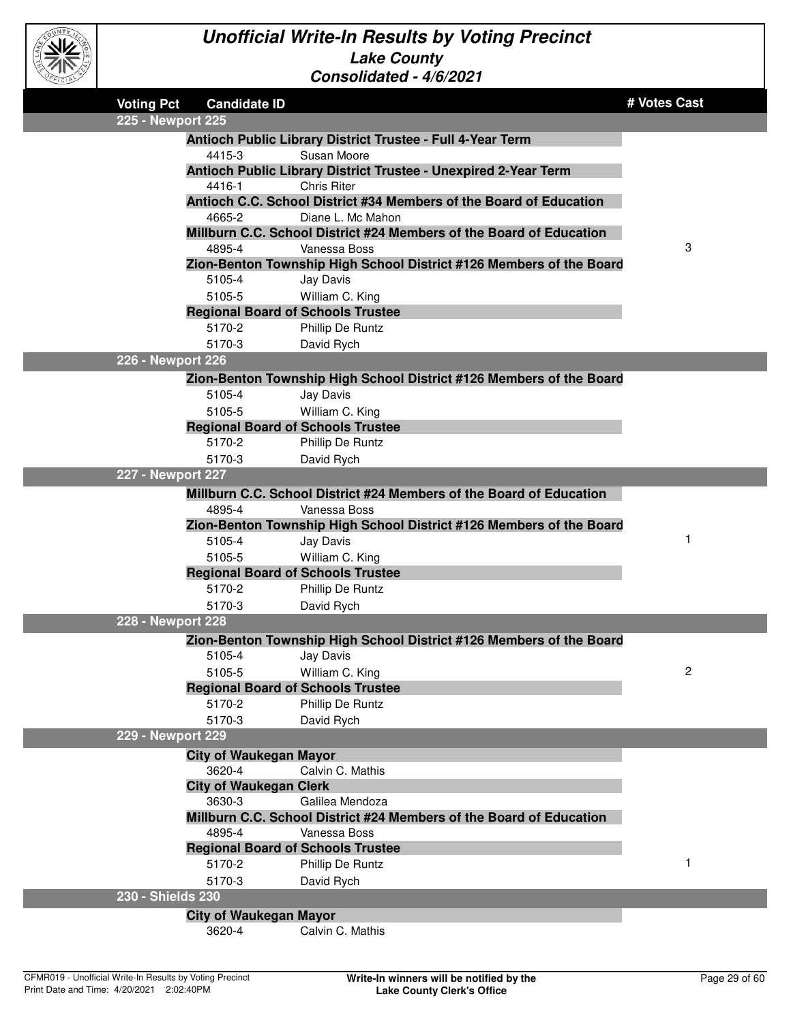

| <b>Voting Pct</b> | <b>Candidate ID</b>                      |                                                                     | # Votes Cast |
|-------------------|------------------------------------------|---------------------------------------------------------------------|--------------|
| 225 - Newport 225 |                                          |                                                                     |              |
|                   |                                          | Antioch Public Library District Trustee - Full 4-Year Term          |              |
|                   | 4415-3                                   | Susan Moore                                                         |              |
|                   |                                          | Antioch Public Library District Trustee - Unexpired 2-Year Term     |              |
|                   | 4416-1                                   | <b>Chris Riter</b>                                                  |              |
|                   |                                          | Antioch C.C. School District #34 Members of the Board of Education  |              |
|                   | 4665-2                                   | Diane L. Mc Mahon                                                   |              |
|                   |                                          | Millburn C.C. School District #24 Members of the Board of Education |              |
|                   | 4895-4                                   | Vanessa Boss                                                        | 3            |
|                   |                                          | Zion-Benton Township High School District #126 Members of the Board |              |
|                   | 5105-4                                   | Jay Davis                                                           |              |
|                   | 5105-5                                   | William C. King                                                     |              |
|                   | <b>Regional Board of Schools Trustee</b> |                                                                     |              |
|                   | 5170-2                                   | Phillip De Runtz                                                    |              |
|                   | 5170-3                                   | David Rych                                                          |              |
| 226 - Newport 226 |                                          |                                                                     |              |
|                   |                                          | Zion-Benton Township High School District #126 Members of the Board |              |
|                   | 5105-4                                   | Jay Davis                                                           |              |
|                   | 5105-5                                   | William C. King                                                     |              |
|                   | <b>Regional Board of Schools Trustee</b> |                                                                     |              |
|                   | 5170-2                                   | Phillip De Runtz                                                    |              |
|                   | 5170-3                                   | David Rych                                                          |              |
| 227 - Newport 227 |                                          |                                                                     |              |
|                   |                                          | Millburn C.C. School District #24 Members of the Board of Education |              |
|                   | 4895-4                                   | Vanessa Boss                                                        |              |
|                   |                                          | Zion-Benton Township High School District #126 Members of the Board |              |
|                   | 5105-4                                   | Jay Davis                                                           | 1            |
|                   | 5105-5                                   | William C. King                                                     |              |
|                   | <b>Regional Board of Schools Trustee</b> |                                                                     |              |
|                   | 5170-2                                   | Phillip De Runtz                                                    |              |
|                   | 5170-3                                   | David Rych                                                          |              |
| 228 - Newport 228 |                                          |                                                                     |              |
|                   |                                          | Zion-Benton Township High School District #126 Members of the Board |              |
|                   | 5105-4                                   | Jay Davis                                                           |              |
|                   | 5105-5                                   | William C. King                                                     | 2            |
|                   | <b>Regional Board of Schools Trustee</b> |                                                                     |              |
|                   | 5170-2                                   | Phillip De Runtz                                                    |              |
|                   | 5170-3                                   | David Rych                                                          |              |
| 229 - Newport 229 |                                          |                                                                     |              |
|                   | <b>City of Waukegan Mayor</b>            |                                                                     |              |
|                   | 3620-4                                   | Calvin C. Mathis                                                    |              |
|                   | <b>City of Waukegan Clerk</b>            |                                                                     |              |
|                   | 3630-3                                   | Galilea Mendoza                                                     |              |
|                   |                                          | Millburn C.C. School District #24 Members of the Board of Education |              |
|                   | 4895-4                                   | Vanessa Boss                                                        |              |
|                   | <b>Regional Board of Schools Trustee</b> |                                                                     |              |
|                   | 5170-2                                   | Phillip De Runtz                                                    | 1            |
|                   | 5170-3                                   | David Rych                                                          |              |
| 230 - Shields 230 |                                          |                                                                     |              |
|                   | <b>City of Waukegan Mayor</b>            |                                                                     |              |
|                   | 3620-4                                   | Calvin C. Mathis                                                    |              |
|                   |                                          |                                                                     |              |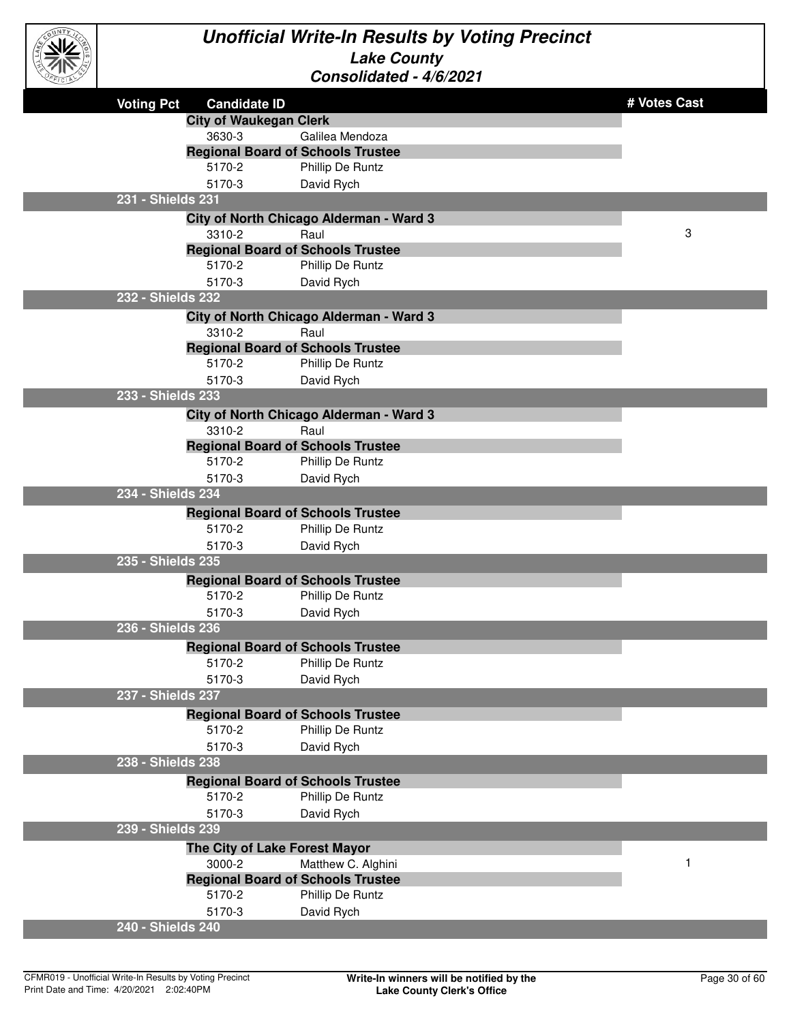

| <b>Voting Pct</b> | <b>Candidate ID</b>           |                                                              | # Votes Cast |
|-------------------|-------------------------------|--------------------------------------------------------------|--------------|
|                   | <b>City of Waukegan Clerk</b> |                                                              |              |
|                   | 3630-3                        | Galilea Mendoza                                              |              |
|                   |                               | <b>Regional Board of Schools Trustee</b>                     |              |
|                   | 5170-2                        | Phillip De Runtz                                             |              |
|                   | 5170-3                        | David Rych                                                   |              |
|                   | 231 - Shields 231             |                                                              |              |
|                   |                               | City of North Chicago Alderman - Ward 3                      |              |
|                   | 3310-2                        | Raul                                                         | 3            |
|                   |                               | <b>Regional Board of Schools Trustee</b>                     |              |
|                   | 5170-2                        | Phillip De Runtz                                             |              |
|                   | 5170-3                        | David Rych                                                   |              |
|                   | 232 - Shields 232             |                                                              |              |
|                   |                               | City of North Chicago Alderman - Ward 3                      |              |
|                   | 3310-2                        | Raul                                                         |              |
|                   |                               | <b>Regional Board of Schools Trustee</b>                     |              |
|                   | 5170-2                        | Phillip De Runtz                                             |              |
|                   | 5170-3                        | David Rych                                                   |              |
|                   | 233 - Shields 233             |                                                              |              |
|                   |                               | City of North Chicago Alderman - Ward 3                      |              |
|                   | 3310-2                        | Raul                                                         |              |
|                   | 5170-2                        | <b>Regional Board of Schools Trustee</b>                     |              |
|                   | 5170-3                        | Phillip De Runtz                                             |              |
|                   | 234 - Shields 234             | David Rych                                                   |              |
|                   |                               |                                                              |              |
|                   | 5170-2                        | <b>Regional Board of Schools Trustee</b><br>Phillip De Runtz |              |
|                   | 5170-3                        | David Rych                                                   |              |
|                   | 235 - Shields 235             |                                                              |              |
|                   |                               |                                                              |              |
|                   | 5170-2                        | <b>Regional Board of Schools Trustee</b><br>Phillip De Runtz |              |
|                   | 5170-3                        | David Rych                                                   |              |
|                   | 236 - Shields 236             |                                                              |              |
|                   |                               |                                                              |              |
|                   |                               | <b>Regional Board of Schools Trustee</b>                     |              |
|                   | 5170-2<br>5170-3              | Phillip De Runtz<br>David Rych                               |              |
|                   | 237 - Shields 237             |                                                              |              |
|                   |                               |                                                              |              |
|                   |                               | <b>Regional Board of Schools Trustee</b>                     |              |
|                   | 5170-2                        | Phillip De Runtz                                             |              |
|                   | 5170-3<br>238 - Shields 238   | David Rych                                                   |              |
|                   |                               |                                                              |              |
|                   |                               | <b>Regional Board of Schools Trustee</b>                     |              |
|                   | 5170-2                        | Phillip De Runtz                                             |              |
|                   | 5170-3<br>239 - Shields 239   | David Rych                                                   |              |
|                   |                               |                                                              |              |
|                   |                               | The City of Lake Forest Mayor                                |              |
|                   | 3000-2                        | Matthew C. Alghini                                           |              |
|                   |                               | <b>Regional Board of Schools Trustee</b>                     |              |
|                   | 5170-2                        | Phillip De Runtz                                             |              |
|                   | 5170-3                        | David Rych                                                   |              |
|                   | 240 - Shields 240             |                                                              |              |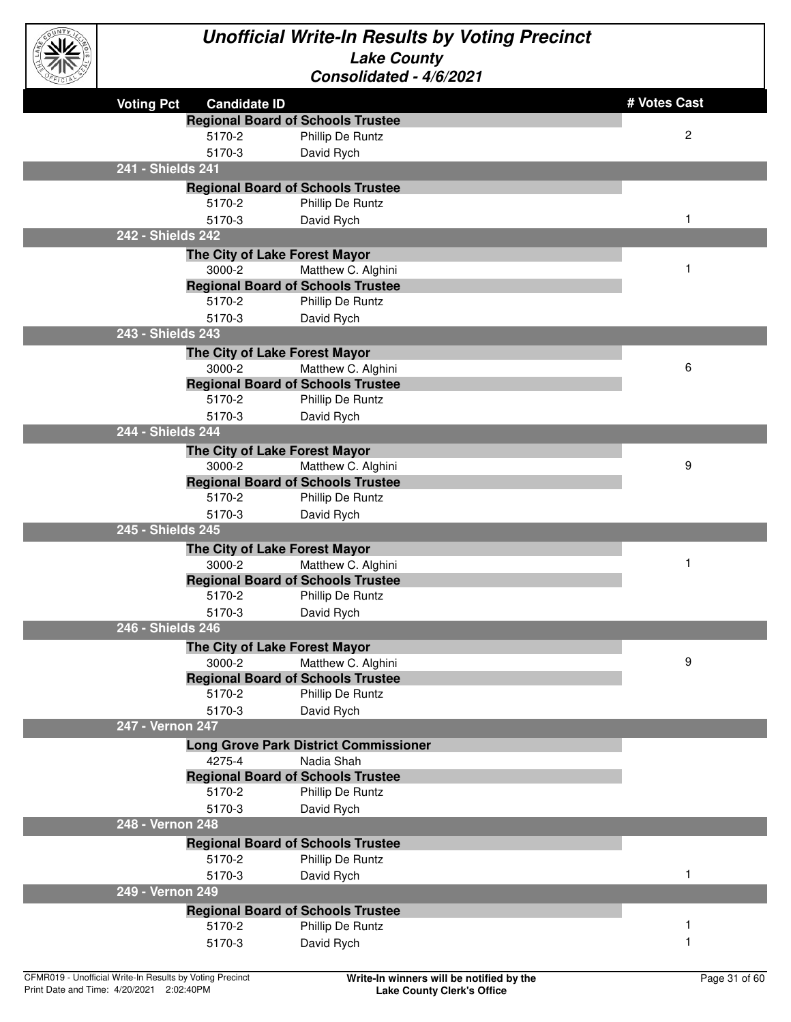

| <b>Voting Pct</b><br><b>Candidate ID</b>                       | # Votes Cast   |
|----------------------------------------------------------------|----------------|
| <b>Regional Board of Schools Trustee</b>                       |                |
| 5170-2<br>Phillip De Runtz                                     | $\overline{c}$ |
| 5170-3<br>David Rych                                           |                |
| 241 - Shields 241                                              |                |
| <b>Regional Board of Schools Trustee</b>                       |                |
| Phillip De Runtz<br>5170-2                                     |                |
| 5170-3<br>David Rych<br>242 - Shields 242                      | 1              |
|                                                                |                |
| The City of Lake Forest Mayor<br>3000-2                        | 1              |
| Matthew C. Alghini<br><b>Regional Board of Schools Trustee</b> |                |
| 5170-2<br>Phillip De Runtz                                     |                |
| 5170-3<br>David Rych                                           |                |
| 243 - Shields 243                                              |                |
| The City of Lake Forest Mayor                                  |                |
| 3000-2<br>Matthew C. Alghini                                   | 6              |
| <b>Regional Board of Schools Trustee</b>                       |                |
| 5170-2<br>Phillip De Runtz                                     |                |
| 5170-3<br>David Rych                                           |                |
| 244 - Shields 244                                              |                |
| The City of Lake Forest Mayor                                  |                |
| 3000-2<br>Matthew C. Alghini                                   | 9              |
| <b>Regional Board of Schools Trustee</b>                       |                |
| 5170-2<br>Phillip De Runtz                                     |                |
| 5170-3<br>David Rych                                           |                |
| 245 - Shields 245                                              |                |
| The City of Lake Forest Mayor                                  |                |
| 3000-2<br>Matthew C. Alghini                                   | $\mathbf 1$    |
| <b>Regional Board of Schools Trustee</b>                       |                |
| 5170-2<br>Phillip De Runtz                                     |                |
| 5170-3<br>David Rych<br>246 - Shields 246                      |                |
|                                                                |                |
| The City of Lake Forest Mayor<br>Matthew C. Alghini<br>3000-2  | 9              |
| <b>Regional Board of Schools Trustee</b>                       |                |
| 5170-2<br>Phillip De Runtz                                     |                |
| 5170-3<br>David Rych                                           |                |
| 247 - Vernon 247                                               |                |
| <b>Long Grove Park District Commissioner</b>                   |                |
| 4275-4<br>Nadia Shah                                           |                |
| <b>Regional Board of Schools Trustee</b>                       |                |
| 5170-2<br>Phillip De Runtz                                     |                |
| 5170-3<br>David Rych                                           |                |
| 248 - Vernon 248                                               |                |
| <b>Regional Board of Schools Trustee</b>                       |                |
| 5170-2<br>Phillip De Runtz                                     |                |
| 5170-3<br>David Rych                                           | 1              |
| 249 - Vernon 249                                               |                |
| <b>Regional Board of Schools Trustee</b>                       |                |
| 5170-2<br>Phillip De Runtz                                     |                |
| 5170-3<br>David Rych                                           |                |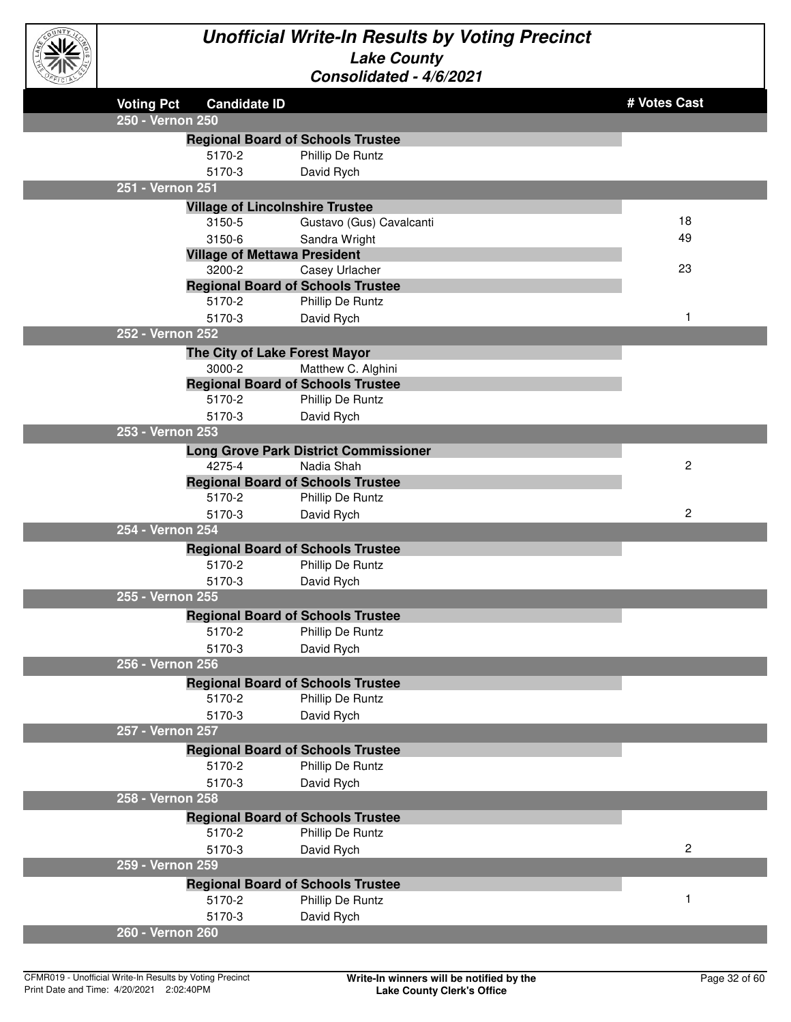

| $\sim$            |                                        |                                              |                |
|-------------------|----------------------------------------|----------------------------------------------|----------------|
| <b>Voting Pct</b> | <b>Candidate ID</b>                    |                                              | # Votes Cast   |
| 250 - Vernon 250  |                                        |                                              |                |
|                   |                                        | <b>Regional Board of Schools Trustee</b>     |                |
|                   | 5170-2                                 | Phillip De Runtz                             |                |
|                   | 5170-3                                 | David Rych                                   |                |
| 251 - Vernon 251  |                                        |                                              |                |
|                   | <b>Village of Lincolnshire Trustee</b> |                                              |                |
|                   | 3150-5                                 | Gustavo (Gus) Cavalcanti                     | 18             |
|                   | 3150-6                                 | Sandra Wright                                | 49             |
|                   | <b>Village of Mettawa President</b>    |                                              |                |
|                   | 3200-2                                 | Casey Urlacher                               | 23             |
|                   |                                        | <b>Regional Board of Schools Trustee</b>     |                |
|                   | 5170-2                                 | Phillip De Runtz                             |                |
|                   | 5170-3                                 | David Rych                                   | 1              |
| 252 - Vernon 252  |                                        |                                              |                |
|                   | The City of Lake Forest Mayor          |                                              |                |
|                   | 3000-2                                 | Matthew C. Alghini                           |                |
|                   |                                        | <b>Regional Board of Schools Trustee</b>     |                |
|                   | 5170-2                                 | Phillip De Runtz                             |                |
|                   | 5170-3                                 | David Rych                                   |                |
| 253 - Vernon 253  |                                        |                                              |                |
|                   |                                        | <b>Long Grove Park District Commissioner</b> |                |
|                   | 4275-4                                 | Nadia Shah                                   | $\overline{c}$ |
|                   |                                        | <b>Regional Board of Schools Trustee</b>     |                |
|                   | 5170-2                                 | Phillip De Runtz                             |                |
| 254 - Vernon 254  | 5170-3                                 | David Rych                                   | $\overline{c}$ |
|                   |                                        |                                              |                |
|                   |                                        | <b>Regional Board of Schools Trustee</b>     |                |
|                   | 5170-2                                 | Phillip De Runtz                             |                |
| 255 - Vernon 255  | 5170-3                                 | David Rych                                   |                |
|                   |                                        |                                              |                |
|                   |                                        | <b>Regional Board of Schools Trustee</b>     |                |
|                   | 5170-2                                 | Phillip De Runtz                             |                |
|                   | 5170-3                                 | David Rych                                   |                |
| 256 - Vernon 256  |                                        |                                              |                |
|                   |                                        | <b>Regional Board of Schools Trustee</b>     |                |
|                   | 5170-2                                 | Phillip De Runtz                             |                |
|                   | 5170-3                                 | David Rych                                   |                |
| 257 - Vernon 257  |                                        |                                              |                |
|                   |                                        | <b>Regional Board of Schools Trustee</b>     |                |
|                   | 5170-2                                 | Phillip De Runtz                             |                |
|                   | 5170-3                                 | David Rych                                   |                |
| 258 - Vernon 258  |                                        |                                              |                |
|                   |                                        | <b>Regional Board of Schools Trustee</b>     |                |
|                   | 5170-2                                 | Phillip De Runtz                             |                |
|                   | 5170-3                                 | David Rych                                   | $\overline{c}$ |
| 259 - Vernon 259  |                                        |                                              |                |
|                   |                                        | <b>Regional Board of Schools Trustee</b>     |                |
|                   | 5170-2                                 | Phillip De Runtz                             | 1              |
|                   | 5170-3                                 | David Rych                                   |                |
| 260 - Vernon 260  |                                        |                                              |                |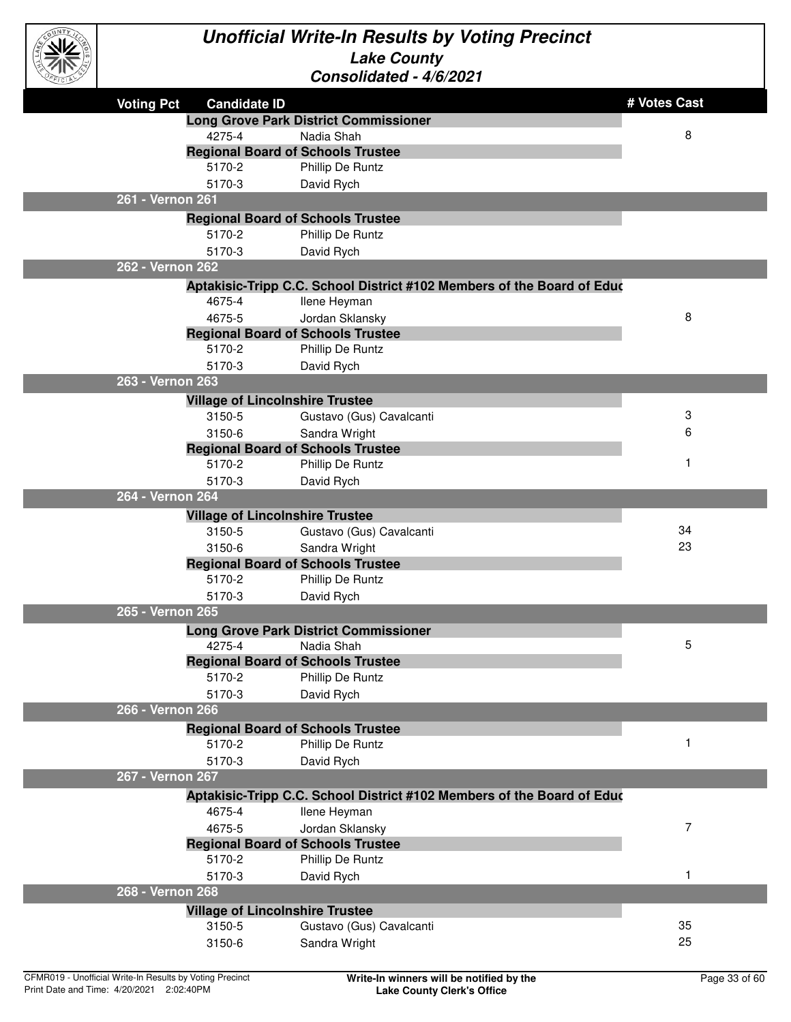

| <b>ELCIPA</b> |                   |                                        | UUIISUIIUAIGU - 7/U/4U4 I                                                              |              |
|---------------|-------------------|----------------------------------------|----------------------------------------------------------------------------------------|--------------|
|               | <b>Voting Pct</b> | <b>Candidate ID</b>                    |                                                                                        | # Votes Cast |
|               |                   |                                        | <b>Long Grove Park District Commissioner</b>                                           |              |
|               |                   | 4275-4                                 | Nadia Shah                                                                             | 8            |
|               |                   |                                        | <b>Regional Board of Schools Trustee</b>                                               |              |
|               |                   | 5170-2                                 | Phillip De Runtz                                                                       |              |
|               |                   | 5170-3                                 | David Rych                                                                             |              |
|               | 261 - Vernon 261  |                                        |                                                                                        |              |
|               |                   |                                        | <b>Regional Board of Schools Trustee</b>                                               |              |
|               |                   | 5170-2                                 | Phillip De Runtz                                                                       |              |
|               |                   | 5170-3                                 | David Rych                                                                             |              |
|               | 262 - Vernon 262  |                                        |                                                                                        |              |
|               |                   |                                        | Aptakisic-Tripp C.C. School District #102 Members of the Board of Educ                 |              |
|               |                   | 4675-4                                 | llene Heyman                                                                           |              |
|               |                   | 4675-5                                 | Jordan Sklansky                                                                        | 8            |
|               |                   |                                        | <b>Regional Board of Schools Trustee</b>                                               |              |
|               |                   | 5170-2                                 | Phillip De Runtz                                                                       |              |
|               |                   | 5170-3                                 | David Rych                                                                             |              |
|               | 263 - Vernon 263  |                                        |                                                                                        |              |
|               |                   | <b>Village of Lincolnshire Trustee</b> |                                                                                        |              |
|               |                   | 3150-5                                 | Gustavo (Gus) Cavalcanti                                                               | 3            |
|               |                   | 3150-6                                 | Sandra Wright                                                                          | 6            |
|               |                   |                                        | <b>Regional Board of Schools Trustee</b>                                               |              |
|               |                   | 5170-2                                 | Phillip De Runtz                                                                       | 1            |
|               |                   | 5170-3                                 | David Rych                                                                             |              |
|               | 264 - Vernon 264  |                                        |                                                                                        |              |
|               |                   | <b>Village of Lincolnshire Trustee</b> |                                                                                        |              |
|               |                   | 3150-5                                 | Gustavo (Gus) Cavalcanti                                                               | 34           |
|               |                   | 3150-6                                 | Sandra Wright                                                                          | 23           |
|               |                   |                                        | <b>Regional Board of Schools Trustee</b>                                               |              |
|               |                   | 5170-2                                 | Phillip De Runtz                                                                       |              |
|               |                   | 5170-3                                 | David Rych                                                                             |              |
|               | 265 - Vernon 265  |                                        |                                                                                        |              |
|               |                   |                                        | <b>Long Grove Park District Commissioner</b>                                           |              |
|               |                   | 4275-4                                 | Nadia Shah                                                                             | 5            |
|               |                   |                                        | <b>Regional Board of Schools Trustee</b>                                               |              |
|               |                   | 5170-2                                 | Phillip De Runtz                                                                       |              |
|               | 266 - Vernon 266  | 5170-3                                 | David Rych                                                                             |              |
|               |                   |                                        |                                                                                        |              |
|               |                   | 5170-2                                 | <b>Regional Board of Schools Trustee</b><br>Phillip De Runtz                           | $\mathbf 1$  |
|               |                   | 5170-3                                 |                                                                                        |              |
|               | 267 - Vernon 267  |                                        | David Rych                                                                             |              |
|               |                   |                                        |                                                                                        |              |
|               |                   | 4675-4                                 | Aptakisic-Tripp C.C. School District #102 Members of the Board of Educ<br>llene Heyman |              |
|               |                   | 4675-5                                 | Jordan Sklansky                                                                        | 7            |
|               |                   |                                        | <b>Regional Board of Schools Trustee</b>                                               |              |
|               |                   | 5170-2                                 | Phillip De Runtz                                                                       |              |
|               |                   | 5170-3                                 | David Rych                                                                             | 1            |
|               | 268 - Vernon 268  |                                        |                                                                                        |              |
|               |                   | <b>Village of Lincolnshire Trustee</b> |                                                                                        |              |
|               |                   | 3150-5                                 | Gustavo (Gus) Cavalcanti                                                               | 35           |
|               |                   | 3150-6                                 | Sandra Wright                                                                          | 25           |
|               |                   |                                        |                                                                                        |              |
|               |                   |                                        |                                                                                        |              |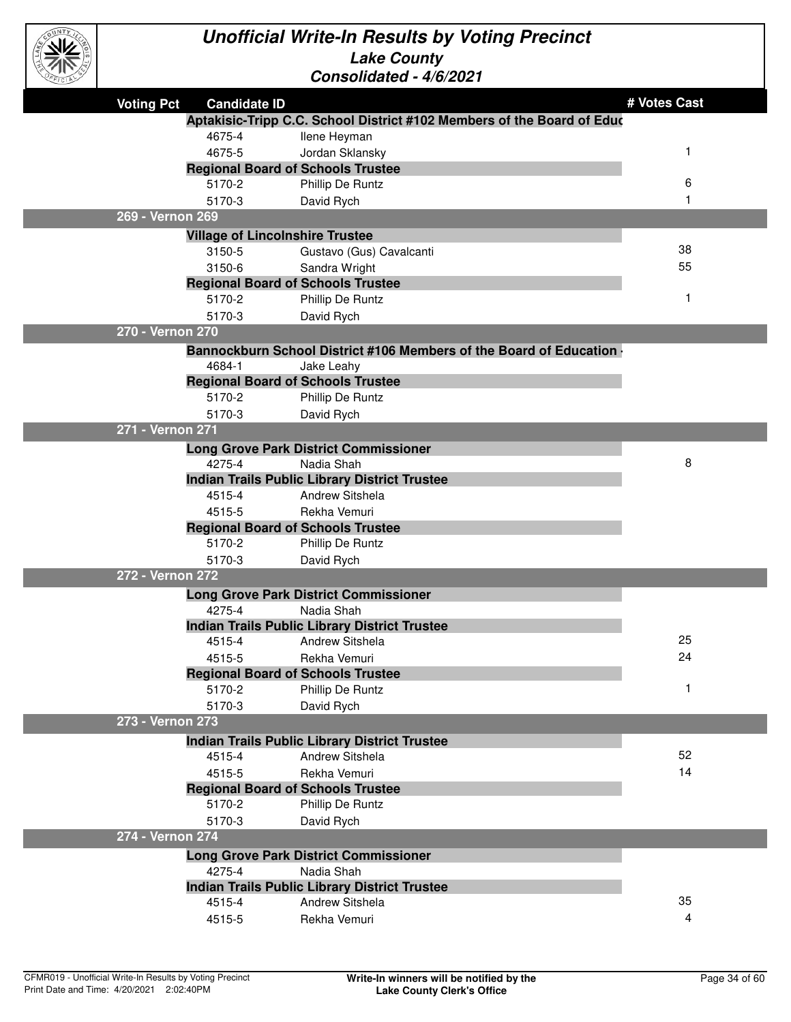

| マルン               |                                        |                                                                        |              |
|-------------------|----------------------------------------|------------------------------------------------------------------------|--------------|
| <b>Voting Pct</b> | <b>Candidate ID</b>                    |                                                                        | # Votes Cast |
|                   |                                        | Aptakisic-Tripp C.C. School District #102 Members of the Board of Educ |              |
|                   | 4675-4                                 | Ilene Heyman                                                           |              |
|                   | 4675-5                                 | Jordan Sklansky                                                        |              |
|                   |                                        | <b>Regional Board of Schools Trustee</b>                               |              |
|                   | 5170-2                                 | Phillip De Runtz                                                       | 6            |
|                   | 5170-3                                 | David Rych                                                             |              |
| 269 - Vernon 269  |                                        |                                                                        |              |
|                   | <b>Village of Lincolnshire Trustee</b> |                                                                        |              |
|                   | 3150-5                                 | Gustavo (Gus) Cavalcanti                                               | 38           |
|                   | 3150-6                                 | Sandra Wright                                                          | 55           |
|                   |                                        | <b>Regional Board of Schools Trustee</b>                               |              |
|                   | 5170-2                                 | Phillip De Runtz                                                       | 1            |
|                   | 5170-3                                 | David Rych                                                             |              |
| 270 - Vernon 270  |                                        |                                                                        |              |
|                   |                                        | Bannockburn School District #106 Members of the Board of Education     |              |
|                   | 4684-1                                 | Jake Leahy                                                             |              |
|                   |                                        | <b>Regional Board of Schools Trustee</b>                               |              |
|                   | 5170-2                                 | Phillip De Runtz                                                       |              |
|                   | 5170-3                                 | David Rych                                                             |              |
| 271 - Vernon 271  |                                        |                                                                        |              |
|                   |                                        | <b>Long Grove Park District Commissioner</b>                           |              |
|                   | 4275-4                                 | Nadia Shah                                                             | 8            |
|                   |                                        | <b>Indian Trails Public Library District Trustee</b>                   |              |
|                   | 4515-4                                 | Andrew Sitshela                                                        |              |
|                   | 4515-5                                 | Rekha Vemuri                                                           |              |
|                   |                                        | <b>Regional Board of Schools Trustee</b>                               |              |
|                   | 5170-2                                 | Phillip De Runtz                                                       |              |
| 272 - Vernon 272  | 5170-3                                 | David Rych                                                             |              |
|                   |                                        |                                                                        |              |
|                   | 4275-4                                 | <b>Long Grove Park District Commissioner</b><br>Nadia Shah             |              |
|                   |                                        | <b>Indian Trails Public Library District Trustee</b>                   |              |
|                   | 4515-4                                 | <b>Andrew Sitshela</b>                                                 | 25           |
|                   | 4515-5                                 | Rekha Vemuri                                                           | 24           |
|                   |                                        | <b>Regional Board of Schools Trustee</b>                               |              |
|                   | 5170-2                                 | Phillip De Runtz                                                       |              |
|                   | 5170-3                                 | David Rych                                                             |              |
| 273 - Vernon 273  |                                        |                                                                        |              |
|                   |                                        | <b>Indian Trails Public Library District Trustee</b>                   |              |
|                   | 4515-4                                 | Andrew Sitshela                                                        | 52           |
|                   | 4515-5                                 | Rekha Vemuri                                                           | 14           |
|                   |                                        | <b>Regional Board of Schools Trustee</b>                               |              |
|                   | 5170-2                                 | Phillip De Runtz                                                       |              |
|                   | 5170-3                                 | David Rych                                                             |              |
| 274 - Vernon 274  |                                        |                                                                        |              |
|                   |                                        | <b>Long Grove Park District Commissioner</b>                           |              |
|                   | 4275-4                                 | Nadia Shah                                                             |              |
|                   |                                        | <b>Indian Trails Public Library District Trustee</b>                   |              |
|                   | 4515-4                                 | Andrew Sitshela                                                        | 35           |
|                   | 4515-5                                 | Rekha Vemuri                                                           | 4            |
|                   |                                        |                                                                        |              |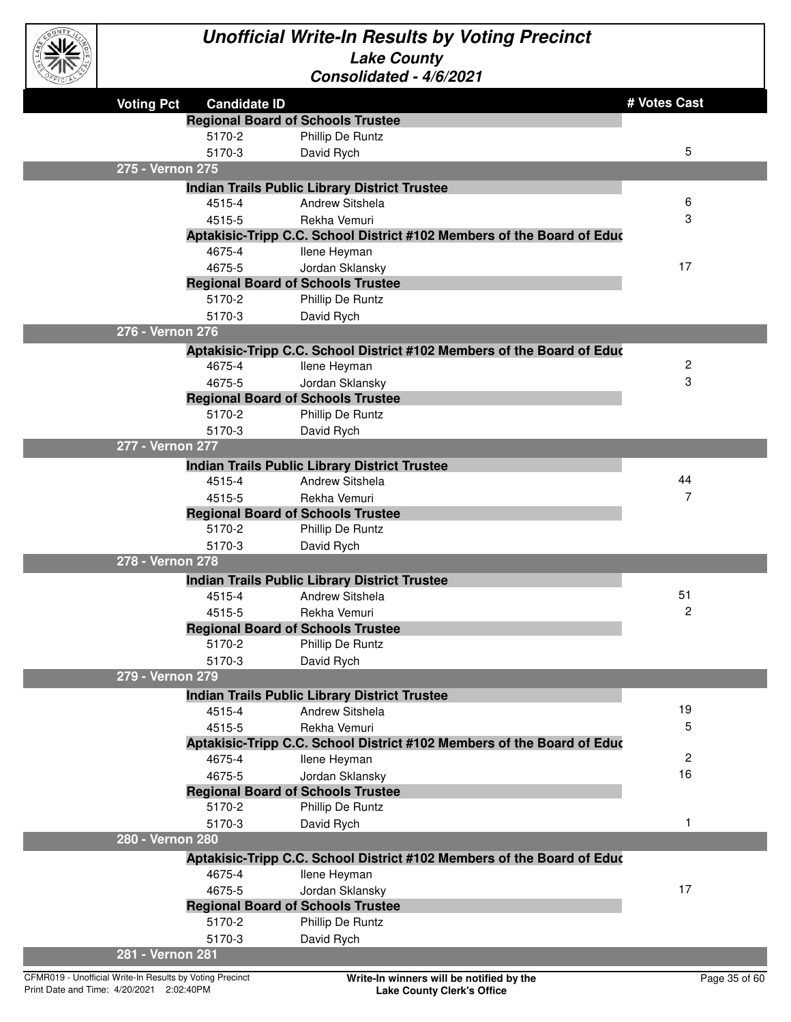

| $\sim$            |                                                    |                                                                         |              |
|-------------------|----------------------------------------------------|-------------------------------------------------------------------------|--------------|
| <b>Voting Pct</b> | <b>Candidate ID</b>                                |                                                                         | # Votes Cast |
|                   | <b>Regional Board of Schools Trustee</b>           |                                                                         |              |
|                   | 5170-2                                             | Phillip De Runtz                                                        |              |
|                   | 5170-3                                             | David Rych                                                              | 5            |
| 275 - Vernon 275  |                                                    |                                                                         |              |
|                   |                                                    | <b>Indian Trails Public Library District Trustee</b>                    |              |
|                   | 4515-4                                             | <b>Andrew Sitshela</b>                                                  | 6            |
|                   | 4515-5                                             | Rekha Vemuri                                                            | 3            |
|                   |                                                    | Aptakisic-Tripp C.C. School District #102 Members of the Board of Educ  |              |
|                   | 4675-4                                             | Ilene Heyman                                                            |              |
|                   | 4675-5                                             | Jordan Sklansky                                                         | 17           |
|                   | <b>Regional Board of Schools Trustee</b>           |                                                                         |              |
|                   | 5170-2                                             | Phillip De Runtz                                                        |              |
|                   | 5170-3                                             | David Rych                                                              |              |
| 276 - Vernon 276  |                                                    |                                                                         |              |
|                   |                                                    | Aptakisic-Tripp C.C. School District #102 Members of the Board of Educ  |              |
|                   | 4675-4                                             | llene Heyman                                                            | 2            |
|                   | 4675-5                                             | Jordan Sklansky                                                         | 3            |
|                   | <b>Regional Board of Schools Trustee</b>           |                                                                         |              |
|                   | 5170-2                                             | Phillip De Runtz                                                        |              |
|                   | 5170-3                                             | David Rych                                                              |              |
| 277 - Vernon 277  |                                                    |                                                                         |              |
|                   |                                                    | <b>Indian Trails Public Library District Trustee</b>                    |              |
|                   | 4515-4                                             | Andrew Sitshela                                                         | 44           |
|                   | 4515-5                                             | Rekha Vemuri                                                            | 7            |
|                   | <b>Regional Board of Schools Trustee</b><br>5170-2 |                                                                         |              |
|                   | 5170-3                                             | Phillip De Runtz                                                        |              |
| 278 - Vernon 278  |                                                    | David Rych                                                              |              |
|                   |                                                    |                                                                         |              |
|                   | 4515-4                                             | <b>Indian Trails Public Library District Trustee</b><br>Andrew Sitshela | 51           |
|                   | 4515-5                                             | Rekha Vemuri                                                            | 2            |
|                   | <b>Regional Board of Schools Trustee</b>           |                                                                         |              |
|                   | 5170-2                                             | Phillip De Runtz                                                        |              |
|                   | 5170-3                                             | David Rych                                                              |              |
| 279 - Vernon 279  |                                                    |                                                                         |              |
|                   |                                                    | <b>Indian Trails Public Library District Trustee</b>                    |              |
|                   | 4515-4                                             | <b>Andrew Sitshela</b>                                                  | 19           |
|                   | 4515-5                                             | Rekha Vemuri                                                            | 5            |
|                   |                                                    | Aptakisic-Tripp C.C. School District #102 Members of the Board of Educ  |              |
|                   | 4675-4                                             | llene Heyman                                                            | 2            |
|                   | 4675-5                                             | Jordan Sklansky                                                         | 16           |
|                   | <b>Regional Board of Schools Trustee</b>           |                                                                         |              |
|                   | 5170-2                                             | Phillip De Runtz                                                        |              |
|                   | 5170-3                                             | David Rych                                                              | 1            |
| 280 - Vernon 280  |                                                    |                                                                         |              |
|                   |                                                    | Aptakisic-Tripp C.C. School District #102 Members of the Board of Educ  |              |
|                   | 4675-4                                             | Ilene Heyman                                                            |              |
|                   | 4675-5                                             | Jordan Sklansky                                                         | 17           |
|                   | <b>Regional Board of Schools Trustee</b>           |                                                                         |              |
|                   | 5170-2                                             | Phillip De Runtz                                                        |              |
|                   | 5170-3                                             | David Rych                                                              |              |
| 281 - Vernon 281  |                                                    |                                                                         |              |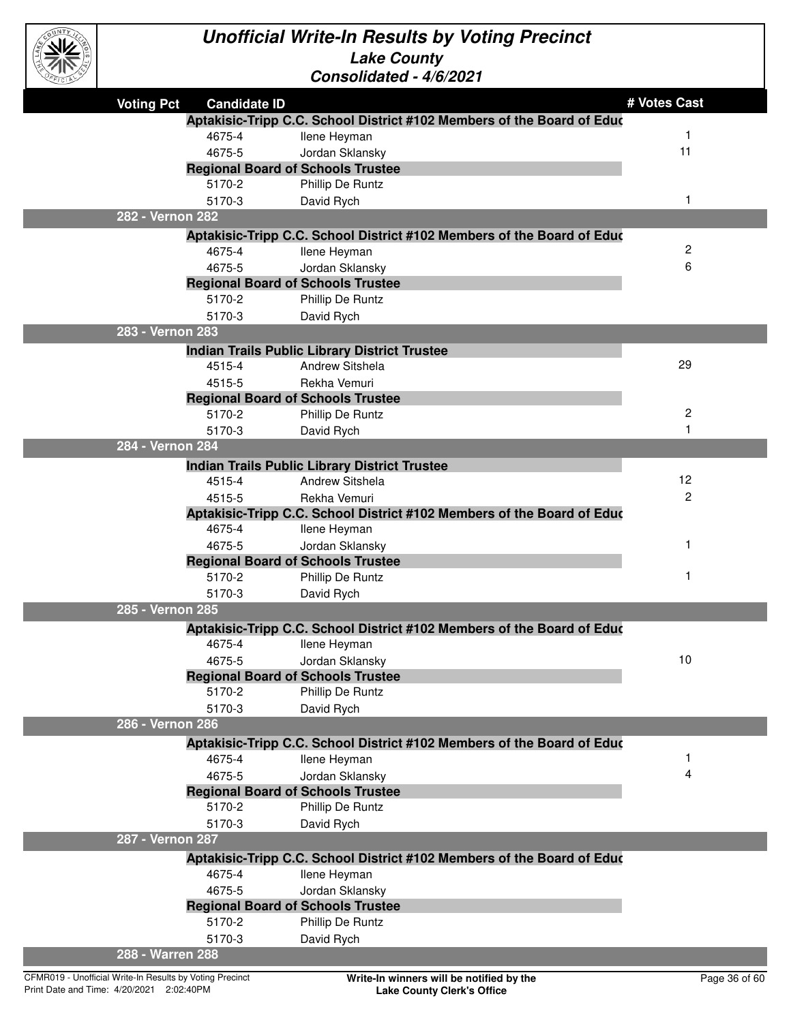

| EFICIAL |                   |                     | CONSONQUEQ - 4/0/2021                                                  |                |
|---------|-------------------|---------------------|------------------------------------------------------------------------|----------------|
|         | <b>Voting Pct</b> | <b>Candidate ID</b> |                                                                        | # Votes Cast   |
|         |                   |                     | Aptakisic-Tripp C.C. School District #102 Members of the Board of Educ |                |
|         |                   | 4675-4              | Ilene Heyman                                                           | -1             |
|         |                   | 4675-5              | Jordan Sklansky                                                        | 11             |
|         |                   |                     | <b>Regional Board of Schools Trustee</b>                               |                |
|         |                   | 5170-2              | Phillip De Runtz                                                       |                |
|         |                   | 5170-3              | David Rych                                                             | $\mathbf 1$    |
|         | 282 - Vernon 282  |                     |                                                                        |                |
|         |                   |                     | Aptakisic-Tripp C.C. School District #102 Members of the Board of Educ |                |
|         |                   | 4675-4              | Ilene Heyman                                                           | 2              |
|         |                   | 4675-5              | Jordan Sklansky                                                        | 6              |
|         |                   |                     | <b>Regional Board of Schools Trustee</b>                               |                |
|         |                   | 5170-2              | Phillip De Runtz                                                       |                |
|         |                   | 5170-3              | David Rych                                                             |                |
|         | 283 - Vernon 283  |                     |                                                                        |                |
|         |                   |                     | <b>Indian Trails Public Library District Trustee</b>                   | 29             |
|         |                   | 4515-4              | Andrew Sitshela                                                        |                |
|         |                   | 4515-5              | Rekha Vemuri                                                           |                |
|         |                   | 5170-2              | <b>Regional Board of Schools Trustee</b><br>Phillip De Runtz           | $\mathbf{2}$   |
|         |                   | 5170-3              | David Rych                                                             | 1              |
|         | 284 - Vernon 284  |                     |                                                                        |                |
|         |                   |                     | <b>Indian Trails Public Library District Trustee</b>                   |                |
|         |                   | 4515-4              | <b>Andrew Sitshela</b>                                                 | 12             |
|         |                   | 4515-5              | Rekha Vemuri                                                           | $\overline{2}$ |
|         |                   |                     | Aptakisic-Tripp C.C. School District #102 Members of the Board of Educ |                |
|         |                   | 4675-4              | Ilene Heyman                                                           |                |
|         |                   | 4675-5              | Jordan Sklansky                                                        | 1              |
|         |                   |                     | <b>Regional Board of Schools Trustee</b>                               |                |
|         |                   | 5170-2              | Phillip De Runtz                                                       | 1              |
|         |                   | 5170-3              | David Rych                                                             |                |
|         | 285 - Vernon 285  |                     |                                                                        |                |
|         |                   |                     | Aptakisic-Tripp C.C. School District #102 Members of the Board of Educ |                |
|         |                   | 4675-4              | Ilene Heyman                                                           |                |
|         |                   | 4675-5              | Jordan Sklansky                                                        | 10             |
|         |                   |                     | <b>Regional Board of Schools Trustee</b>                               |                |
|         |                   | 5170-2              | Phillip De Runtz                                                       |                |
|         |                   | 5170-3              | David Rych                                                             |                |
|         | 286 - Vernon 286  |                     |                                                                        |                |
|         |                   |                     | Aptakisic-Tripp C.C. School District #102 Members of the Board of Educ |                |
|         |                   | 4675-4              | <b>Ilene Heyman</b>                                                    | 1              |
|         |                   | 4675-5              | Jordan Sklansky                                                        | 4              |
|         |                   |                     | <b>Regional Board of Schools Trustee</b>                               |                |
|         |                   | 5170-2              | Phillip De Runtz                                                       |                |
|         |                   | 5170-3              | David Rych                                                             |                |
|         | 287 - Vernon 287  |                     |                                                                        |                |
|         |                   |                     | Aptakisic-Tripp C.C. School District #102 Members of the Board of Educ |                |
|         |                   | 4675-4              | Ilene Heyman                                                           |                |
|         |                   | 4675-5              | Jordan Sklansky<br><b>Regional Board of Schools Trustee</b>            |                |
|         |                   | 5170-2              | Phillip De Runtz                                                       |                |
|         |                   | 5170-3              | David Rych                                                             |                |
|         | 288 - Warren 288  |                     |                                                                        |                |
|         |                   |                     |                                                                        |                |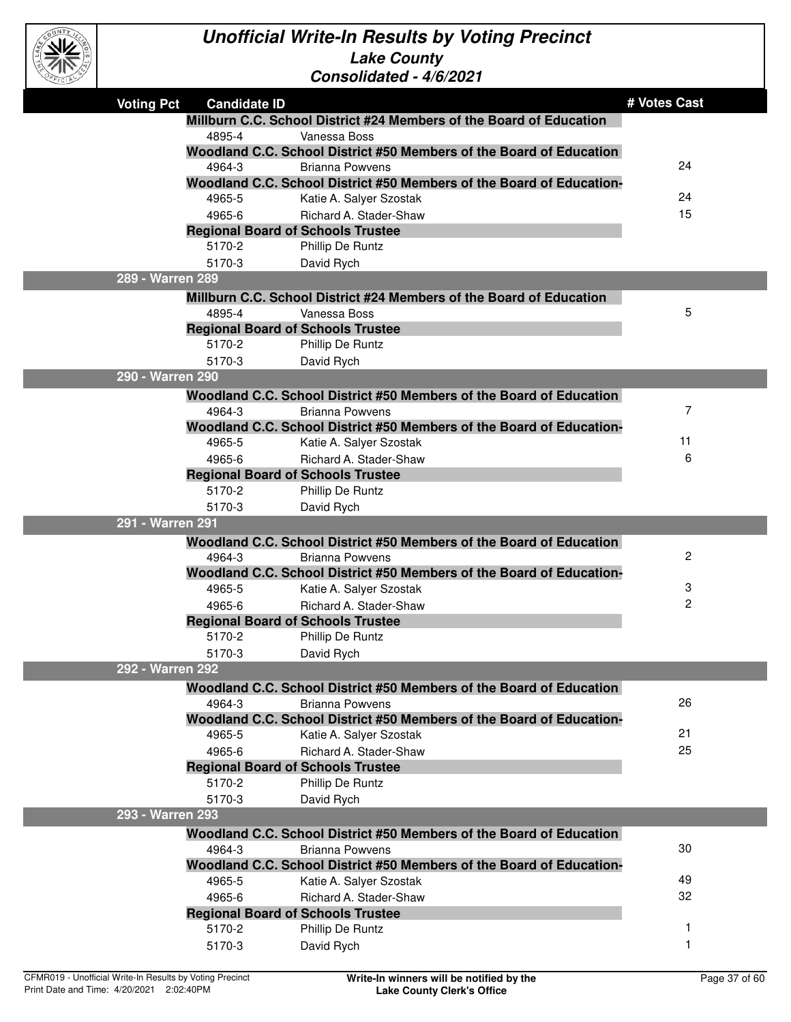

| OFFICIAL <sup>3</sup> |                   |                                                    | Consolidated - 4/6/2021                                                                        |              |
|-----------------------|-------------------|----------------------------------------------------|------------------------------------------------------------------------------------------------|--------------|
|                       | <b>Voting Pct</b> | <b>Candidate ID</b>                                |                                                                                                | # Votes Cast |
|                       |                   |                                                    | Millburn C.C. School District #24 Members of the Board of Education                            |              |
|                       |                   | 4895-4                                             | Vanessa Boss                                                                                   |              |
|                       |                   |                                                    | Woodland C.C. School District #50 Members of the Board of Education                            |              |
|                       |                   | 4964-3                                             | <b>Brianna Powvens</b>                                                                         | 24           |
|                       |                   |                                                    | Woodland C.C. School District #50 Members of the Board of Education-                           |              |
|                       |                   | 4965-5                                             | Katie A. Salyer Szostak                                                                        | 24           |
|                       |                   | 4965-6                                             | Richard A. Stader-Shaw                                                                         | 15           |
|                       |                   | <b>Regional Board of Schools Trustee</b>           |                                                                                                |              |
|                       |                   | 5170-2                                             | Phillip De Runtz                                                                               |              |
|                       |                   | 5170-3                                             | David Rych                                                                                     |              |
|                       | 289 - Warren 289  |                                                    |                                                                                                |              |
|                       |                   |                                                    | Millburn C.C. School District #24 Members of the Board of Education                            |              |
|                       |                   | 4895-4                                             | Vanessa Boss                                                                                   | 5            |
|                       |                   | <b>Regional Board of Schools Trustee</b>           |                                                                                                |              |
|                       |                   | 5170-2                                             | Phillip De Runtz                                                                               |              |
|                       | 290 - Warren 290  | 5170-3                                             | David Rych                                                                                     |              |
|                       |                   |                                                    |                                                                                                |              |
|                       |                   |                                                    | Woodland C.C. School District #50 Members of the Board of Education                            | 7            |
|                       |                   | 4964-3                                             | <b>Brianna Powvens</b><br>Woodland C.C. School District #50 Members of the Board of Education- |              |
|                       |                   | 4965-5                                             | Katie A. Salyer Szostak                                                                        | 11           |
|                       |                   | 4965-6                                             | Richard A. Stader-Shaw                                                                         | 6            |
|                       |                   | <b>Regional Board of Schools Trustee</b>           |                                                                                                |              |
|                       |                   | 5170-2                                             | Phillip De Runtz                                                                               |              |
|                       |                   | 5170-3                                             | David Rych                                                                                     |              |
|                       | 291 - Warren 291  |                                                    |                                                                                                |              |
|                       |                   |                                                    | Woodland C.C. School District #50 Members of the Board of Education                            |              |
|                       |                   | 4964-3                                             | <b>Brianna Powvens</b>                                                                         | 2            |
|                       |                   |                                                    | Woodland C.C. School District #50 Members of the Board of Education-                           |              |
|                       |                   | 4965-5                                             | Katie A. Salyer Szostak                                                                        | 3            |
|                       |                   | 4965-6                                             | Richard A. Stader-Shaw                                                                         | 2            |
|                       |                   | <b>Regional Board of Schools Trustee</b>           |                                                                                                |              |
|                       |                   | 5170-2                                             | Phillip De Runtz                                                                               |              |
|                       |                   | 5170-3                                             | David Rych                                                                                     |              |
|                       | 292 - Warren 292  |                                                    |                                                                                                |              |
|                       |                   |                                                    | Woodland C.C. School District #50 Members of the Board of Education                            |              |
|                       |                   | 4964-3                                             | <b>Brianna Powvens</b>                                                                         | 26           |
|                       |                   |                                                    | Woodland C.C. School District #50 Members of the Board of Education-                           |              |
|                       |                   | 4965-5                                             | Katie A. Salyer Szostak                                                                        | 21           |
|                       |                   | 4965-6                                             | Richard A. Stader-Shaw                                                                         | 25           |
|                       |                   | <b>Regional Board of Schools Trustee</b>           |                                                                                                |              |
|                       |                   | 5170-2                                             | Phillip De Runtz                                                                               |              |
|                       |                   | 5170-3                                             | David Rych                                                                                     |              |
|                       | 293 - Warren 293  |                                                    |                                                                                                |              |
|                       |                   |                                                    | Woodland C.C. School District #50 Members of the Board of Education                            |              |
|                       |                   | 4964-3                                             | <b>Brianna Powvens</b>                                                                         | 30           |
|                       |                   |                                                    | Woodland C.C. School District #50 Members of the Board of Education-                           | 49           |
|                       |                   | 4965-5                                             | Katie A. Salyer Szostak                                                                        | 32           |
|                       |                   | 4965-6<br><b>Regional Board of Schools Trustee</b> | Richard A. Stader-Shaw                                                                         |              |
|                       |                   | 5170-2                                             | Phillip De Runtz                                                                               | 1            |
|                       |                   | 5170-3                                             | David Rych                                                                                     | -1           |
|                       |                   |                                                    |                                                                                                |              |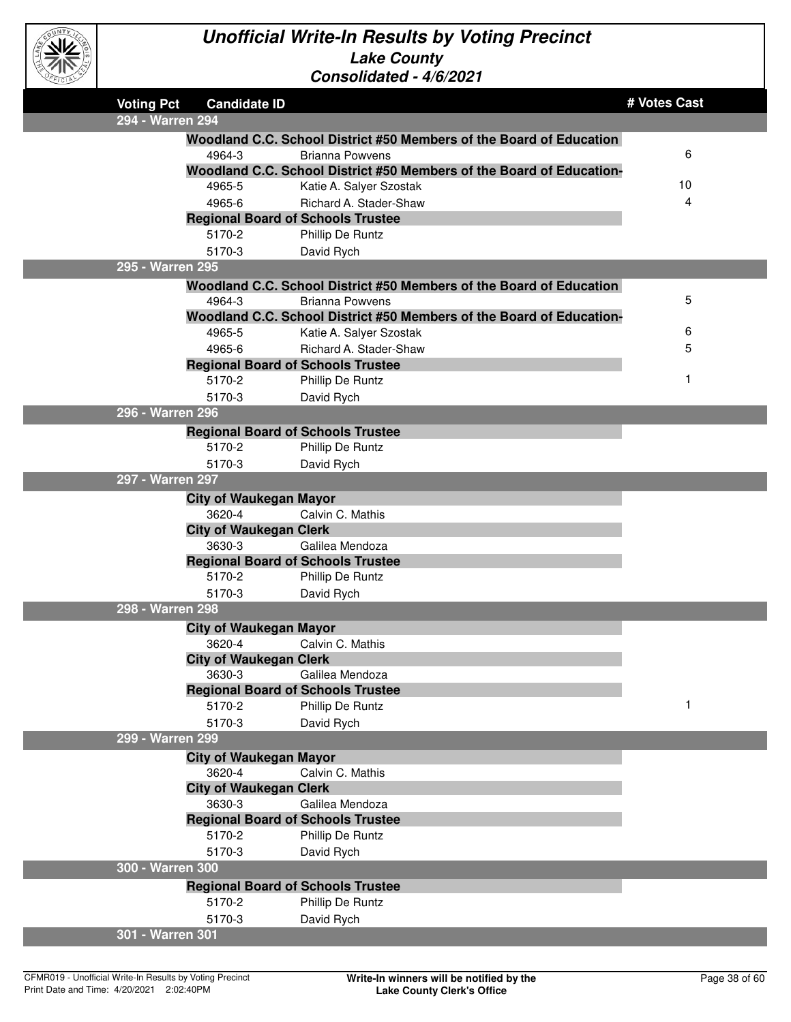

| <b>Voting Pct</b> | <b>Candidate ID</b>                      |                                                                      | # Votes Cast |
|-------------------|------------------------------------------|----------------------------------------------------------------------|--------------|
| 294 - Warren 294  |                                          |                                                                      |              |
|                   |                                          | Woodland C.C. School District #50 Members of the Board of Education  |              |
|                   | 4964-3                                   | <b>Brianna Powvens</b>                                               | 6            |
|                   |                                          | Woodland C.C. School District #50 Members of the Board of Education- |              |
|                   | 4965-5                                   | Katie A. Salyer Szostak                                              | 10           |
|                   | 4965-6                                   | Richard A. Stader-Shaw                                               | 4            |
|                   | <b>Regional Board of Schools Trustee</b> |                                                                      |              |
|                   | 5170-2                                   | Phillip De Runtz                                                     |              |
|                   | 5170-3                                   | David Rych                                                           |              |
| 295 - Warren 295  |                                          |                                                                      |              |
|                   |                                          | Woodland C.C. School District #50 Members of the Board of Education  |              |
|                   | 4964-3                                   | <b>Brianna Powvens</b>                                               | 5            |
|                   |                                          | Woodland C.C. School District #50 Members of the Board of Education- |              |
|                   | 4965-5                                   | Katie A. Salyer Szostak                                              | 6            |
|                   | 4965-6                                   | Richard A. Stader-Shaw                                               | 5            |
|                   | <b>Regional Board of Schools Trustee</b> |                                                                      |              |
|                   | 5170-2                                   | Phillip De Runtz                                                     | 1            |
|                   | 5170-3                                   | David Rych                                                           |              |
| 296 - Warren 296  |                                          |                                                                      |              |
|                   | <b>Regional Board of Schools Trustee</b> |                                                                      |              |
|                   | 5170-2                                   | Phillip De Runtz                                                     |              |
|                   | 5170-3                                   | David Rych                                                           |              |
| 297 - Warren 297  |                                          |                                                                      |              |
|                   | <b>City of Waukegan Mayor</b>            |                                                                      |              |
|                   | 3620-4                                   | Calvin C. Mathis                                                     |              |
|                   | <b>City of Waukegan Clerk</b>            |                                                                      |              |
|                   | 3630-3                                   | Galilea Mendoza                                                      |              |
|                   | <b>Regional Board of Schools Trustee</b> |                                                                      |              |
|                   | 5170-2                                   | Phillip De Runtz                                                     |              |
|                   | 5170-3                                   | David Rych                                                           |              |
| 298 - Warren 298  |                                          |                                                                      |              |
|                   | <b>City of Waukegan Mayor</b>            |                                                                      |              |
|                   | 3620-4                                   | Calvin C. Mathis                                                     |              |
|                   | <b>City of Waukegan Clerk</b>            |                                                                      |              |
|                   | 3630-3                                   | Galilea Mendoza                                                      |              |
|                   | <b>Regional Board of Schools Trustee</b> |                                                                      |              |
|                   | 5170-2                                   | Phillip De Runtz                                                     | 1            |
|                   | 5170-3                                   | David Rych                                                           |              |
| 299 - Warren 299  |                                          |                                                                      |              |
|                   | <b>City of Waukegan Mayor</b>            |                                                                      |              |
|                   | 3620-4                                   | Calvin C. Mathis                                                     |              |
|                   | <b>City of Waukegan Clerk</b>            |                                                                      |              |
|                   | 3630-3                                   | Galilea Mendoza                                                      |              |
|                   | <b>Regional Board of Schools Trustee</b> |                                                                      |              |
|                   | 5170-2                                   | Phillip De Runtz                                                     |              |
|                   | 5170-3                                   | David Rych                                                           |              |
| 300 - Warren 300  |                                          |                                                                      |              |
|                   | <b>Regional Board of Schools Trustee</b> |                                                                      |              |
|                   | 5170-2                                   | Phillip De Runtz                                                     |              |
|                   | 5170-3                                   | David Rych                                                           |              |
| 301 - Warren 301  |                                          |                                                                      |              |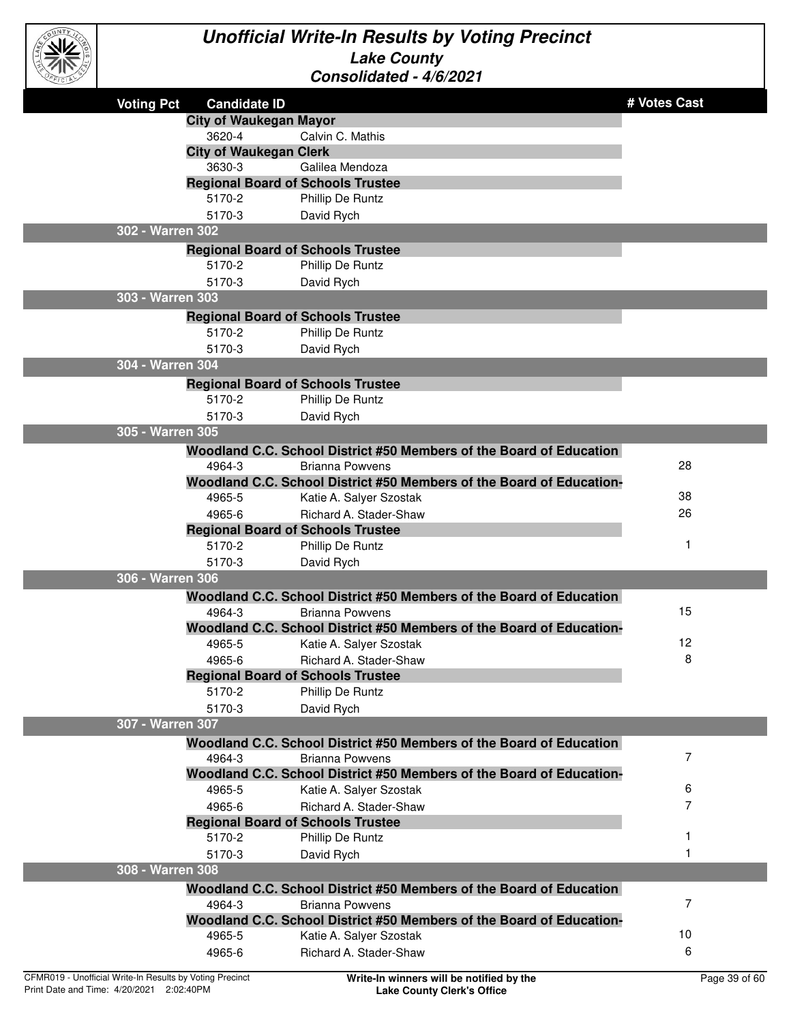

| CEICIAY |                   |                                                    | CUISUIIUAICU - 4/0/2021                                                                       |              |
|---------|-------------------|----------------------------------------------------|-----------------------------------------------------------------------------------------------|--------------|
|         | <b>Voting Pct</b> | <b>Candidate ID</b>                                |                                                                                               | # Votes Cast |
|         |                   | <b>City of Waukegan Mayor</b>                      |                                                                                               |              |
|         |                   | 3620-4                                             | Calvin C. Mathis                                                                              |              |
|         |                   | <b>City of Waukegan Clerk</b>                      |                                                                                               |              |
|         |                   | 3630-3                                             | Galilea Mendoza                                                                               |              |
|         |                   | <b>Regional Board of Schools Trustee</b>           |                                                                                               |              |
|         |                   | 5170-2                                             | Phillip De Runtz                                                                              |              |
|         |                   | 5170-3                                             | David Rych                                                                                    |              |
|         | 302 - Warren 302  |                                                    |                                                                                               |              |
|         |                   | <b>Regional Board of Schools Trustee</b>           |                                                                                               |              |
|         |                   | 5170-2                                             | Phillip De Runtz                                                                              |              |
|         |                   | 5170-3                                             | David Rych                                                                                    |              |
|         | 303 - Warren 303  |                                                    |                                                                                               |              |
|         |                   | <b>Regional Board of Schools Trustee</b>           |                                                                                               |              |
|         |                   | 5170-2                                             | Phillip De Runtz                                                                              |              |
|         |                   | 5170-3                                             | David Rych                                                                                    |              |
|         | 304 - Warren 304  |                                                    |                                                                                               |              |
|         |                   | <b>Regional Board of Schools Trustee</b>           |                                                                                               |              |
|         |                   | 5170-2                                             | Phillip De Runtz                                                                              |              |
|         |                   | 5170-3                                             | David Rych                                                                                    |              |
|         | 305 - Warren 305  |                                                    |                                                                                               |              |
|         |                   |                                                    | Woodland C.C. School District #50 Members of the Board of Education                           |              |
|         |                   | 4964-3                                             | <b>Brianna Powvens</b>                                                                        | 28           |
|         |                   |                                                    | Woodland C.C. School District #50 Members of the Board of Education-                          |              |
|         |                   | 4965-5                                             | Katie A. Salyer Szostak                                                                       | 38           |
|         |                   | 4965-6                                             | Richard A. Stader-Shaw                                                                        | 26           |
|         |                   | <b>Regional Board of Schools Trustee</b><br>5170-2 |                                                                                               | $\mathbf{1}$ |
|         |                   | 5170-3                                             | Phillip De Runtz                                                                              |              |
|         | 306 - Warren 306  |                                                    | David Rych                                                                                    |              |
|         |                   |                                                    |                                                                                               |              |
|         |                   | 4964-3                                             | Woodland C.C. School District #50 Members of the Board of Education<br><b>Brianna Powvens</b> | 15           |
|         |                   |                                                    | Woodland C.C. School District #50 Members of the Board of Education-                          |              |
|         |                   | 4965-5                                             | Katie A. Salyer Szostak                                                                       | 12           |
|         |                   | 4965-6                                             | Richard A. Stader-Shaw                                                                        | 8            |
|         |                   | <b>Regional Board of Schools Trustee</b>           |                                                                                               |              |
|         |                   | 5170-2                                             | Phillip De Runtz                                                                              |              |
|         |                   | 5170-3                                             | David Rych                                                                                    |              |
|         | 307 - Warren 307  |                                                    |                                                                                               |              |
|         |                   |                                                    | Woodland C.C. School District #50 Members of the Board of Education                           |              |
|         |                   | 4964-3                                             | <b>Brianna Powvens</b>                                                                        | 7            |
|         |                   |                                                    | Woodland C.C. School District #50 Members of the Board of Education-                          |              |
|         |                   | 4965-5                                             | Katie A. Salyer Szostak                                                                       | 6            |
|         |                   | 4965-6                                             | Richard A. Stader-Shaw                                                                        | 7            |
|         |                   | <b>Regional Board of Schools Trustee</b>           |                                                                                               |              |
|         |                   | 5170-2                                             | Phillip De Runtz                                                                              |              |
|         |                   | 5170-3                                             | David Rych                                                                                    |              |
|         | 308 - Warren 308  |                                                    |                                                                                               |              |
|         |                   |                                                    | Woodland C.C. School District #50 Members of the Board of Education                           |              |
|         |                   | 4964-3                                             | <b>Brianna Powvens</b>                                                                        | 7            |
|         |                   |                                                    | Woodland C.C. School District #50 Members of the Board of Education-                          |              |
|         |                   | 4965-5                                             | Katie A. Salyer Szostak                                                                       | 10           |
|         |                   | 4965-6                                             | Richard A. Stader-Shaw                                                                        | 6            |
|         |                   |                                                    |                                                                                               |              |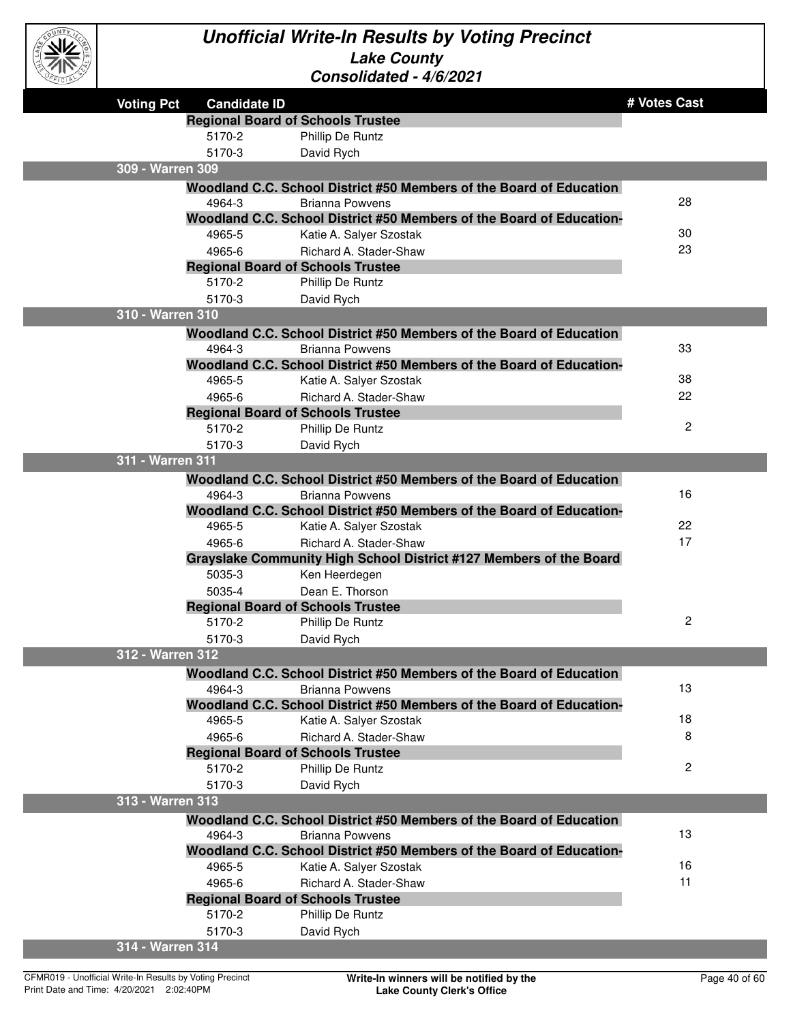

| $\sim$            |                                          |                                                                      |                |
|-------------------|------------------------------------------|----------------------------------------------------------------------|----------------|
| <b>Voting Pct</b> | <b>Candidate ID</b>                      |                                                                      | # Votes Cast   |
|                   | <b>Regional Board of Schools Trustee</b> |                                                                      |                |
|                   | 5170-2                                   | Phillip De Runtz                                                     |                |
|                   | 5170-3                                   | David Rych                                                           |                |
| 309 - Warren 309  |                                          |                                                                      |                |
|                   |                                          | Woodland C.C. School District #50 Members of the Board of Education  |                |
|                   | 4964-3                                   | <b>Brianna Powvens</b>                                               | 28             |
|                   |                                          | Woodland C.C. School District #50 Members of the Board of Education- |                |
|                   | 4965-5                                   | Katie A. Salyer Szostak                                              | 30             |
|                   | 4965-6                                   | Richard A. Stader-Shaw                                               | 23             |
|                   | <b>Regional Board of Schools Trustee</b> |                                                                      |                |
|                   | 5170-2                                   | Phillip De Runtz                                                     |                |
|                   | 5170-3                                   | David Rych                                                           |                |
| 310 - Warren 310  |                                          |                                                                      |                |
|                   |                                          | Woodland C.C. School District #50 Members of the Board of Education  |                |
|                   | 4964-3                                   | <b>Brianna Powvens</b>                                               | 33             |
|                   |                                          | Woodland C.C. School District #50 Members of the Board of Education- |                |
|                   | 4965-5                                   | Katie A. Salyer Szostak                                              | 38             |
|                   | 4965-6                                   | Richard A. Stader-Shaw                                               | 22             |
|                   | <b>Regional Board of Schools Trustee</b> |                                                                      |                |
|                   | 5170-2                                   | <b>Phillip De Runtz</b>                                              | $\overline{c}$ |
|                   | 5170-3                                   | David Rych                                                           |                |
| 311 - Warren 311  |                                          |                                                                      |                |
|                   |                                          | Woodland C.C. School District #50 Members of the Board of Education  |                |
|                   | 4964-3                                   | <b>Brianna Powvens</b>                                               | 16             |
|                   |                                          | Woodland C.C. School District #50 Members of the Board of Education- |                |
|                   | 4965-5                                   | Katie A. Salyer Szostak                                              | 22             |
|                   | 4965-6                                   | Richard A. Stader-Shaw                                               | 17             |
|                   |                                          | Grayslake Community High School District #127 Members of the Board   |                |
|                   | 5035-3                                   | Ken Heerdegen                                                        |                |
|                   | 5035-4                                   | Dean E. Thorson                                                      |                |
|                   | <b>Regional Board of Schools Trustee</b> |                                                                      |                |
|                   | 5170-2                                   | Phillip De Runtz                                                     | $\overline{c}$ |
|                   | 5170-3                                   | David Rych                                                           |                |
| 312 - Warren 312  |                                          |                                                                      |                |
|                   |                                          | Woodland C.C. School District #50 Members of the Board of Education  |                |
|                   | 4964-3                                   | <b>Brianna Powvens</b>                                               | 13             |
|                   |                                          | Woodland C.C. School District #50 Members of the Board of Education- |                |
|                   | 4965-5                                   | Katie A. Salyer Szostak                                              | 18             |
|                   | 4965-6                                   | Richard A. Stader-Shaw                                               | 8              |
|                   | <b>Regional Board of Schools Trustee</b> |                                                                      |                |
|                   | 5170-2                                   | Phillip De Runtz                                                     | $\mathbf{2}$   |
|                   | 5170-3                                   | David Rych                                                           |                |
| 313 - Warren 313  |                                          |                                                                      |                |
|                   |                                          | Woodland C.C. School District #50 Members of the Board of Education  |                |
|                   | 4964-3                                   | <b>Brianna Powvens</b>                                               | 13             |
|                   |                                          | Woodland C.C. School District #50 Members of the Board of Education- |                |
|                   | 4965-5                                   | Katie A. Salyer Szostak                                              | 16             |
|                   | 4965-6                                   | Richard A. Stader-Shaw                                               | 11             |
|                   | <b>Regional Board of Schools Trustee</b> |                                                                      |                |
|                   | 5170-2                                   | Phillip De Runtz                                                     |                |
|                   | 5170-3                                   | David Rych                                                           |                |
| 314 - Warren 314  |                                          |                                                                      |                |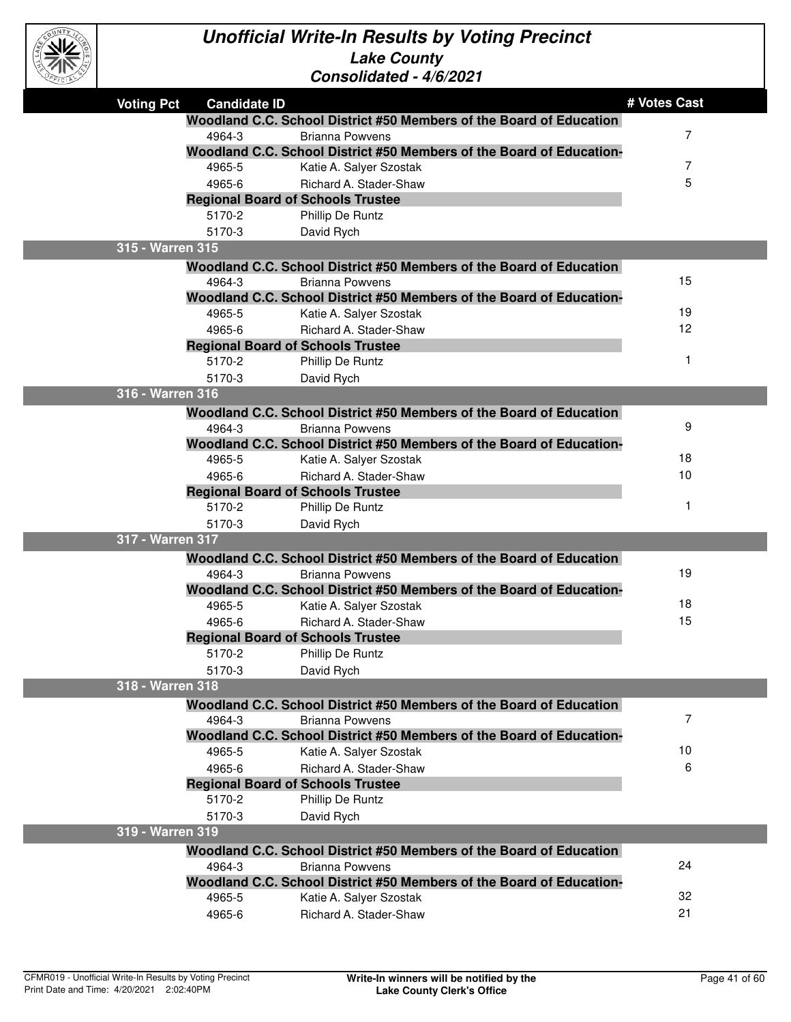

| EFICIAL |                   |                     | CONSONQUEQ - 4/0/2021                                                                         |              |
|---------|-------------------|---------------------|-----------------------------------------------------------------------------------------------|--------------|
|         | <b>Voting Pct</b> | <b>Candidate ID</b> |                                                                                               | # Votes Cast |
|         |                   |                     | Woodland C.C. School District #50 Members of the Board of Education                           |              |
|         |                   | 4964-3              | <b>Brianna Powvens</b>                                                                        | 7            |
|         |                   |                     | Woodland C.C. School District #50 Members of the Board of Education-                          |              |
|         |                   | 4965-5              | Katie A. Salyer Szostak                                                                       | 7            |
|         |                   | 4965-6              | Richard A. Stader-Shaw                                                                        | 5            |
|         |                   |                     | <b>Regional Board of Schools Trustee</b>                                                      |              |
|         |                   | 5170-2              | Phillip De Runtz                                                                              |              |
|         |                   | 5170-3              | David Rych                                                                                    |              |
|         | 315 - Warren 315  |                     |                                                                                               |              |
|         |                   |                     | Woodland C.C. School District #50 Members of the Board of Education                           |              |
|         |                   | 4964-3              | Brianna Powvens                                                                               | 15           |
|         |                   |                     | Woodland C.C. School District #50 Members of the Board of Education-                          |              |
|         |                   | 4965-5              | Katie A. Salyer Szostak                                                                       | 19           |
|         |                   | 4965-6              | Richard A. Stader-Shaw                                                                        | 12           |
|         |                   |                     | <b>Regional Board of Schools Trustee</b>                                                      |              |
|         |                   | 5170-2              | Phillip De Runtz                                                                              | 1            |
|         |                   | 5170-3              | David Rych                                                                                    |              |
|         | 316 - Warren 316  |                     |                                                                                               |              |
|         |                   |                     | Woodland C.C. School District #50 Members of the Board of Education                           |              |
|         |                   | 4964-3              | <b>Brianna Powvens</b>                                                                        | 9            |
|         |                   |                     | Woodland C.C. School District #50 Members of the Board of Education-                          |              |
|         |                   | 4965-5              | Katie A. Salyer Szostak                                                                       | 18           |
|         |                   | 4965-6              | Richard A. Stader-Shaw                                                                        | 10           |
|         |                   |                     | <b>Regional Board of Schools Trustee</b>                                                      | 1            |
|         |                   | 5170-2              | Phillip De Runtz                                                                              |              |
|         | 317 - Warren 317  | 5170-3              | David Rych                                                                                    |              |
|         |                   |                     |                                                                                               |              |
|         |                   | 4964-3              | Woodland C.C. School District #50 Members of the Board of Education<br><b>Brianna Powvens</b> | 19           |
|         |                   |                     | Woodland C.C. School District #50 Members of the Board of Education-                          |              |
|         |                   | 4965-5              | Katie A. Salyer Szostak                                                                       | 18           |
|         |                   | 4965-6              | Richard A. Stader-Shaw                                                                        | 15           |
|         |                   |                     | <b>Regional Board of Schools Trustee</b>                                                      |              |
|         |                   | 5170-2              | <b>Phillip De Runtz</b>                                                                       |              |
|         |                   | 5170-3              | David Rych                                                                                    |              |
|         | 318 - Warren 318  |                     |                                                                                               |              |
|         |                   |                     | Woodland C.C. School District #50 Members of the Board of Education                           |              |
|         |                   | 4964-3              | <b>Brianna Powvens</b>                                                                        | 7            |
|         |                   |                     | Woodland C.C. School District #50 Members of the Board of Education-                          |              |
|         |                   | 4965-5              | Katie A. Salyer Szostak                                                                       | 10           |
|         |                   | 4965-6              | Richard A. Stader-Shaw                                                                        | 6            |
|         |                   |                     | <b>Regional Board of Schools Trustee</b>                                                      |              |
|         |                   | 5170-2              | Phillip De Runtz                                                                              |              |
|         |                   | 5170-3              | David Rych                                                                                    |              |
|         | 319 - Warren 319  |                     |                                                                                               |              |
|         |                   |                     | Woodland C.C. School District #50 Members of the Board of Education                           |              |
|         |                   | 4964-3              | <b>Brianna Powvens</b>                                                                        | 24           |
|         |                   |                     | Woodland C.C. School District #50 Members of the Board of Education-                          |              |
|         |                   | 4965-5              | Katie A. Salyer Szostak                                                                       | 32           |
|         |                   | 4965-6              | Richard A. Stader-Shaw                                                                        | 21           |
|         |                   |                     |                                                                                               |              |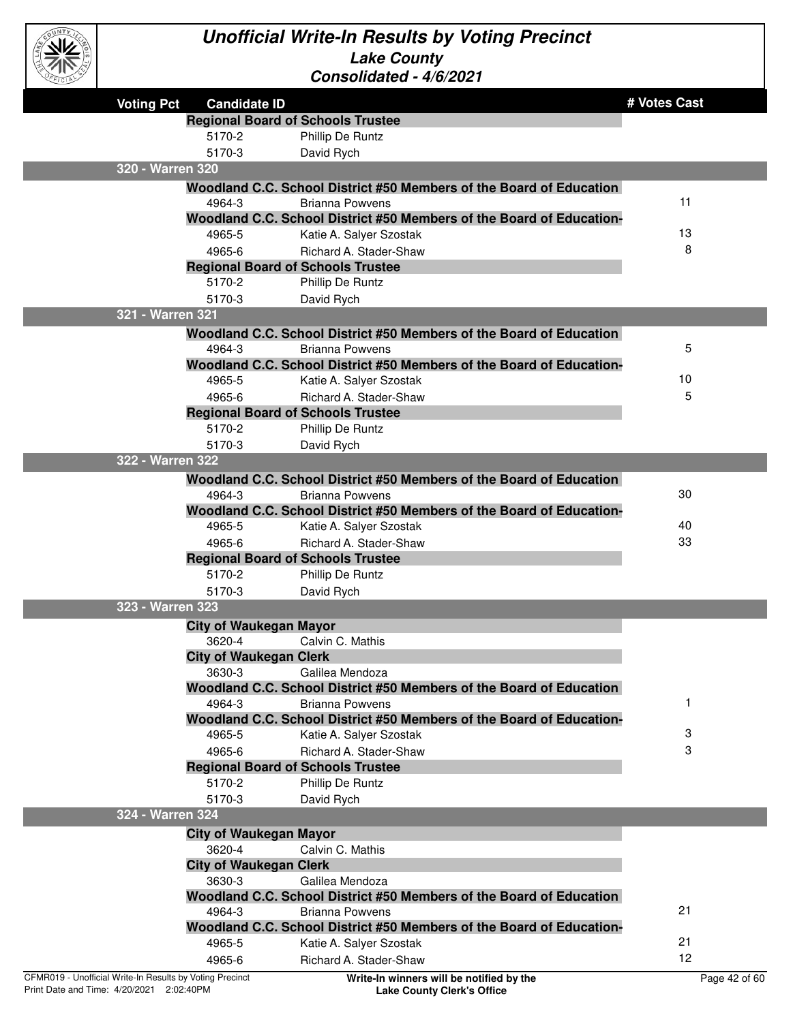

| <b>COLLECTED</b>                                         |                                          | 711301100160 - 7/0/2021                                                                         |               |
|----------------------------------------------------------|------------------------------------------|-------------------------------------------------------------------------------------------------|---------------|
| <b>Voting Pct</b>                                        | <b>Candidate ID</b>                      |                                                                                                 | # Votes Cast  |
|                                                          | <b>Regional Board of Schools Trustee</b> |                                                                                                 |               |
|                                                          | 5170-2                                   | Phillip De Runtz                                                                                |               |
|                                                          | 5170-3                                   | David Rych                                                                                      |               |
| 320 - Warren 320                                         |                                          |                                                                                                 |               |
|                                                          |                                          | Woodland C.C. School District #50 Members of the Board of Education                             |               |
|                                                          | 4964-3                                   | Brianna Powvens                                                                                 | 11            |
|                                                          |                                          | Woodland C.C. School District #50 Members of the Board of Education-                            |               |
|                                                          | 4965-5                                   | Katie A. Salyer Szostak                                                                         | 13            |
|                                                          | 4965-6                                   | Richard A. Stader-Shaw                                                                          | 8             |
|                                                          | <b>Regional Board of Schools Trustee</b> |                                                                                                 |               |
|                                                          | 5170-2                                   | Phillip De Runtz                                                                                |               |
|                                                          | 5170-3                                   | David Rych                                                                                      |               |
| 321 - Warren 321                                         |                                          |                                                                                                 |               |
|                                                          |                                          | Woodland C.C. School District #50 Members of the Board of Education                             |               |
|                                                          | 4964-3                                   | <b>Brianna Powvens</b>                                                                          | 5             |
|                                                          |                                          | Woodland C.C. School District #50 Members of the Board of Education-                            |               |
|                                                          | 4965-5                                   | Katie A. Salyer Szostak                                                                         | 10            |
|                                                          | 4965-6                                   | Richard A. Stader-Shaw                                                                          | 5             |
|                                                          | <b>Regional Board of Schools Trustee</b> |                                                                                                 |               |
|                                                          | 5170-2                                   | Phillip De Runtz                                                                                |               |
|                                                          | 5170-3                                   | David Rych                                                                                      |               |
| 322 - Warren 322                                         |                                          |                                                                                                 |               |
|                                                          |                                          | Woodland C.C. School District #50 Members of the Board of Education                             |               |
|                                                          | 4964-3                                   | Brianna Powvens                                                                                 | 30            |
|                                                          |                                          | Woodland C.C. School District #50 Members of the Board of Education-                            |               |
|                                                          | 4965-5                                   | Katie A. Salyer Szostak                                                                         | 40            |
|                                                          | 4965-6                                   | Richard A. Stader-Shaw                                                                          | 33            |
|                                                          | <b>Regional Board of Schools Trustee</b> |                                                                                                 |               |
|                                                          | 5170-2                                   | Phillip De Runtz                                                                                |               |
|                                                          | 5170-3                                   | David Rych                                                                                      |               |
| 323 - Warren 323                                         |                                          |                                                                                                 |               |
|                                                          | <b>City of Waukegan Mayor</b>            |                                                                                                 |               |
|                                                          | 3620-4                                   | Calvin C. Mathis                                                                                |               |
|                                                          | <b>City of Waukegan Clerk</b>            |                                                                                                 |               |
|                                                          | 3630-3                                   | Galilea Mendoza                                                                                 |               |
|                                                          |                                          | Woodland C.C. School District #50 Members of the Board of Education                             |               |
|                                                          | 4964-3                                   | <b>Brianna Powvens</b>                                                                          |               |
|                                                          | 4965-5                                   | Woodland C.C. School District #50 Members of the Board of Education-<br>Katie A. Salyer Szostak | 3             |
|                                                          | 4965-6                                   | Richard A. Stader-Shaw                                                                          | 3             |
|                                                          | <b>Regional Board of Schools Trustee</b> |                                                                                                 |               |
|                                                          | 5170-2                                   | Phillip De Runtz                                                                                |               |
|                                                          | 5170-3                                   | David Rych                                                                                      |               |
| 324 - Warren 324                                         |                                          |                                                                                                 |               |
|                                                          | <b>City of Waukegan Mayor</b>            |                                                                                                 |               |
|                                                          | 3620-4                                   | Calvin C. Mathis                                                                                |               |
|                                                          | <b>City of Waukegan Clerk</b>            |                                                                                                 |               |
|                                                          | 3630-3                                   | Galilea Mendoza                                                                                 |               |
|                                                          |                                          | Woodland C.C. School District #50 Members of the Board of Education                             |               |
|                                                          | 4964-3                                   | <b>Brianna Powvens</b>                                                                          | 21            |
|                                                          |                                          | Woodland C.C. School District #50 Members of the Board of Education-                            |               |
|                                                          | 4965-5                                   | Katie A. Salyer Szostak                                                                         | 21            |
|                                                          | 4965-6                                   | Richard A. Stader-Shaw                                                                          | 12            |
| CFMR019 - Unofficial Write-In Results by Voting Precinct |                                          | Write-In winners will be notified by the                                                        | Page 42 of 60 |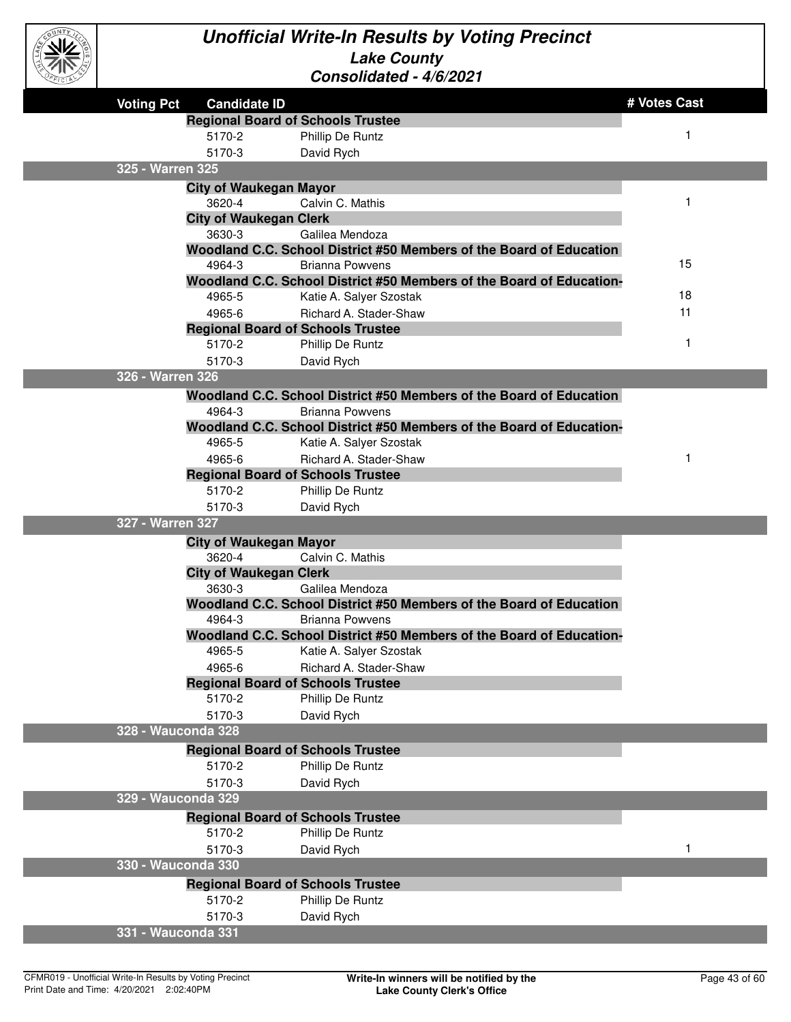

#### **Unofficial Write-In Results by Voting Precinct Lake County Consolidated - 4/6/2021**

|                    |                                                    |                                                                      | # Votes Cast |
|--------------------|----------------------------------------------------|----------------------------------------------------------------------|--------------|
| <b>Voting Pct</b>  | <b>Candidate ID</b>                                |                                                                      |              |
|                    | <b>Regional Board of Schools Trustee</b><br>5170-2 | Phillip De Runtz                                                     | 1            |
|                    | 5170-3                                             |                                                                      |              |
| 325 - Warren 325   |                                                    | David Rych                                                           |              |
|                    |                                                    |                                                                      |              |
|                    | <b>City of Waukegan Mayor</b><br>3620-4            | Calvin C. Mathis                                                     |              |
|                    | <b>City of Waukegan Clerk</b>                      |                                                                      |              |
|                    | 3630-3                                             | Galilea Mendoza                                                      |              |
|                    |                                                    | Woodland C.C. School District #50 Members of the Board of Education  |              |
|                    | 4964-3                                             | <b>Brianna Powvens</b>                                               | 15           |
|                    |                                                    | Woodland C.C. School District #50 Members of the Board of Education- |              |
|                    | 4965-5                                             | Katie A. Salyer Szostak                                              | 18           |
|                    | 4965-6                                             | Richard A. Stader-Shaw                                               | 11           |
|                    | <b>Regional Board of Schools Trustee</b>           |                                                                      |              |
|                    | 5170-2                                             | Phillip De Runtz                                                     | 1            |
|                    | 5170-3                                             | David Rych                                                           |              |
| 326 - Warren 326   |                                                    |                                                                      |              |
|                    |                                                    | Woodland C.C. School District #50 Members of the Board of Education  |              |
|                    | 4964-3                                             | <b>Brianna Powvens</b>                                               |              |
|                    |                                                    | Woodland C.C. School District #50 Members of the Board of Education- |              |
|                    | 4965-5                                             | Katie A. Salyer Szostak                                              |              |
|                    | 4965-6                                             | Richard A. Stader-Shaw                                               | 1            |
|                    | <b>Regional Board of Schools Trustee</b>           |                                                                      |              |
|                    | 5170-2                                             | Phillip De Runtz                                                     |              |
| 327 - Warren 327   | 5170-3                                             | David Rych                                                           |              |
|                    |                                                    |                                                                      |              |
|                    | <b>City of Waukegan Mayor</b><br>3620-4            | Calvin C. Mathis                                                     |              |
|                    | <b>City of Waukegan Clerk</b>                      |                                                                      |              |
|                    | 3630-3                                             | Galilea Mendoza                                                      |              |
|                    |                                                    | Woodland C.C. School District #50 Members of the Board of Education  |              |
|                    | 4964-3                                             | <b>Brianna Powvens</b>                                               |              |
|                    |                                                    | Woodland C.C. School District #50 Members of the Board of Education- |              |
|                    | 4965-5                                             | Katie A. Salyer Szostak                                              |              |
|                    | 4965-6                                             | Richard A. Stader-Shaw                                               |              |
|                    | <b>Regional Board of Schools Trustee</b>           |                                                                      |              |
|                    | 5170-2                                             | Phillip De Runtz                                                     |              |
|                    | 5170-3                                             | David Rych                                                           |              |
| 328 - Wauconda 328 |                                                    |                                                                      |              |
|                    | <b>Regional Board of Schools Trustee</b>           |                                                                      |              |
|                    | 5170-2                                             | Phillip De Runtz                                                     |              |
|                    | 5170-3                                             | David Rych                                                           |              |
| 329 - Wauconda 329 |                                                    |                                                                      |              |
|                    | <b>Regional Board of Schools Trustee</b>           |                                                                      |              |
|                    | 5170-2                                             | Phillip De Runtz                                                     |              |
|                    | 5170-3                                             | David Rych                                                           | 1            |
| 330 - Wauconda 330 |                                                    |                                                                      |              |
|                    | <b>Regional Board of Schools Trustee</b>           |                                                                      |              |
|                    | 5170-2                                             | Phillip De Runtz                                                     |              |
|                    | 5170-3                                             | David Rych                                                           |              |
| 331 - Wauconda 331 |                                                    |                                                                      |              |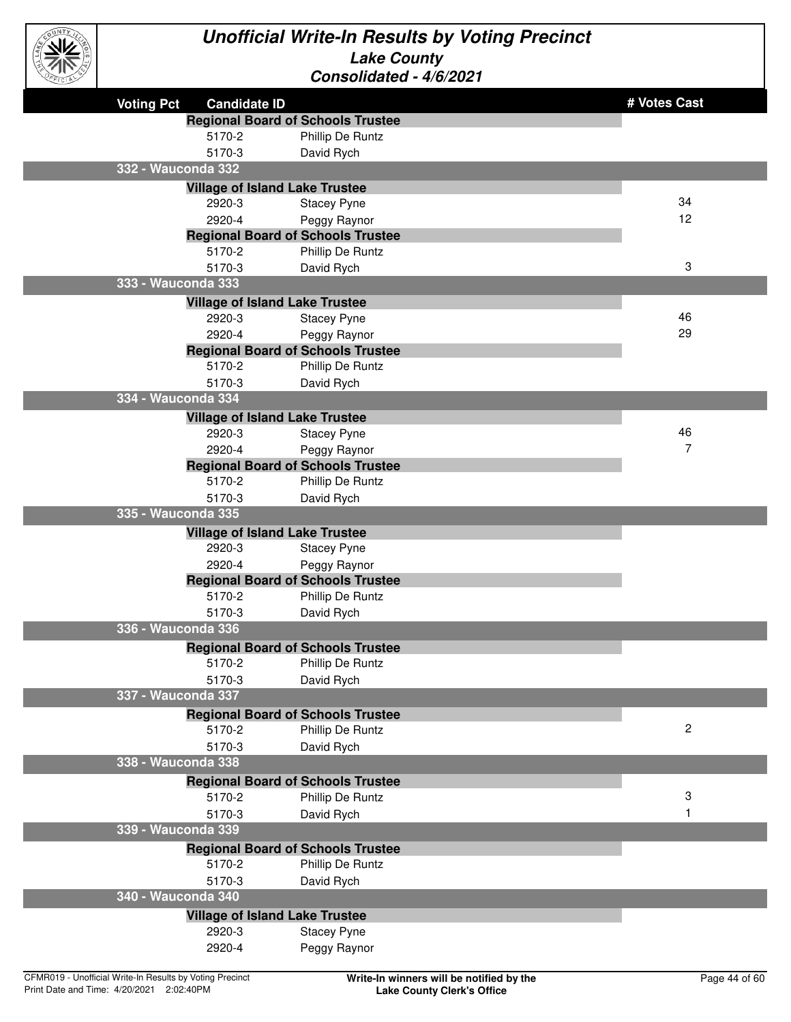

| <b>Voting Pct</b>  | <b>Candidate ID</b>                   |                                          | # Votes Cast   |
|--------------------|---------------------------------------|------------------------------------------|----------------|
|                    |                                       | <b>Regional Board of Schools Trustee</b> |                |
|                    | 5170-2                                | Phillip De Runtz                         |                |
|                    | 5170-3                                | David Rych                               |                |
| 332 - Wauconda 332 |                                       |                                          |                |
|                    | <b>Village of Island Lake Trustee</b> |                                          |                |
|                    | 2920-3                                | <b>Stacey Pyne</b>                       | 34             |
|                    | 2920-4                                | Peggy Raynor                             | 12             |
|                    |                                       | <b>Regional Board of Schools Trustee</b> |                |
|                    | 5170-2                                | Phillip De Runtz                         |                |
|                    | 5170-3                                | David Rych                               | 3              |
| 333 - Wauconda 333 |                                       |                                          |                |
|                    | <b>Village of Island Lake Trustee</b> |                                          |                |
|                    | 2920-3                                | <b>Stacey Pyne</b>                       | 46             |
|                    | 2920-4                                | Peggy Raynor                             | 29             |
|                    |                                       | <b>Regional Board of Schools Trustee</b> |                |
|                    | 5170-2                                | Phillip De Runtz                         |                |
|                    | 5170-3                                | David Rych                               |                |
| 334 - Wauconda 334 |                                       |                                          |                |
|                    | <b>Village of Island Lake Trustee</b> |                                          |                |
|                    | 2920-3                                | <b>Stacey Pyne</b>                       | 46             |
|                    | 2920-4                                | Peggy Raynor                             | 7              |
|                    |                                       | <b>Regional Board of Schools Trustee</b> |                |
|                    | 5170-2                                | Phillip De Runtz                         |                |
|                    | 5170-3                                | David Rych                               |                |
| 335 - Wauconda 335 |                                       |                                          |                |
|                    | <b>Village of Island Lake Trustee</b> |                                          |                |
|                    | 2920-3                                | <b>Stacey Pyne</b>                       |                |
|                    | 2920-4                                | Peggy Raynor                             |                |
|                    |                                       | <b>Regional Board of Schools Trustee</b> |                |
|                    | 5170-2                                | Phillip De Runtz                         |                |
|                    | 5170-3                                | David Rych                               |                |
| 336 - Wauconda 336 |                                       |                                          |                |
|                    |                                       | <b>Regional Board of Schools Trustee</b> |                |
|                    | 5170-2                                | <b>Phillip De Runtz</b>                  |                |
|                    | 5170-3                                | David Rych                               |                |
| 337 - Wauconda 337 |                                       |                                          |                |
|                    |                                       | <b>Regional Board of Schools Trustee</b> |                |
|                    | 5170-2                                | Phillip De Runtz                         | $\overline{c}$ |
|                    | 5170-3                                | David Rych                               |                |
| 338 - Wauconda 338 |                                       |                                          |                |
|                    |                                       | <b>Regional Board of Schools Trustee</b> |                |
|                    | 5170-2                                | Phillip De Runtz                         | 3              |
|                    | 5170-3                                | David Rych                               | 1              |
| 339 - Wauconda 339 |                                       |                                          |                |
|                    |                                       | <b>Regional Board of Schools Trustee</b> |                |
|                    | 5170-2                                | Phillip De Runtz                         |                |
|                    | 5170-3                                | David Rych                               |                |
| 340 - Wauconda 340 |                                       |                                          |                |
|                    | <b>Village of Island Lake Trustee</b> |                                          |                |
|                    | 2920-3                                | <b>Stacey Pyne</b>                       |                |
|                    | 2920-4                                | Peggy Raynor                             |                |
|                    |                                       |                                          |                |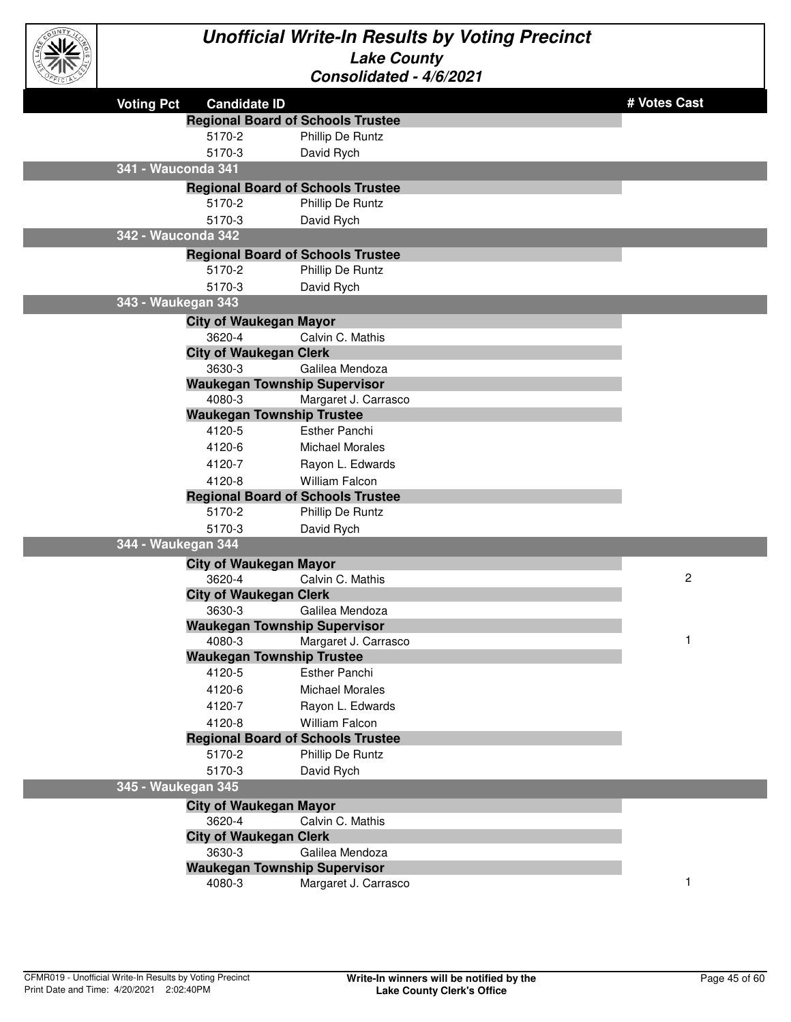

| <b>Voting Pct</b> | <b>Candidate ID</b>                      |                        | # Votes Cast   |
|-------------------|------------------------------------------|------------------------|----------------|
|                   | <b>Regional Board of Schools Trustee</b> |                        |                |
|                   | 5170-2                                   | Phillip De Runtz       |                |
|                   | 5170-3                                   | David Rych             |                |
|                   | 341 - Wauconda 341                       |                        |                |
|                   | <b>Regional Board of Schools Trustee</b> |                        |                |
|                   | 5170-2                                   | Phillip De Runtz       |                |
|                   | 5170-3                                   | David Rych             |                |
|                   | 342 - Wauconda 342                       |                        |                |
|                   | <b>Regional Board of Schools Trustee</b> |                        |                |
|                   | 5170-2                                   | Phillip De Runtz       |                |
|                   | 5170-3                                   | David Rych             |                |
|                   | 343 - Waukegan 343                       |                        |                |
|                   | <b>City of Waukegan Mayor</b>            |                        |                |
|                   | 3620-4                                   | Calvin C. Mathis       |                |
|                   | <b>City of Waukegan Clerk</b>            |                        |                |
|                   | 3630-3                                   | Galilea Mendoza        |                |
|                   | <b>Waukegan Township Supervisor</b>      |                        |                |
|                   | 4080-3                                   | Margaret J. Carrasco   |                |
|                   | <b>Waukegan Township Trustee</b>         |                        |                |
|                   | 4120-5                                   | <b>Esther Panchi</b>   |                |
|                   | 4120-6                                   | <b>Michael Morales</b> |                |
|                   | 4120-7                                   | Rayon L. Edwards       |                |
|                   | 4120-8                                   | <b>William Falcon</b>  |                |
|                   | <b>Regional Board of Schools Trustee</b> |                        |                |
|                   | 5170-2                                   | Phillip De Runtz       |                |
|                   | 5170-3                                   | David Rych             |                |
|                   | 344 - Waukegan 344                       |                        |                |
|                   | <b>City of Waukegan Mayor</b><br>3620-4  | Calvin C. Mathis       | $\overline{c}$ |
|                   | <b>City of Waukegan Clerk</b>            |                        |                |
|                   | 3630-3                                   | Galilea Mendoza        |                |
|                   | <b>Waukegan Township Supervisor</b>      |                        |                |
|                   | 4080-3                                   | Margaret J. Carrasco   | $\mathbf 1$    |
|                   | <b>Waukegan Township Trustee</b>         |                        |                |
|                   | 4120-5                                   | <b>Esther Panchi</b>   |                |
|                   | 4120-6                                   | <b>Michael Morales</b> |                |
|                   | 4120-7                                   | Rayon L. Edwards       |                |
|                   | 4120-8                                   | William Falcon         |                |
|                   | <b>Regional Board of Schools Trustee</b> |                        |                |
|                   | 5170-2                                   | Phillip De Runtz       |                |
|                   | 5170-3                                   | David Rych             |                |
|                   | 345 - Waukegan 345                       |                        |                |
|                   | <b>City of Waukegan Mayor</b>            |                        |                |
|                   | 3620-4                                   | Calvin C. Mathis       |                |
|                   | <b>City of Waukegan Clerk</b>            |                        |                |
|                   | 3630-3                                   | Galilea Mendoza        |                |
|                   | <b>Waukegan Township Supervisor</b>      |                        |                |
|                   | 4080-3                                   | Margaret J. Carrasco   | $\mathbf 1$    |
|                   |                                          |                        |                |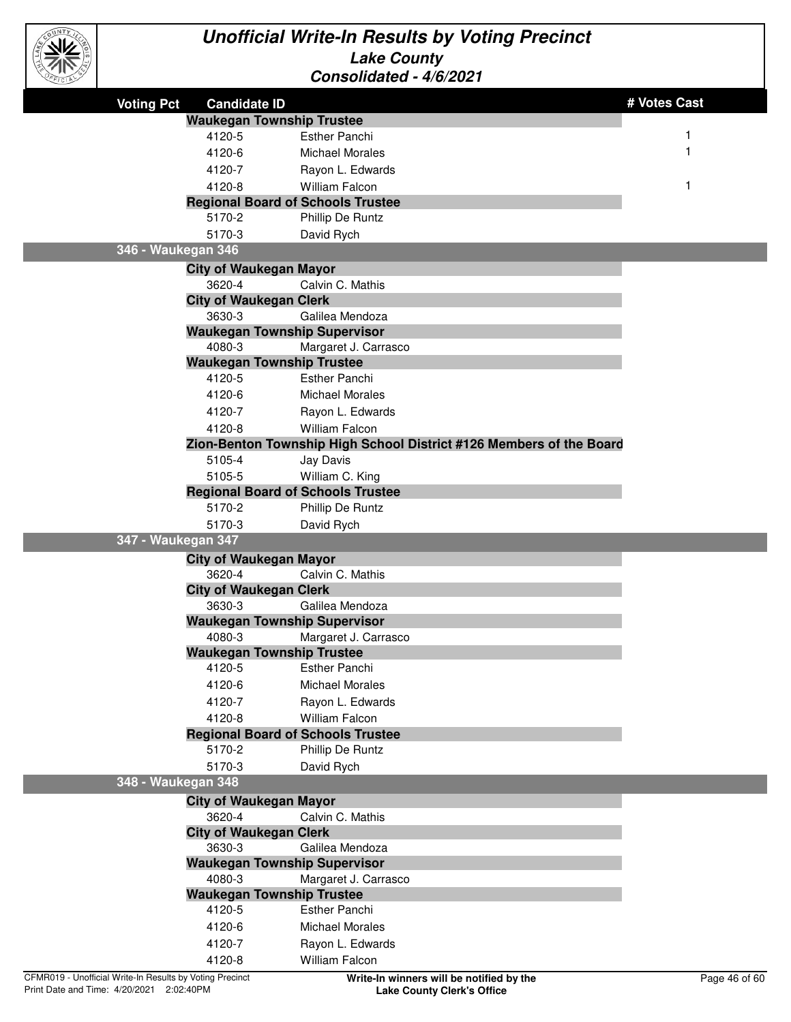

| <b>Voting Pct</b>                                        | <b>Candidate ID</b>                     |                                                                     | # Votes Cast  |
|----------------------------------------------------------|-----------------------------------------|---------------------------------------------------------------------|---------------|
|                                                          | <b>Waukegan Township Trustee</b>        |                                                                     |               |
|                                                          | 4120-5                                  | <b>Esther Panchi</b>                                                | 1             |
|                                                          | 4120-6                                  | <b>Michael Morales</b>                                              |               |
|                                                          | 4120-7                                  | Rayon L. Edwards                                                    |               |
|                                                          | 4120-8                                  | <b>William Falcon</b>                                               |               |
|                                                          |                                         | <b>Regional Board of Schools Trustee</b>                            |               |
|                                                          | 5170-2                                  | Phillip De Runtz                                                    |               |
|                                                          | 5170-3                                  | David Rych                                                          |               |
| 346 - Waukegan 346                                       |                                         |                                                                     |               |
|                                                          | <b>City of Waukegan Mayor</b>           |                                                                     |               |
|                                                          | 3620-4                                  | Calvin C. Mathis                                                    |               |
|                                                          | <b>City of Waukegan Clerk</b>           |                                                                     |               |
|                                                          | 3630-3                                  | Galilea Mendoza                                                     |               |
|                                                          |                                         | <b>Waukegan Township Supervisor</b>                                 |               |
|                                                          | 4080-3                                  | Margaret J. Carrasco                                                |               |
|                                                          | <b>Waukegan Township Trustee</b>        |                                                                     |               |
|                                                          | 4120-5                                  | <b>Esther Panchi</b>                                                |               |
|                                                          | 4120-6                                  | <b>Michael Morales</b>                                              |               |
|                                                          | 4120-7                                  | Rayon L. Edwards                                                    |               |
|                                                          | 4120-8                                  | <b>William Falcon</b>                                               |               |
|                                                          |                                         | Zion-Benton Township High School District #126 Members of the Board |               |
|                                                          | 5105-4                                  | Jay Davis                                                           |               |
|                                                          | 5105-5                                  | William C. King                                                     |               |
|                                                          |                                         | <b>Regional Board of Schools Trustee</b>                            |               |
|                                                          | 5170-2                                  | Phillip De Runtz                                                    |               |
|                                                          | 5170-3                                  | David Rych                                                          |               |
| 347 - Waukegan 347                                       |                                         |                                                                     |               |
|                                                          | <b>City of Waukegan Mayor</b>           |                                                                     |               |
|                                                          | 3620-4<br><b>City of Waukegan Clerk</b> | Calvin C. Mathis                                                    |               |
|                                                          | 3630-3                                  | Galilea Mendoza                                                     |               |
|                                                          |                                         | <b>Waukegan Township Supervisor</b>                                 |               |
|                                                          | 4080-3                                  | Margaret J. Carrasco                                                |               |
|                                                          | <b>Waukegan Township Trustee</b>        |                                                                     |               |
|                                                          | 4120-5                                  | <b>Esther Panchi</b>                                                |               |
|                                                          | 4120-6                                  | <b>Michael Morales</b>                                              |               |
|                                                          | 4120-7                                  | Rayon L. Edwards                                                    |               |
|                                                          | 4120-8                                  | William Falcon                                                      |               |
|                                                          |                                         | <b>Regional Board of Schools Trustee</b>                            |               |
|                                                          | 5170-2                                  | Phillip De Runtz                                                    |               |
|                                                          | 5170-3                                  | David Rych                                                          |               |
| 348 - Waukegan 348                                       |                                         |                                                                     |               |
|                                                          | <b>City of Waukegan Mayor</b>           |                                                                     |               |
|                                                          | 3620-4                                  | Calvin C. Mathis                                                    |               |
|                                                          | <b>City of Waukegan Clerk</b>           |                                                                     |               |
|                                                          | 3630-3                                  | Galilea Mendoza                                                     |               |
|                                                          |                                         | <b>Waukegan Township Supervisor</b>                                 |               |
|                                                          | 4080-3                                  | Margaret J. Carrasco                                                |               |
|                                                          | <b>Waukegan Township Trustee</b>        |                                                                     |               |
|                                                          | 4120-5                                  | Esther Panchi                                                       |               |
|                                                          | 4120-6                                  | <b>Michael Morales</b>                                              |               |
|                                                          | 4120-7                                  | Rayon L. Edwards                                                    |               |
|                                                          | 4120-8                                  | William Falcon                                                      |               |
| CFMR019 - Unofficial Write-In Results by Voting Precinct |                                         | Write-In winners will be notified by the                            | Page 46 of 60 |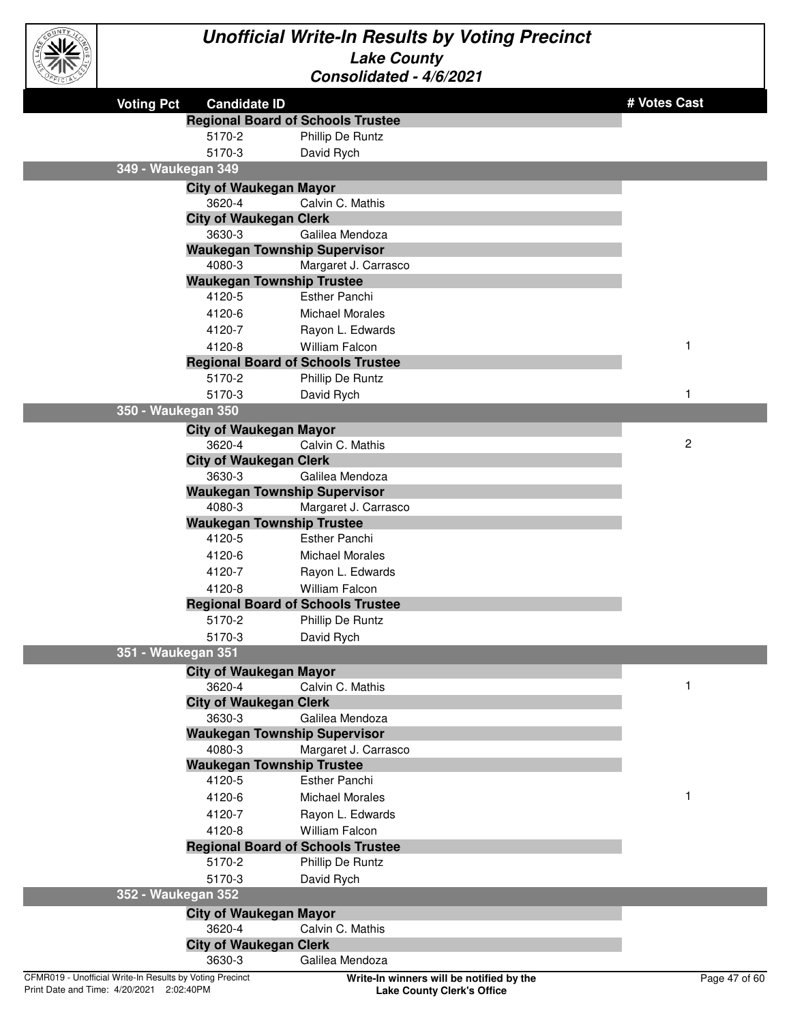

| .                                                        |                               |                                          |                |
|----------------------------------------------------------|-------------------------------|------------------------------------------|----------------|
| <b>Voting Pct</b>                                        | <b>Candidate ID</b>           |                                          | # Votes Cast   |
|                                                          |                               | <b>Regional Board of Schools Trustee</b> |                |
|                                                          | 5170-2                        | Phillip De Runtz                         |                |
|                                                          | 5170-3                        | David Rych                               |                |
| 349 - Waukegan 349                                       |                               |                                          |                |
|                                                          | <b>City of Waukegan Mayor</b> |                                          |                |
|                                                          | 3620-4                        | Calvin C. Mathis                         |                |
|                                                          | <b>City of Waukegan Clerk</b> |                                          |                |
|                                                          | 3630-3                        | Galilea Mendoza                          |                |
|                                                          |                               | <b>Waukegan Township Supervisor</b>      |                |
|                                                          | 4080-3                        | Margaret J. Carrasco                     |                |
|                                                          |                               | <b>Waukegan Township Trustee</b>         |                |
|                                                          | 4120-5                        | <b>Esther Panchi</b>                     |                |
|                                                          | 4120-6                        | <b>Michael Morales</b>                   |                |
|                                                          | 4120-7                        | Rayon L. Edwards                         |                |
|                                                          | 4120-8                        | <b>William Falcon</b>                    | 1              |
|                                                          |                               | <b>Regional Board of Schools Trustee</b> |                |
|                                                          | 5170-2                        | Phillip De Runtz                         |                |
|                                                          | 5170-3                        | David Rych                               | 1              |
| 350 - Waukegan 350                                       |                               |                                          |                |
|                                                          | <b>City of Waukegan Mayor</b> |                                          |                |
|                                                          | 3620-4                        | Calvin C. Mathis                         | $\overline{c}$ |
|                                                          | <b>City of Waukegan Clerk</b> |                                          |                |
|                                                          | 3630-3                        | Galilea Mendoza                          |                |
|                                                          |                               | <b>Waukegan Township Supervisor</b>      |                |
|                                                          | 4080-3                        | Margaret J. Carrasco                     |                |
|                                                          |                               | <b>Waukegan Township Trustee</b>         |                |
|                                                          | 4120-5                        | <b>Esther Panchi</b>                     |                |
|                                                          | 4120-6                        | <b>Michael Morales</b>                   |                |
|                                                          | 4120-7                        | Rayon L. Edwards                         |                |
|                                                          | 4120-8                        | <b>William Falcon</b>                    |                |
|                                                          |                               | <b>Regional Board of Schools Trustee</b> |                |
|                                                          | 5170-2                        | Phillip De Runtz                         |                |
|                                                          | 5170-3                        | David Rych                               |                |
| 351 - Waukegan 351                                       |                               |                                          |                |
|                                                          | <b>City of Waukegan Mayor</b> |                                          |                |
|                                                          | 3620-4                        | Calvin C. Mathis                         |                |
|                                                          | <b>City of Waukegan Clerk</b> |                                          |                |
|                                                          | 3630-3                        | Galilea Mendoza                          |                |
|                                                          |                               | <b>Waukegan Township Supervisor</b>      |                |
|                                                          | 4080-3                        | Margaret J. Carrasco                     |                |
|                                                          |                               | <b>Waukegan Township Trustee</b>         |                |
|                                                          | 4120-5                        | Esther Panchi                            |                |
|                                                          | 4120-6                        | <b>Michael Morales</b>                   | 1              |
|                                                          | 4120-7                        | Rayon L. Edwards                         |                |
|                                                          | 4120-8                        | <b>William Falcon</b>                    |                |
|                                                          |                               | <b>Regional Board of Schools Trustee</b> |                |
|                                                          | 5170-2                        | Phillip De Runtz                         |                |
|                                                          | 5170-3                        | David Rych                               |                |
| 352 - Waukegan 352                                       |                               |                                          |                |
|                                                          | <b>City of Waukegan Mayor</b> |                                          |                |
|                                                          | 3620-4                        | Calvin C. Mathis                         |                |
|                                                          | <b>City of Waukegan Clerk</b> |                                          |                |
|                                                          | 3630-3                        | Galilea Mendoza                          |                |
| CFMR019 - Unofficial Write-In Results by Voting Precinct |                               | Write-In winners will be notified by the | Page 47 of 60  |
|                                                          |                               |                                          |                |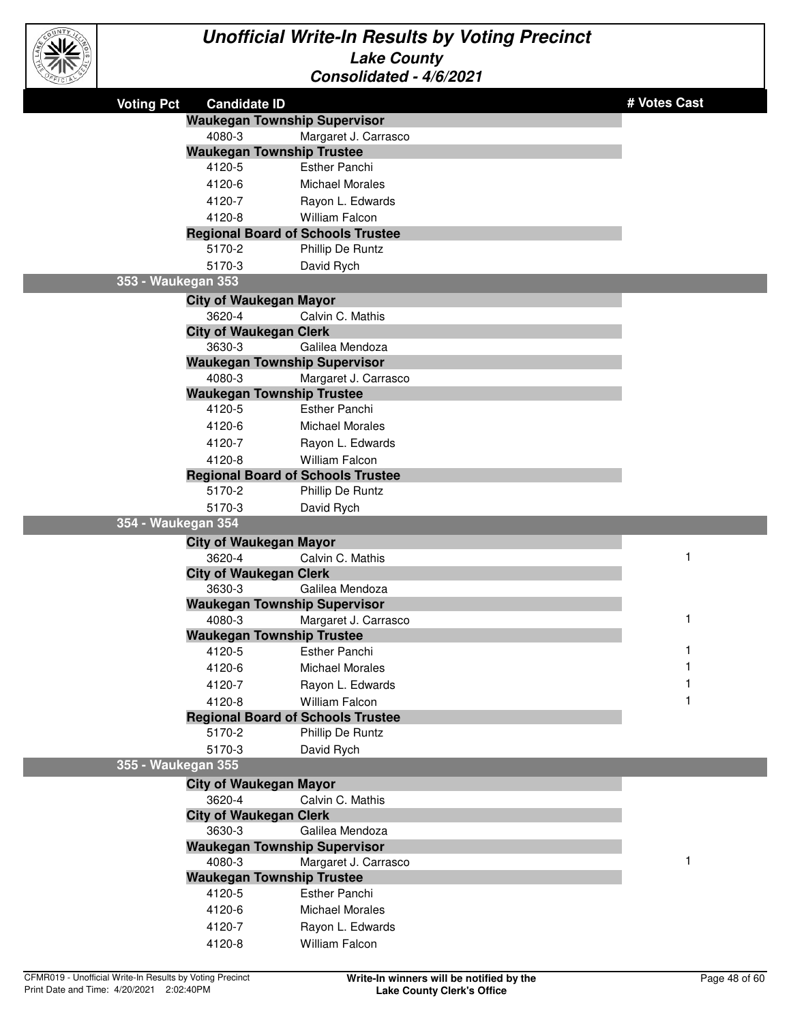

| <b>Voting Pct</b>  | <b>Candidate ID</b>                 |                                          | # Votes Cast |
|--------------------|-------------------------------------|------------------------------------------|--------------|
|                    | <b>Waukegan Township Supervisor</b> |                                          |              |
|                    | 4080-3                              | Margaret J. Carrasco                     |              |
|                    | <b>Waukegan Township Trustee</b>    |                                          |              |
|                    | 4120-5                              | <b>Esther Panchi</b>                     |              |
|                    | 4120-6                              | <b>Michael Morales</b>                   |              |
|                    | 4120-7                              | Rayon L. Edwards                         |              |
|                    | 4120-8                              | <b>William Falcon</b>                    |              |
|                    |                                     | <b>Regional Board of Schools Trustee</b> |              |
|                    | 5170-2                              | Phillip De Runtz                         |              |
|                    | 5170-3                              | David Rych                               |              |
| 353 - Waukegan 353 |                                     |                                          |              |
|                    | <b>City of Waukegan Mayor</b>       |                                          |              |
|                    | 3620-4                              | Calvin C. Mathis                         |              |
|                    | <b>City of Waukegan Clerk</b>       |                                          |              |
|                    | 3630-3                              | Galilea Mendoza                          |              |
|                    | <b>Waukegan Township Supervisor</b> |                                          |              |
|                    | 4080-3                              | Margaret J. Carrasco                     |              |
|                    | <b>Waukegan Township Trustee</b>    |                                          |              |
|                    | 4120-5                              | <b>Esther Panchi</b>                     |              |
|                    | 4120-6                              | <b>Michael Morales</b>                   |              |
|                    | 4120-7                              | Rayon L. Edwards                         |              |
|                    | 4120-8                              | <b>William Falcon</b>                    |              |
|                    |                                     | <b>Regional Board of Schools Trustee</b> |              |
|                    | 5170-2                              | Phillip De Runtz                         |              |
|                    | 5170-3                              | David Rych                               |              |
| 354 - Waukegan 354 |                                     |                                          |              |
|                    | <b>City of Waukegan Mayor</b>       |                                          |              |
|                    | 3620-4                              | Calvin C. Mathis                         | 1            |
|                    | <b>City of Waukegan Clerk</b>       |                                          |              |
|                    | 3630-3                              | Galilea Mendoza                          |              |
|                    | <b>Waukegan Township Supervisor</b> |                                          |              |
|                    | 4080-3                              | Margaret J. Carrasco                     | 1            |
|                    | <b>Waukegan Township Trustee</b>    |                                          |              |
|                    | 4120-5                              | <b>Esther Panchi</b>                     | 1            |
|                    | 4120-6                              | <b>Michael Morales</b>                   | 1            |
|                    | 4120-7                              | Rayon L. Edwards                         |              |
|                    | 4120-8                              | William Falcon                           |              |
|                    |                                     | <b>Regional Board of Schools Trustee</b> |              |
|                    | 5170-2                              | Phillip De Runtz                         |              |
|                    | 5170-3                              | David Rych                               |              |
| 355 - Waukegan 355 |                                     |                                          |              |
|                    | <b>City of Waukegan Mayor</b>       |                                          |              |
|                    | 3620-4                              | Calvin C. Mathis                         |              |
|                    | <b>City of Waukegan Clerk</b>       |                                          |              |
|                    | 3630-3                              | Galilea Mendoza                          |              |
|                    | <b>Waukegan Township Supervisor</b> |                                          |              |
|                    | 4080-3                              | Margaret J. Carrasco                     | 1            |
|                    | <b>Waukegan Township Trustee</b>    |                                          |              |
|                    | 4120-5                              | Esther Panchi                            |              |
|                    | 4120-6                              | <b>Michael Morales</b>                   |              |
|                    | 4120-7                              | Rayon L. Edwards                         |              |
|                    | 4120-8                              | William Falcon                           |              |
|                    |                                     |                                          |              |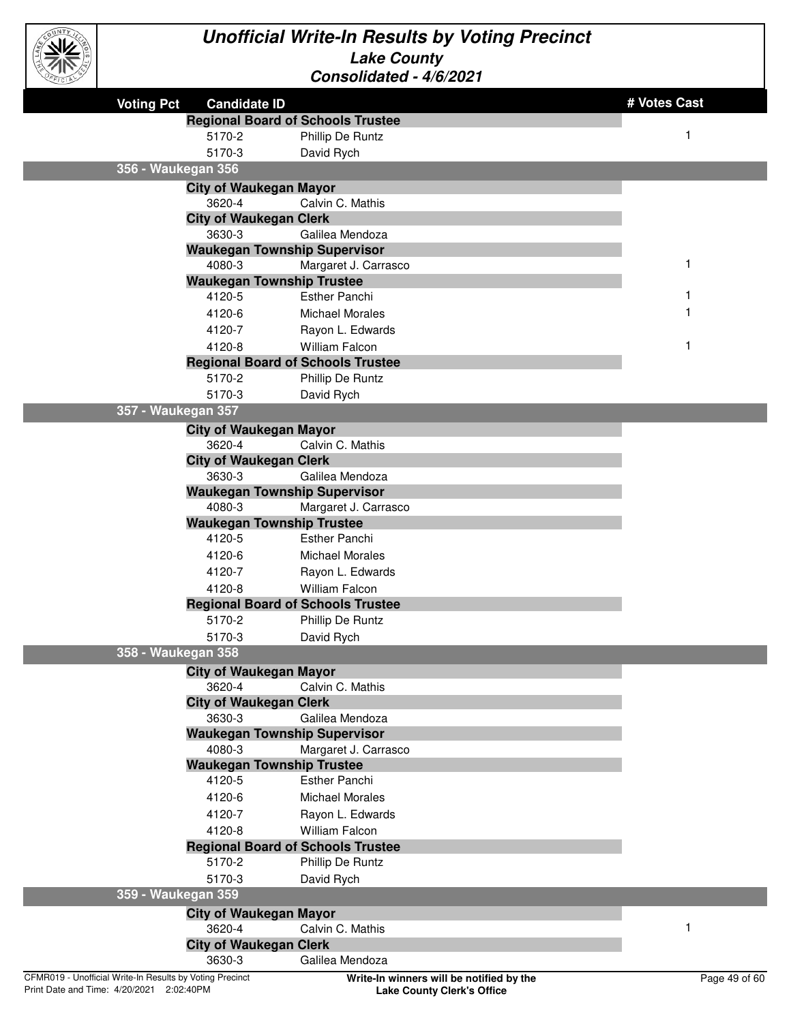

|                                                          |                                            |                                                             | # Votes Cast  |
|----------------------------------------------------------|--------------------------------------------|-------------------------------------------------------------|---------------|
| <b>Voting Pct</b>                                        | <b>Candidate ID</b>                        |                                                             |               |
|                                                          |                                            | <b>Regional Board of Schools Trustee</b>                    |               |
|                                                          | 5170-2                                     | Phillip De Runtz                                            | 1             |
|                                                          | 5170-3                                     | David Rych                                                  |               |
| 356 - Waukegan 356                                       |                                            |                                                             |               |
|                                                          | <b>City of Waukegan Mayor</b>              |                                                             |               |
|                                                          | 3620-4                                     | Calvin C. Mathis                                            |               |
|                                                          | <b>City of Waukegan Clerk</b>              |                                                             |               |
|                                                          | 3630-3                                     | Galilea Mendoza                                             |               |
|                                                          |                                            | <b>Waukegan Township Supervisor</b>                         |               |
|                                                          | 4080-3                                     | Margaret J. Carrasco                                        | 1             |
|                                                          | <b>Waukegan Township Trustee</b><br>4120-5 | <b>Esther Panchi</b>                                        |               |
|                                                          |                                            |                                                             |               |
|                                                          | 4120-6                                     | <b>Michael Morales</b>                                      |               |
|                                                          | 4120-7                                     | Rayon L. Edwards                                            |               |
|                                                          | 4120-8                                     | <b>William Falcon</b>                                       |               |
|                                                          | 5170-2                                     | <b>Regional Board of Schools Trustee</b>                    |               |
|                                                          |                                            | Phillip De Runtz                                            |               |
| 357 - Waukegan 357                                       | 5170-3                                     | David Rych                                                  |               |
|                                                          |                                            |                                                             |               |
|                                                          | <b>City of Waukegan Mayor</b>              |                                                             |               |
|                                                          | 3620-4                                     | Calvin C. Mathis                                            |               |
|                                                          | <b>City of Waukegan Clerk</b>              |                                                             |               |
|                                                          | 3630-3                                     | Galilea Mendoza                                             |               |
|                                                          | 4080-3                                     | <b>Waukegan Township Supervisor</b><br>Margaret J. Carrasco |               |
|                                                          | <b>Waukegan Township Trustee</b>           |                                                             |               |
|                                                          | 4120-5                                     | <b>Esther Panchi</b>                                        |               |
|                                                          | 4120-6                                     | <b>Michael Morales</b>                                      |               |
|                                                          | 4120-7                                     | Rayon L. Edwards                                            |               |
|                                                          | 4120-8                                     | <b>William Falcon</b>                                       |               |
|                                                          |                                            | <b>Regional Board of Schools Trustee</b>                    |               |
|                                                          | 5170-2                                     | Phillip De Runtz                                            |               |
|                                                          | 5170-3                                     | David Rych                                                  |               |
| 358 - Waukegan 358                                       |                                            |                                                             |               |
|                                                          |                                            |                                                             |               |
|                                                          | <b>City of Waukegan Mayor</b><br>3620-4    | Calvin C. Mathis                                            |               |
|                                                          | <b>City of Waukegan Clerk</b>              |                                                             |               |
|                                                          | 3630-3                                     | Galilea Mendoza                                             |               |
|                                                          |                                            | <b>Waukegan Township Supervisor</b>                         |               |
|                                                          | 4080-3                                     | Margaret J. Carrasco                                        |               |
|                                                          | <b>Waukegan Township Trustee</b>           |                                                             |               |
|                                                          | 4120-5                                     | <b>Esther Panchi</b>                                        |               |
|                                                          | 4120-6                                     | <b>Michael Morales</b>                                      |               |
|                                                          | 4120-7                                     | Rayon L. Edwards                                            |               |
|                                                          | 4120-8                                     | <b>William Falcon</b>                                       |               |
|                                                          |                                            | <b>Regional Board of Schools Trustee</b>                    |               |
|                                                          | 5170-2                                     | Phillip De Runtz                                            |               |
|                                                          | 5170-3                                     | David Rych                                                  |               |
| 359 - Waukegan 359                                       |                                            |                                                             |               |
|                                                          | <b>City of Waukegan Mayor</b>              |                                                             |               |
|                                                          | 3620-4                                     | Calvin C. Mathis                                            | 1             |
|                                                          | <b>City of Waukegan Clerk</b>              |                                                             |               |
|                                                          | 3630-3                                     | Galilea Mendoza                                             |               |
| CFMR019 - Unofficial Write-In Results by Voting Precinct |                                            | Write-In winners will be notified by the                    | Page 49 of 60 |
|                                                          |                                            |                                                             |               |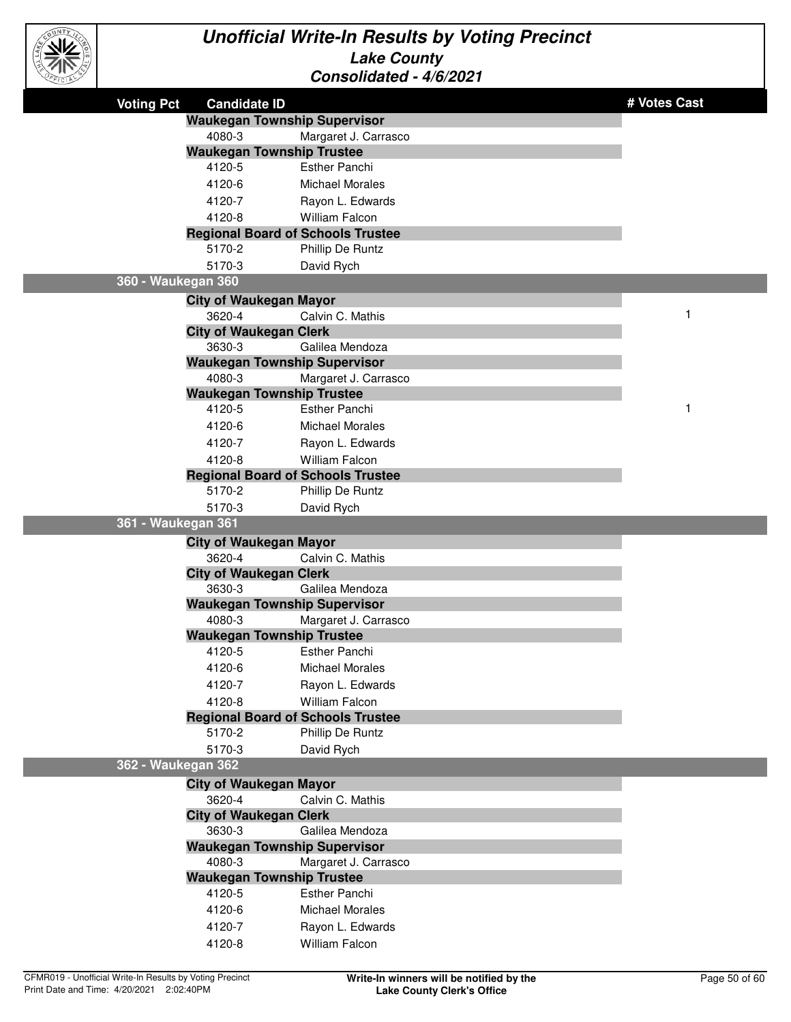

| <b>Voting Pct</b>  | <b>Candidate ID</b>                      |                        | # Votes Cast |
|--------------------|------------------------------------------|------------------------|--------------|
|                    | <b>Waukegan Township Supervisor</b>      |                        |              |
|                    | 4080-3                                   | Margaret J. Carrasco   |              |
|                    | <b>Waukegan Township Trustee</b>         |                        |              |
|                    | 4120-5                                   | <b>Esther Panchi</b>   |              |
|                    | 4120-6                                   | <b>Michael Morales</b> |              |
|                    | 4120-7                                   | Rayon L. Edwards       |              |
|                    | 4120-8                                   | William Falcon         |              |
|                    | <b>Regional Board of Schools Trustee</b> |                        |              |
|                    | 5170-2                                   | Phillip De Runtz       |              |
|                    | 5170-3                                   | David Rych             |              |
| 360 - Waukegan 360 |                                          |                        |              |
|                    | <b>City of Waukegan Mayor</b>            |                        |              |
|                    | 3620-4                                   | Calvin C. Mathis       | 1            |
|                    | <b>City of Waukegan Clerk</b>            |                        |              |
|                    | 3630-3                                   | Galilea Mendoza        |              |
|                    | <b>Waukegan Township Supervisor</b>      |                        |              |
|                    | 4080-3                                   | Margaret J. Carrasco   |              |
|                    | <b>Waukegan Township Trustee</b>         |                        |              |
|                    | 4120-5                                   | <b>Esther Panchi</b>   | 1            |
|                    | 4120-6                                   | <b>Michael Morales</b> |              |
|                    | 4120-7                                   | Rayon L. Edwards       |              |
|                    | 4120-8                                   | <b>William Falcon</b>  |              |
|                    | <b>Regional Board of Schools Trustee</b> |                        |              |
|                    | 5170-2                                   | Phillip De Runtz       |              |
|                    | 5170-3                                   | David Rych             |              |
| 361 - Waukegan 361 |                                          |                        |              |
|                    | <b>City of Waukegan Mayor</b>            |                        |              |
|                    | 3620-4                                   | Calvin C. Mathis       |              |
|                    | <b>City of Waukegan Clerk</b>            |                        |              |
|                    | 3630-3                                   | Galilea Mendoza        |              |
|                    | <b>Waukegan Township Supervisor</b>      |                        |              |
|                    | 4080-3                                   | Margaret J. Carrasco   |              |
|                    | <b>Waukegan Township Trustee</b>         |                        |              |
|                    | 4120-5                                   | <b>Esther Panchi</b>   |              |
|                    | 4120-6                                   | <b>Michael Morales</b> |              |
|                    | 4120-7                                   | Rayon L. Edwards       |              |
|                    | 4120-8                                   | William Falcon         |              |
|                    | <b>Regional Board of Schools Trustee</b> |                        |              |
|                    | 5170-2                                   | Phillip De Runtz       |              |
|                    | 5170-3                                   | David Rych             |              |
| 362 - Waukegan 362 |                                          |                        |              |
|                    | <b>City of Waukegan Mayor</b>            |                        |              |
|                    | 3620-4                                   | Calvin C. Mathis       |              |
|                    | <b>City of Waukegan Clerk</b>            |                        |              |
|                    | 3630-3                                   | Galilea Mendoza        |              |
|                    | <b>Waukegan Township Supervisor</b>      |                        |              |
|                    | 4080-3                                   | Margaret J. Carrasco   |              |
|                    | <b>Waukegan Township Trustee</b>         |                        |              |
|                    | 4120-5                                   | <b>Esther Panchi</b>   |              |
|                    | 4120-6                                   | <b>Michael Morales</b> |              |
|                    | 4120-7                                   | Rayon L. Edwards       |              |
|                    | 4120-8                                   | William Falcon         |              |
|                    |                                          |                        |              |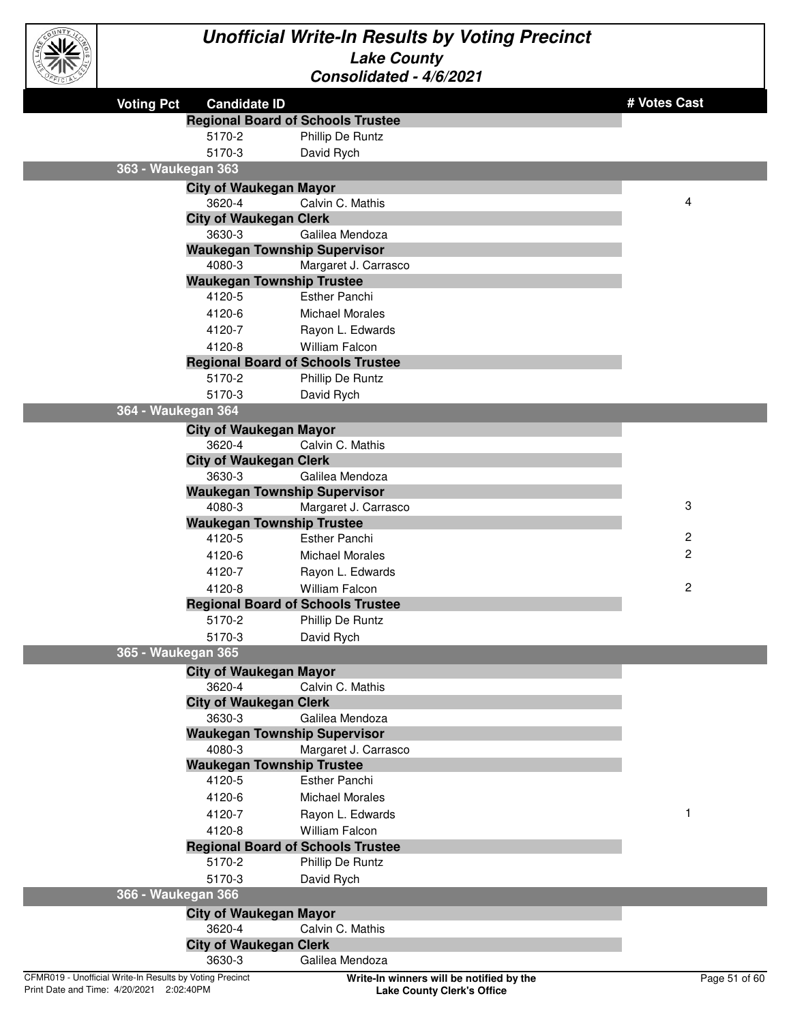

| <b>Voting Pct</b><br><b>Candidate ID</b>                 |                                          | # Votes Cast            |
|----------------------------------------------------------|------------------------------------------|-------------------------|
|                                                          | <b>Regional Board of Schools Trustee</b> |                         |
| 5170-2                                                   | Phillip De Runtz                         |                         |
| 5170-3                                                   |                                          |                         |
| 363 - Waukegan 363                                       | David Rych                               |                         |
|                                                          |                                          |                         |
| <b>City of Waukegan Mayor</b>                            |                                          | 4                       |
| 3620-4                                                   | Calvin C. Mathis                         |                         |
| <b>City of Waukegan Clerk</b><br>3630-3                  | Galilea Mendoza                          |                         |
|                                                          | <b>Waukegan Township Supervisor</b>      |                         |
| 4080-3                                                   | Margaret J. Carrasco                     |                         |
| <b>Waukegan Township Trustee</b>                         |                                          |                         |
| 4120-5                                                   | <b>Esther Panchi</b>                     |                         |
| 4120-6                                                   | <b>Michael Morales</b>                   |                         |
| 4120-7                                                   | Rayon L. Edwards                         |                         |
| 4120-8                                                   | <b>William Falcon</b>                    |                         |
|                                                          | <b>Regional Board of Schools Trustee</b> |                         |
| 5170-2                                                   | Phillip De Runtz                         |                         |
| 5170-3                                                   | David Rych                               |                         |
| 364 - Waukegan 364                                       |                                          |                         |
| <b>City of Waukegan Mayor</b>                            |                                          |                         |
| 3620-4                                                   | Calvin C. Mathis                         |                         |
| <b>City of Waukegan Clerk</b>                            |                                          |                         |
| 3630-3                                                   | Galilea Mendoza                          |                         |
|                                                          | <b>Waukegan Township Supervisor</b>      |                         |
| 4080-3                                                   | Margaret J. Carrasco                     | 3                       |
| <b>Waukegan Township Trustee</b>                         |                                          |                         |
| 4120-5                                                   | <b>Esther Panchi</b>                     | $\overline{\mathbf{c}}$ |
| 4120-6                                                   | <b>Michael Morales</b>                   | $\overline{c}$          |
| 4120-7                                                   | Rayon L. Edwards                         |                         |
| 4120-8                                                   | <b>William Falcon</b>                    | $\overline{c}$          |
|                                                          | <b>Regional Board of Schools Trustee</b> |                         |
| 5170-2                                                   | Phillip De Runtz                         |                         |
| 5170-3                                                   | David Rych                               |                         |
| 365 - Waukegan 365                                       |                                          |                         |
| <b>City of Waukegan Mayor</b>                            |                                          |                         |
| 3620-4                                                   | Calvin C. Mathis                         |                         |
| <b>City of Waukegan Clerk</b>                            |                                          |                         |
| 3630-3                                                   | Galilea Mendoza                          |                         |
|                                                          | <b>Waukegan Township Supervisor</b>      |                         |
| 4080-3                                                   | Margaret J. Carrasco                     |                         |
| <b>Waukegan Township Trustee</b>                         |                                          |                         |
| 4120-5                                                   | Esther Panchi                            |                         |
| 4120-6                                                   | <b>Michael Morales</b>                   |                         |
| 4120-7                                                   | Rayon L. Edwards                         | 1                       |
| 4120-8                                                   | <b>William Falcon</b>                    |                         |
|                                                          | <b>Regional Board of Schools Trustee</b> |                         |
| 5170-2                                                   | Phillip De Runtz                         |                         |
| 5170-3                                                   | David Rych                               |                         |
| 366 - Waukegan 366                                       |                                          |                         |
| <b>City of Waukegan Mayor</b>                            |                                          |                         |
| 3620-4                                                   | Calvin C. Mathis                         |                         |
| <b>City of Waukegan Clerk</b>                            |                                          |                         |
| 3630-3                                                   | Galilea Mendoza                          |                         |
| CFMR019 - Unofficial Write-In Results by Voting Precinct | Write-In winners will be notified by the | Page 51 of 60           |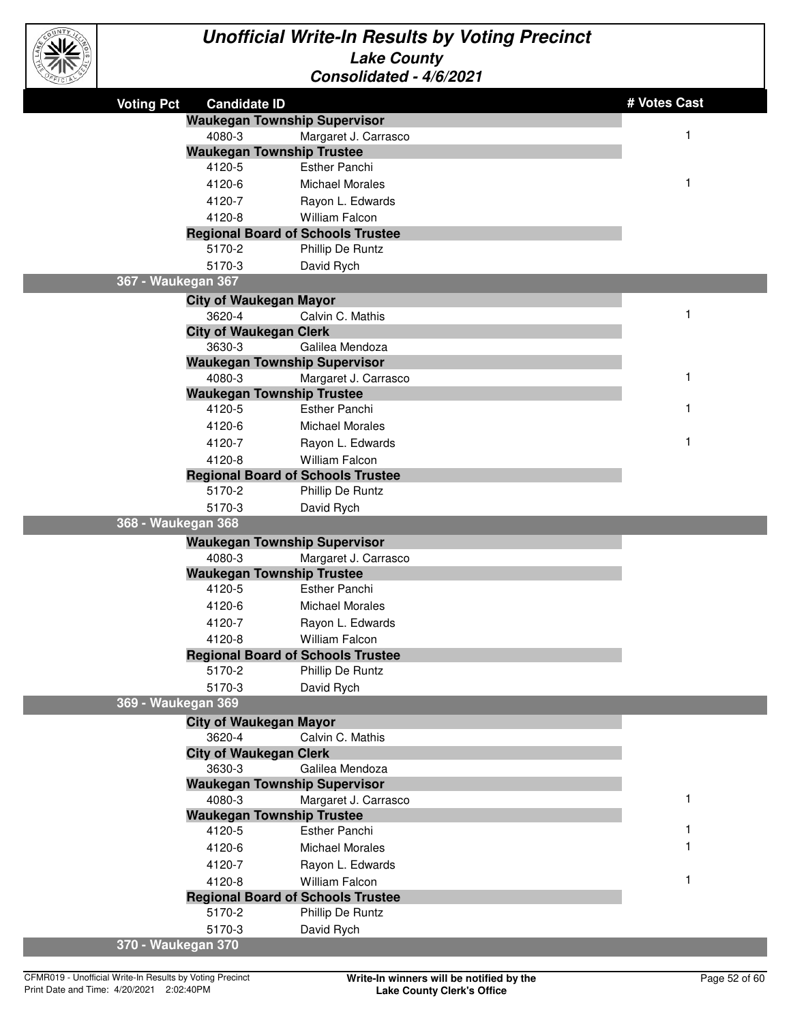

| <b>Voting Pct</b>  | <b>Candidate ID</b>                                |                                | # Votes Cast |
|--------------------|----------------------------------------------------|--------------------------------|--------------|
|                    | <b>Waukegan Township Supervisor</b>                |                                |              |
|                    | 4080-3                                             | Margaret J. Carrasco           | 1            |
|                    | <b>Waukegan Township Trustee</b>                   |                                |              |
|                    | 4120-5                                             | <b>Esther Panchi</b>           |              |
|                    | 4120-6                                             | <b>Michael Morales</b>         | 1            |
|                    | 4120-7                                             | Rayon L. Edwards               |              |
|                    | 4120-8                                             | William Falcon                 |              |
|                    | <b>Regional Board of Schools Trustee</b>           |                                |              |
|                    | 5170-2                                             | Phillip De Runtz               |              |
|                    | 5170-3                                             | David Rych                     |              |
| 367 - Waukegan 367 |                                                    |                                |              |
|                    | <b>City of Waukegan Mayor</b>                      |                                |              |
|                    | 3620-4                                             | Calvin C. Mathis               | 1            |
|                    | <b>City of Waukegan Clerk</b>                      |                                |              |
|                    | 3630-3                                             | Galilea Mendoza                |              |
|                    | <b>Waukegan Township Supervisor</b>                |                                |              |
|                    | 4080-3                                             | Margaret J. Carrasco           | 1            |
|                    | <b>Waukegan Township Trustee</b>                   |                                |              |
|                    | 4120-5                                             | <b>Esther Panchi</b>           | 1            |
|                    | 4120-6                                             | <b>Michael Morales</b>         |              |
|                    | 4120-7                                             | Rayon L. Edwards               | 1            |
|                    | 4120-8                                             | <b>William Falcon</b>          |              |
|                    | <b>Regional Board of Schools Trustee</b>           |                                |              |
|                    | 5170-2                                             | Phillip De Runtz               |              |
|                    | 5170-3                                             | David Rych                     |              |
| 368 - Waukegan 368 |                                                    |                                |              |
|                    | <b>Waukegan Township Supervisor</b>                |                                |              |
|                    | 4080-3                                             | Margaret J. Carrasco           |              |
|                    | <b>Waukegan Township Trustee</b><br>4120-5         | <b>Esther Panchi</b>           |              |
|                    | 4120-6                                             | <b>Michael Morales</b>         |              |
|                    |                                                    |                                |              |
|                    | 4120-7                                             | Rayon L. Edwards               |              |
|                    | 4120-8                                             | <b>William Falcon</b>          |              |
|                    | <b>Regional Board of Schools Trustee</b><br>5170-2 | Phillip De Runtz               |              |
|                    | 5170-3                                             | David Rych                     |              |
| 369 - Waukegan 369 |                                                    |                                |              |
|                    |                                                    |                                |              |
|                    | <b>City of Waukegan Mayor</b><br>3620-4            | Calvin C. Mathis               |              |
|                    | <b>City of Waukegan Clerk</b>                      |                                |              |
|                    | 3630-3                                             | Galilea Mendoza                |              |
|                    | <b>Waukegan Township Supervisor</b>                |                                |              |
|                    | 4080-3                                             | Margaret J. Carrasco           |              |
|                    |                                                    |                                |              |
|                    |                                                    |                                |              |
|                    | <b>Waukegan Township Trustee</b><br>4120-5         |                                |              |
|                    |                                                    | Esther Panchi                  |              |
|                    | 4120-6                                             | <b>Michael Morales</b>         |              |
|                    | 4120-7                                             | Rayon L. Edwards               |              |
|                    | 4120-8                                             | <b>William Falcon</b>          |              |
|                    | <b>Regional Board of Schools Trustee</b>           |                                |              |
|                    | 5170-2<br>5170-3                                   | Phillip De Runtz<br>David Rych |              |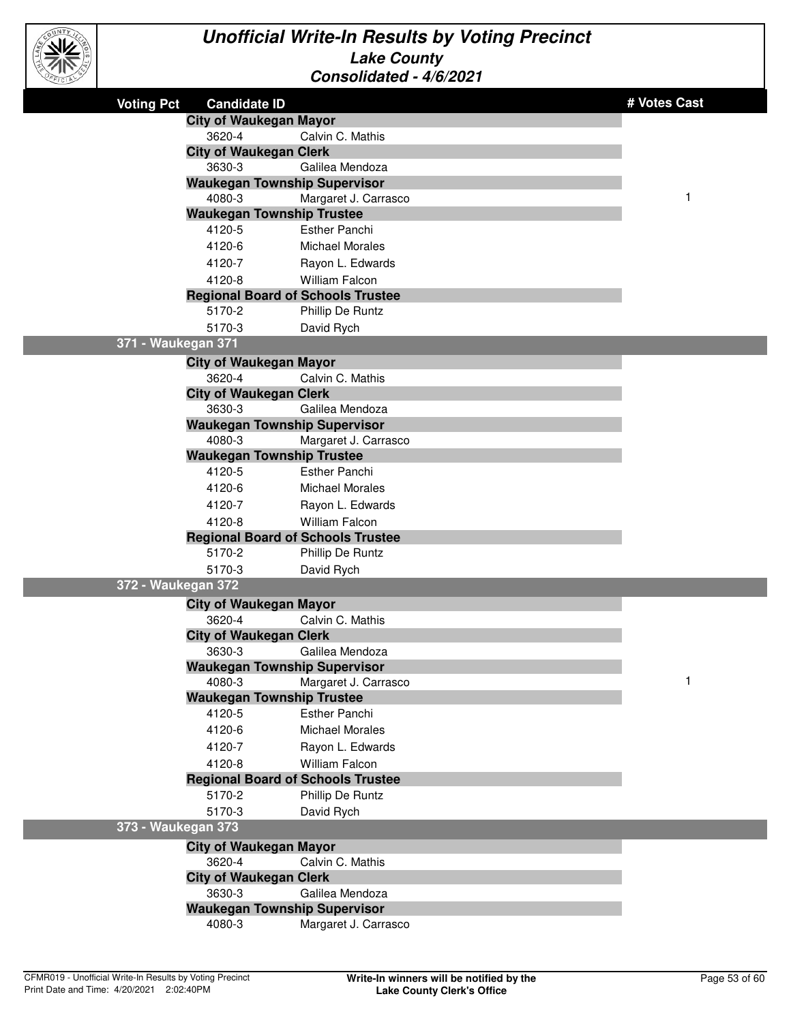

| <b>Voting Pct</b>  | <b>Candidate ID</b>                      |                        | # Votes Cast |
|--------------------|------------------------------------------|------------------------|--------------|
|                    | <b>City of Waukegan Mayor</b>            |                        |              |
|                    | 3620-4                                   | Calvin C. Mathis       |              |
|                    | <b>City of Waukegan Clerk</b>            |                        |              |
|                    | 3630-3                                   | Galilea Mendoza        |              |
|                    | <b>Waukegan Township Supervisor</b>      |                        |              |
|                    | 4080-3                                   | Margaret J. Carrasco   | $\mathbf{1}$ |
|                    | <b>Waukegan Township Trustee</b>         |                        |              |
|                    | 4120-5                                   | <b>Esther Panchi</b>   |              |
|                    | 4120-6                                   | <b>Michael Morales</b> |              |
|                    | 4120-7                                   | Rayon L. Edwards       |              |
|                    | 4120-8                                   | <b>William Falcon</b>  |              |
|                    | <b>Regional Board of Schools Trustee</b> |                        |              |
|                    | 5170-2                                   | Phillip De Runtz       |              |
|                    | 5170-3                                   | David Rych             |              |
| 371 - Waukegan 371 |                                          |                        |              |
|                    | <b>City of Waukegan Mayor</b>            |                        |              |
|                    | 3620-4                                   | Calvin C. Mathis       |              |
|                    | <b>City of Waukegan Clerk</b>            |                        |              |
|                    | 3630-3                                   | Galilea Mendoza        |              |
|                    | <b>Waukegan Township Supervisor</b>      |                        |              |
|                    | 4080-3                                   | Margaret J. Carrasco   |              |
|                    | <b>Waukegan Township Trustee</b>         |                        |              |
|                    | 4120-5                                   | <b>Esther Panchi</b>   |              |
|                    | 4120-6                                   | <b>Michael Morales</b> |              |
|                    | 4120-7                                   | Rayon L. Edwards       |              |
|                    | 4120-8                                   | William Falcon         |              |
|                    | <b>Regional Board of Schools Trustee</b> |                        |              |
|                    | 5170-2                                   | Phillip De Runtz       |              |
|                    | 5170-3                                   | David Rych             |              |
| 372 - Waukegan 372 |                                          |                        |              |
|                    | <b>City of Waukegan Mayor</b>            |                        |              |
|                    | 3620-4                                   | Calvin C. Mathis       |              |
|                    | <b>City of Waukegan Clerk</b>            |                        |              |
|                    | 3630-3                                   | Galilea Mendoza        |              |
|                    | <b>Waukegan Township Supervisor</b>      |                        |              |
|                    | 4080-3                                   | Margaret J. Carrasco   | $\mathbf 1$  |
|                    | <b>Waukegan Township Trustee</b>         |                        |              |
|                    | 4120-5                                   | <b>Esther Panchi</b>   |              |
|                    | 4120-6                                   | <b>Michael Morales</b> |              |
|                    | 4120-7                                   | Rayon L. Edwards       |              |
|                    | 4120-8                                   | <b>William Falcon</b>  |              |
|                    | <b>Regional Board of Schools Trustee</b> |                        |              |
|                    | 5170-2                                   | Phillip De Runtz       |              |
|                    | 5170-3                                   | David Rych             |              |
| 373 - Waukegan 373 |                                          |                        |              |
|                    | <b>City of Waukegan Mayor</b>            |                        |              |
|                    | 3620-4                                   | Calvin C. Mathis       |              |
|                    | <b>City of Waukegan Clerk</b>            |                        |              |
|                    | 3630-3                                   | Galilea Mendoza        |              |
|                    | <b>Waukegan Township Supervisor</b>      |                        |              |
|                    | 4080-3                                   | Margaret J. Carrasco   |              |
|                    |                                          |                        |              |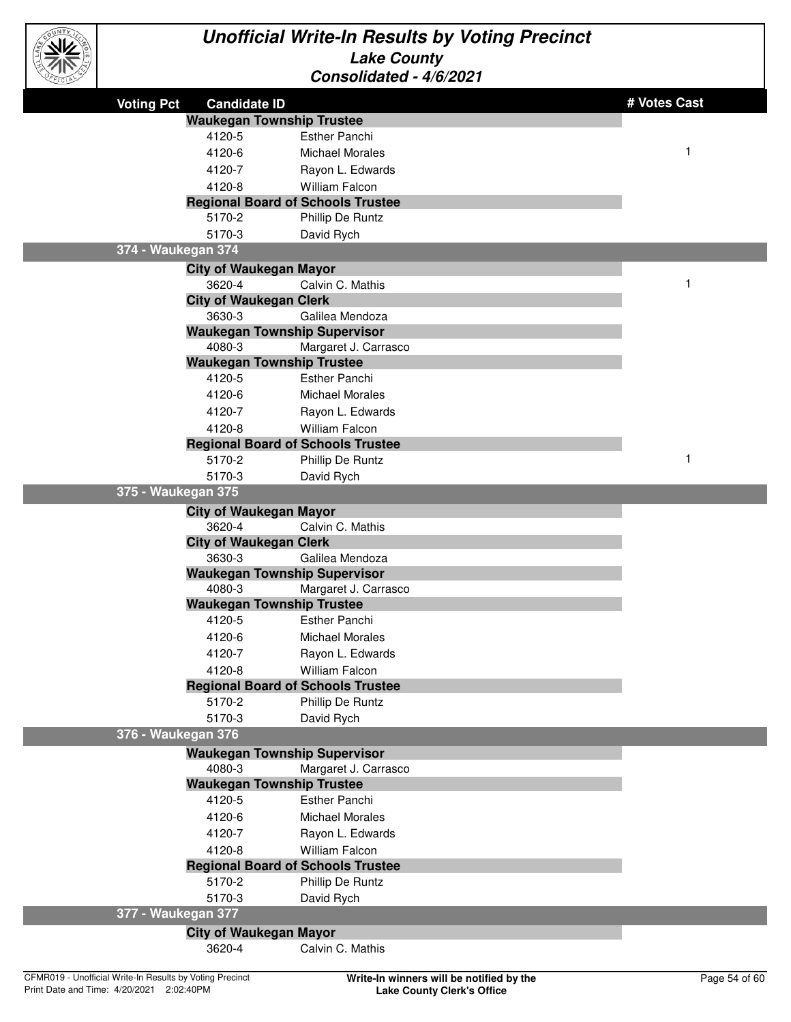

| $\sim$             |                                     |                                          |              |
|--------------------|-------------------------------------|------------------------------------------|--------------|
| <b>Voting Pct</b>  | <b>Candidate ID</b>                 |                                          | # Votes Cast |
|                    | <b>Waukegan Township Trustee</b>    |                                          |              |
|                    | 4120-5                              | <b>Esther Panchi</b>                     |              |
|                    | 4120-6                              | <b>Michael Morales</b>                   | $\mathbf 1$  |
|                    | 4120-7                              | Rayon L. Edwards                         |              |
|                    | 4120-8                              | William Falcon                           |              |
|                    |                                     | <b>Regional Board of Schools Trustee</b> |              |
|                    | 5170-2                              | Phillip De Runtz                         |              |
|                    | 5170-3                              | David Rych                               |              |
| 374 - Waukegan 374 |                                     |                                          |              |
|                    | <b>City of Waukegan Mayor</b>       |                                          |              |
|                    | 3620-4                              | Calvin C. Mathis                         | 1            |
|                    | <b>City of Waukegan Clerk</b>       |                                          |              |
|                    | 3630-3                              | Galilea Mendoza                          |              |
|                    | <b>Waukegan Township Supervisor</b> |                                          |              |
|                    | 4080-3                              | Margaret J. Carrasco                     |              |
|                    | <b>Waukegan Township Trustee</b>    |                                          |              |
|                    | 4120-5                              | <b>Esther Panchi</b>                     |              |
|                    | 4120-6                              | <b>Michael Morales</b>                   |              |
|                    | 4120-7                              | Rayon L. Edwards                         |              |
|                    | 4120-8                              | <b>William Falcon</b>                    |              |
|                    |                                     | <b>Regional Board of Schools Trustee</b> |              |
|                    | 5170-2                              | Phillip De Runtz                         | $\mathbf{1}$ |
|                    | 5170-3                              | David Rych                               |              |
| 375 - Waukegan 375 |                                     |                                          |              |
|                    | <b>City of Waukegan Mayor</b>       |                                          |              |
|                    | 3620-4                              | Calvin C. Mathis                         |              |
|                    | <b>City of Waukegan Clerk</b>       |                                          |              |
|                    | 3630-3                              | Galilea Mendoza                          |              |
|                    | <b>Waukegan Township Supervisor</b> |                                          |              |
|                    | 4080-3                              | Margaret J. Carrasco                     |              |
|                    | <b>Waukegan Township Trustee</b>    |                                          |              |
|                    | 4120-5                              | <b>Esther Panchi</b>                     |              |
|                    | 4120-6                              | <b>Michael Morales</b>                   |              |
|                    | 4120-7                              | Rayon L. Edwards                         |              |
|                    | 4120-8                              | William Falcon                           |              |
|                    |                                     | <b>Regional Board of Schools Trustee</b> |              |
|                    | 5170-2                              | Phillip De Runtz                         |              |
|                    | 5170-3                              | David Rych                               |              |
| 376 - Waukegan 376 |                                     |                                          |              |
|                    | <b>Waukegan Township Supervisor</b> |                                          |              |
|                    | 4080-3                              | Margaret J. Carrasco                     |              |
|                    | <b>Waukegan Township Trustee</b>    |                                          |              |
|                    | 4120-5                              | <b>Esther Panchi</b>                     |              |
|                    | 4120-6                              | <b>Michael Morales</b>                   |              |
|                    | 4120-7                              | Rayon L. Edwards                         |              |
|                    | 4120-8                              | <b>William Falcon</b>                    |              |
|                    |                                     | <b>Regional Board of Schools Trustee</b> |              |
|                    | 5170-2                              | Phillip De Runtz                         |              |
|                    | 5170-3                              | David Rych                               |              |
| 377 - Waukegan 377 |                                     |                                          |              |
|                    | <b>City of Waukegan Mayor</b>       |                                          |              |
|                    | 3620-4                              | Calvin C. Mathis                         |              |
|                    |                                     |                                          |              |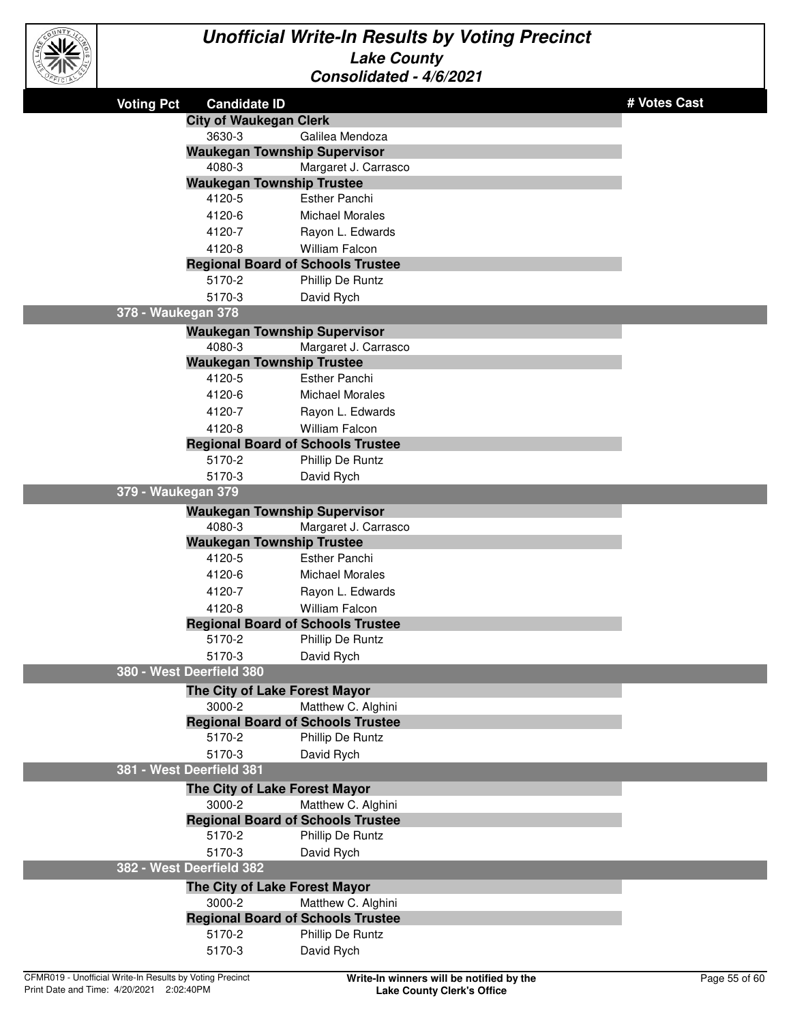

| <b>Voting Pct</b>  | <b>Candidate ID</b>                                |                        | # Votes Cast |
|--------------------|----------------------------------------------------|------------------------|--------------|
|                    | <b>City of Waukegan Clerk</b>                      |                        |              |
|                    | 3630-3                                             | Galilea Mendoza        |              |
|                    | <b>Waukegan Township Supervisor</b>                |                        |              |
|                    | 4080-3                                             | Margaret J. Carrasco   |              |
|                    | <b>Waukegan Township Trustee</b>                   |                        |              |
|                    | 4120-5                                             | <b>Esther Panchi</b>   |              |
|                    | 4120-6                                             | <b>Michael Morales</b> |              |
|                    | 4120-7                                             | Rayon L. Edwards       |              |
|                    | 4120-8                                             | William Falcon         |              |
|                    | <b>Regional Board of Schools Trustee</b>           |                        |              |
|                    | 5170-2                                             | Phillip De Runtz       |              |
|                    | 5170-3                                             | David Rych             |              |
| 378 - Waukegan 378 |                                                    |                        |              |
|                    | <b>Waukegan Township Supervisor</b>                |                        |              |
|                    | 4080-3                                             | Margaret J. Carrasco   |              |
|                    | <b>Waukegan Township Trustee</b>                   |                        |              |
|                    | 4120-5                                             | <b>Esther Panchi</b>   |              |
|                    | 4120-6                                             | <b>Michael Morales</b> |              |
|                    | 4120-7                                             | Rayon L. Edwards       |              |
|                    | 4120-8                                             | <b>William Falcon</b>  |              |
|                    | <b>Regional Board of Schools Trustee</b>           |                        |              |
|                    | 5170-2                                             | Phillip De Runtz       |              |
|                    | 5170-3                                             | David Rych             |              |
| 379 - Waukegan 379 |                                                    |                        |              |
|                    | <b>Waukegan Township Supervisor</b>                |                        |              |
|                    | 4080-3                                             | Margaret J. Carrasco   |              |
|                    | <b>Waukegan Township Trustee</b>                   |                        |              |
|                    | 4120-5                                             | <b>Esther Panchi</b>   |              |
|                    | 4120-6                                             | <b>Michael Morales</b> |              |
|                    | 4120-7                                             | Rayon L. Edwards       |              |
|                    | 4120-8                                             | <b>William Falcon</b>  |              |
|                    | <b>Regional Board of Schools Trustee</b>           |                        |              |
|                    | 5170-2                                             | Phillip De Runtz       |              |
|                    | 5170-3<br>380 - West Deerfield 380                 | David Rych             |              |
|                    |                                                    |                        |              |
|                    | The City of Lake Forest Mayor                      |                        |              |
|                    | 3000-2<br><b>Regional Board of Schools Trustee</b> | Matthew C. Alghini     |              |
|                    | 5170-2                                             | Phillip De Runtz       |              |
|                    | 5170-3                                             | David Rych             |              |
|                    | 381 - West Deerfield 381                           |                        |              |
|                    | The City of Lake Forest Mayor                      |                        |              |
|                    | 3000-2                                             | Matthew C. Alghini     |              |
|                    | <b>Regional Board of Schools Trustee</b>           |                        |              |
|                    | 5170-2                                             | Phillip De Runtz       |              |
|                    | 5170-3                                             | David Rych             |              |
|                    | 382 - West Deerfield 382                           |                        |              |
|                    | The City of Lake Forest Mayor                      |                        |              |
|                    | 3000-2                                             | Matthew C. Alghini     |              |
|                    | <b>Regional Board of Schools Trustee</b>           |                        |              |
|                    | 5170-2                                             | Phillip De Runtz       |              |
|                    | 5170-3                                             | David Rych             |              |
|                    |                                                    |                        |              |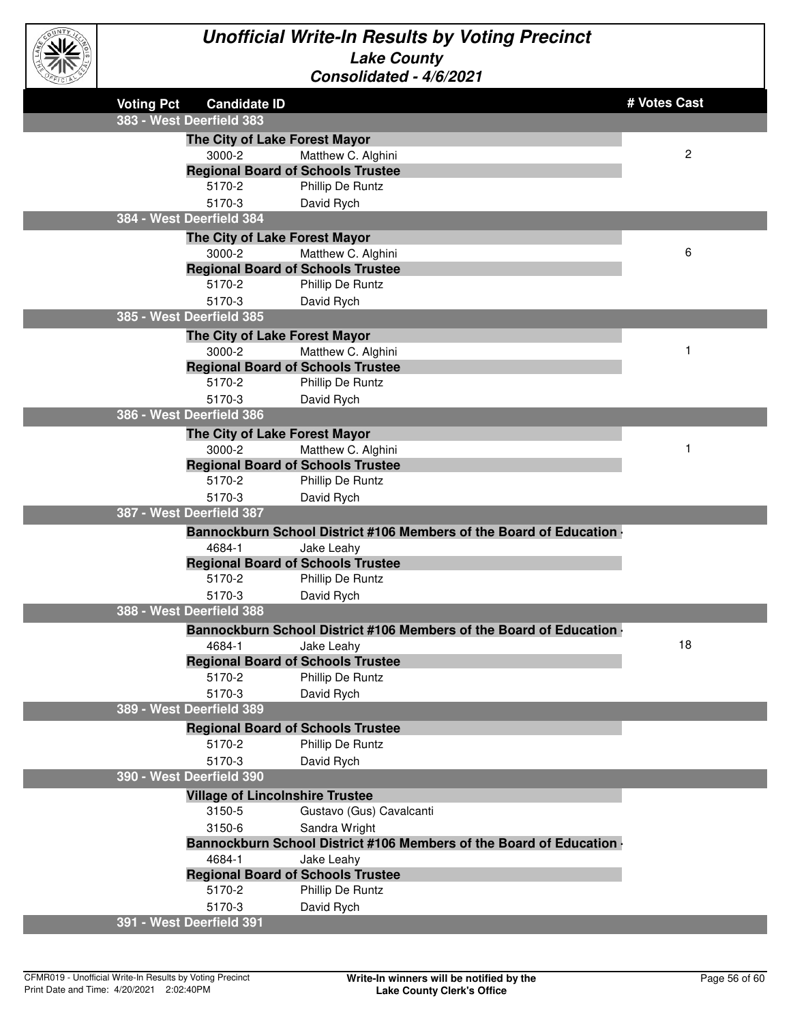

| $\sim$ |                   |                                          |                                                                             |                |
|--------|-------------------|------------------------------------------|-----------------------------------------------------------------------------|----------------|
|        | <b>Voting Pct</b> | <b>Candidate ID</b>                      |                                                                             | # Votes Cast   |
|        |                   | 383 - West Deerfield 383                 |                                                                             |                |
|        |                   | The City of Lake Forest Mayor            |                                                                             |                |
|        |                   | 3000-2                                   | Matthew C. Alghini                                                          | $\overline{c}$ |
|        |                   | <b>Regional Board of Schools Trustee</b> |                                                                             |                |
|        |                   | 5170-2                                   | Phillip De Runtz                                                            |                |
|        |                   | 5170-3                                   | David Rych                                                                  |                |
|        |                   | 384 - West Deerfield 384                 |                                                                             |                |
|        |                   | The City of Lake Forest Mayor            |                                                                             |                |
|        |                   | 3000-2                                   | Matthew C. Alghini                                                          | 6              |
|        |                   | <b>Regional Board of Schools Trustee</b> |                                                                             |                |
|        |                   | 5170-2                                   | Phillip De Runtz                                                            |                |
|        |                   | 5170-3                                   | David Rych                                                                  |                |
|        |                   | 385 - West Deerfield 385                 |                                                                             |                |
|        |                   | The City of Lake Forest Mayor            |                                                                             |                |
|        |                   | 3000-2                                   | Matthew C. Alghini                                                          | 1              |
|        |                   | <b>Regional Board of Schools Trustee</b> |                                                                             |                |
|        |                   | 5170-2                                   | Phillip De Runtz                                                            |                |
|        |                   | 5170-3                                   | David Rych                                                                  |                |
|        |                   | 386 - West Deerfield 386                 |                                                                             |                |
|        |                   | The City of Lake Forest Mayor            |                                                                             |                |
|        |                   | 3000-2                                   | Matthew C. Alghini                                                          |                |
|        |                   | <b>Regional Board of Schools Trustee</b> |                                                                             |                |
|        |                   | 5170-2                                   | Phillip De Runtz                                                            |                |
|        |                   | 5170-3                                   | David Rych                                                                  |                |
|        |                   | 387 - West Deerfield 387                 |                                                                             |                |
|        |                   |                                          |                                                                             |                |
|        |                   |                                          | Bannockburn School District #106 Members of the Board of Education .        |                |
|        |                   | 4684-1                                   | Jake Leahy                                                                  |                |
|        |                   | <b>Regional Board of Schools Trustee</b> |                                                                             |                |
|        |                   | 5170-2                                   | Phillip De Runtz                                                            |                |
|        |                   | 5170-3                                   | David Rych                                                                  |                |
|        |                   | 388 - West Deerfield 388                 |                                                                             |                |
|        |                   |                                          | <b>Bannockburn School District #106 Members of the Board of Education .</b> |                |
|        |                   | 4684-1                                   | Jake Leahy                                                                  | 18             |
|        |                   | <b>Regional Board of Schools Trustee</b> |                                                                             |                |
|        |                   | 5170-2                                   | Phillip De Runtz                                                            |                |
|        |                   | 5170-3                                   | David Rych                                                                  |                |
|        |                   | 389 - West Deerfield 389                 |                                                                             |                |
|        |                   | <b>Regional Board of Schools Trustee</b> |                                                                             |                |
|        |                   | 5170-2                                   | Phillip De Runtz                                                            |                |
|        |                   | 5170-3                                   | David Rych                                                                  |                |
|        |                   | 390 - West Deerfield 390                 |                                                                             |                |
|        |                   | <b>Village of Lincolnshire Trustee</b>   |                                                                             |                |
|        |                   | 3150-5                                   | Gustavo (Gus) Cavalcanti                                                    |                |
|        |                   | 3150-6                                   | Sandra Wright                                                               |                |
|        |                   |                                          | Bannockburn School District #106 Members of the Board of Education .        |                |
|        |                   | 4684-1                                   | Jake Leahy                                                                  |                |
|        |                   | <b>Regional Board of Schools Trustee</b> |                                                                             |                |
|        |                   | 5170-2                                   | Phillip De Runtz                                                            |                |
|        |                   | 5170-3                                   | David Rych                                                                  |                |
|        |                   | 391 - West Deerfield 391                 |                                                                             |                |
|        |                   |                                          |                                                                             |                |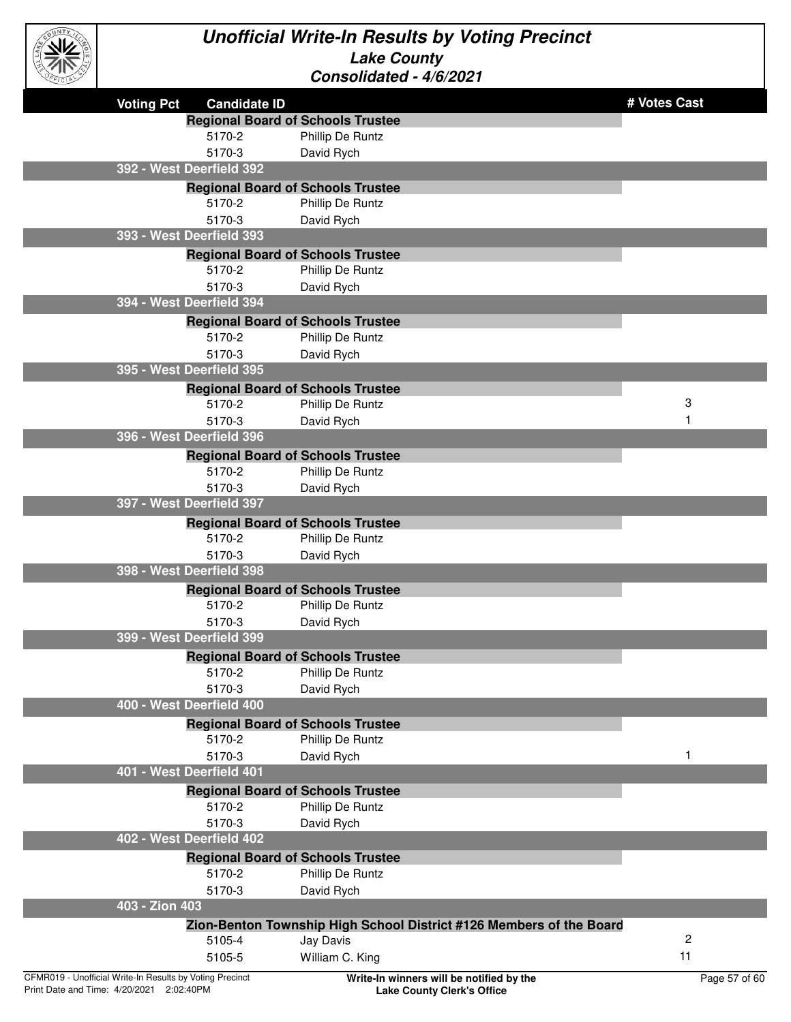

| رساس                                                     |                                                                     |                         |
|----------------------------------------------------------|---------------------------------------------------------------------|-------------------------|
| <b>Voting Pct</b><br><b>Candidate ID</b>                 |                                                                     | # Votes Cast            |
|                                                          | <b>Regional Board of Schools Trustee</b>                            |                         |
| 5170-2                                                   | Phillip De Runtz                                                    |                         |
| 5170-3                                                   | David Rych                                                          |                         |
| 392 - West Deerfield 392                                 |                                                                     |                         |
|                                                          | <b>Regional Board of Schools Trustee</b>                            |                         |
| 5170-2                                                   | Phillip De Runtz                                                    |                         |
| 5170-3                                                   | David Rych                                                          |                         |
| 393 - West Deerfield 393                                 |                                                                     |                         |
|                                                          | <b>Regional Board of Schools Trustee</b>                            |                         |
| 5170-2                                                   | Phillip De Runtz                                                    |                         |
| 5170-3                                                   | David Rych                                                          |                         |
| 394 - West Deerfield 394                                 |                                                                     |                         |
|                                                          | <b>Regional Board of Schools Trustee</b>                            |                         |
| 5170-2                                                   | Phillip De Runtz                                                    |                         |
| 5170-3                                                   | David Rych                                                          |                         |
| 395 - West Deerfield 395                                 |                                                                     |                         |
|                                                          | <b>Regional Board of Schools Trustee</b>                            |                         |
| 5170-2                                                   | Phillip De Runtz                                                    | 3                       |
| 5170-3                                                   | David Rych                                                          |                         |
| 396 - West Deerfield 396                                 |                                                                     |                         |
|                                                          | <b>Regional Board of Schools Trustee</b>                            |                         |
| 5170-2                                                   | Phillip De Runtz                                                    |                         |
| 5170-3                                                   | David Rych                                                          |                         |
| 397 - West Deerfield 397                                 |                                                                     |                         |
|                                                          | <b>Regional Board of Schools Trustee</b>                            |                         |
| 5170-2                                                   | Phillip De Runtz                                                    |                         |
| 5170-3                                                   | David Rych                                                          |                         |
| 398 - West Deerfield 398                                 |                                                                     |                         |
|                                                          | <b>Regional Board of Schools Trustee</b>                            |                         |
| 5170-2                                                   | Phillip De Runtz                                                    |                         |
| 5170-3                                                   | David Rych                                                          |                         |
| 399 - West Deerfield 399                                 |                                                                     |                         |
|                                                          | <b>Regional Board of Schools Trustee</b>                            |                         |
| 5170-2                                                   | Phillip De Runtz                                                    |                         |
| 5170-3                                                   | David Rych                                                          |                         |
| 400 - West Deerfield 400                                 |                                                                     |                         |
|                                                          | <b>Regional Board of Schools Trustee</b>                            |                         |
| 5170-2                                                   | Phillip De Runtz                                                    |                         |
| 5170-3                                                   | David Rych                                                          | 1                       |
| 401 - West Deerfield 401                                 |                                                                     |                         |
|                                                          | <b>Regional Board of Schools Trustee</b>                            |                         |
| 5170-2                                                   | Phillip De Runtz                                                    |                         |
| 5170-3                                                   | David Rych                                                          |                         |
| 402 - West Deerfield 402                                 |                                                                     |                         |
|                                                          | <b>Regional Board of Schools Trustee</b>                            |                         |
| 5170-2                                                   | Phillip De Runtz                                                    |                         |
| 5170-3                                                   | David Rych                                                          |                         |
| 403 - Zion 403                                           |                                                                     |                         |
|                                                          | Zion-Benton Township High School District #126 Members of the Board |                         |
| 5105-4                                                   | Jay Davis                                                           | $\overline{\mathbf{c}}$ |
| 5105-5                                                   | William C. King                                                     | 11                      |
| CFMR019 - Unofficial Write-In Results by Voting Precinct | Write-In winners will be notified by the                            | Page 57 of 60           |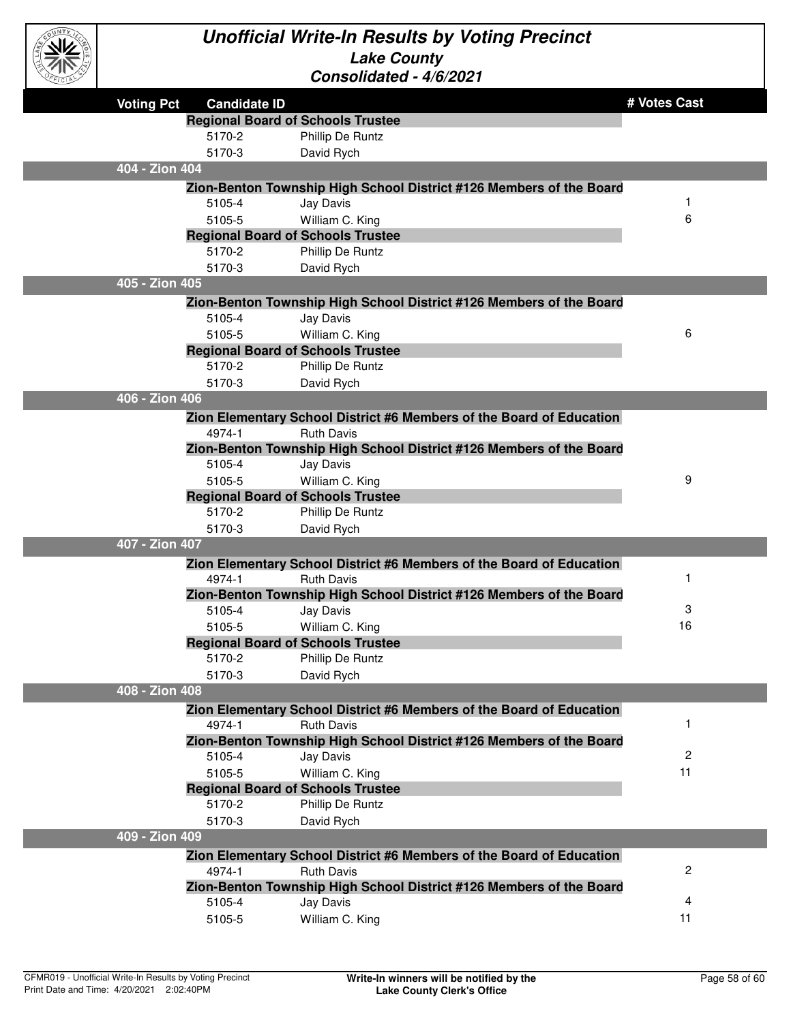

| CFICIAL |                   |                     | <u> CONSON</u> QUEQ - 4/0/2021                                                           |              |
|---------|-------------------|---------------------|------------------------------------------------------------------------------------------|--------------|
|         | <b>Voting Pct</b> | <b>Candidate ID</b> |                                                                                          | # Votes Cast |
|         |                   |                     | <b>Regional Board of Schools Trustee</b>                                                 |              |
|         |                   | 5170-2              | Phillip De Runtz                                                                         |              |
|         |                   | 5170-3              | David Rych                                                                               |              |
|         | 404 - Zion 404    |                     |                                                                                          |              |
|         |                   |                     | Zion-Benton Township High School District #126 Members of the Board                      |              |
|         |                   | 5105-4              | Jay Davis                                                                                |              |
|         |                   | 5105-5              | William C. King                                                                          | 6            |
|         |                   |                     | <b>Regional Board of Schools Trustee</b>                                                 |              |
|         |                   | 5170-2              | Phillip De Runtz                                                                         |              |
|         |                   | 5170-3              | David Rych                                                                               |              |
|         | 405 - Zion 405    |                     |                                                                                          |              |
|         |                   |                     | Zion-Benton Township High School District #126 Members of the Board                      |              |
|         |                   | 5105-4              | Jay Davis                                                                                |              |
|         |                   | 5105-5              | William C. King                                                                          | 6            |
|         |                   |                     | <b>Regional Board of Schools Trustee</b>                                                 |              |
|         |                   | 5170-2              | Phillip De Runtz                                                                         |              |
|         |                   | 5170-3              | David Rych                                                                               |              |
|         | 406 - Zion 406    |                     |                                                                                          |              |
|         |                   |                     | Zion Elementary School District #6 Members of the Board of Education                     |              |
|         |                   | 4974-1              | <b>Ruth Davis</b>                                                                        |              |
|         |                   |                     | Zion-Benton Township High School District #126 Members of the Board                      |              |
|         |                   | 5105-4              | Jay Davis                                                                                |              |
|         |                   | 5105-5              | William C. King                                                                          | 9            |
|         |                   |                     | <b>Regional Board of Schools Trustee</b>                                                 |              |
|         |                   | 5170-2              | Phillip De Runtz                                                                         |              |
|         |                   | 5170-3              | David Rych                                                                               |              |
|         | 407 - Zion 407    |                     |                                                                                          |              |
|         |                   |                     | Zion Elementary School District #6 Members of the Board of Education                     | 1            |
|         |                   | 4974-1              | <b>Ruth Davis</b><br>Zion-Benton Township High School District #126 Members of the Board |              |
|         |                   | 5105-4              | Jay Davis                                                                                | 3            |
|         |                   | 5105-5              | William C. King                                                                          | 16           |
|         |                   |                     | <b>Regional Board of Schools Trustee</b>                                                 |              |
|         |                   | 5170-2              | Phillip De Runtz                                                                         |              |
|         |                   | 5170-3              | David Rych                                                                               |              |
|         | 408 - Zion 408    |                     |                                                                                          |              |
|         |                   |                     | Zion Elementary School District #6 Members of the Board of Education                     |              |
|         |                   | 4974-1              | <b>Ruth Davis</b>                                                                        | 1            |
|         |                   |                     | Zion-Benton Township High School District #126 Members of the Board                      |              |
|         |                   | 5105-4              | Jay Davis                                                                                | 2            |
|         |                   | 5105-5              | William C. King                                                                          | 11           |
|         |                   |                     | <b>Regional Board of Schools Trustee</b>                                                 |              |
|         |                   | 5170-2              | Phillip De Runtz                                                                         |              |
|         |                   | 5170-3              | David Rych                                                                               |              |
|         | 409 - Zion 409    |                     |                                                                                          |              |
|         |                   |                     | Zion Elementary School District #6 Members of the Board of Education                     |              |
|         |                   | 4974-1              | <b>Ruth Davis</b>                                                                        | 2            |
|         |                   |                     | Zion-Benton Township High School District #126 Members of the Board                      |              |
|         |                   | 5105-4              | Jay Davis                                                                                | 4            |
|         |                   | 5105-5              | William C. King                                                                          | 11           |
|         |                   |                     |                                                                                          |              |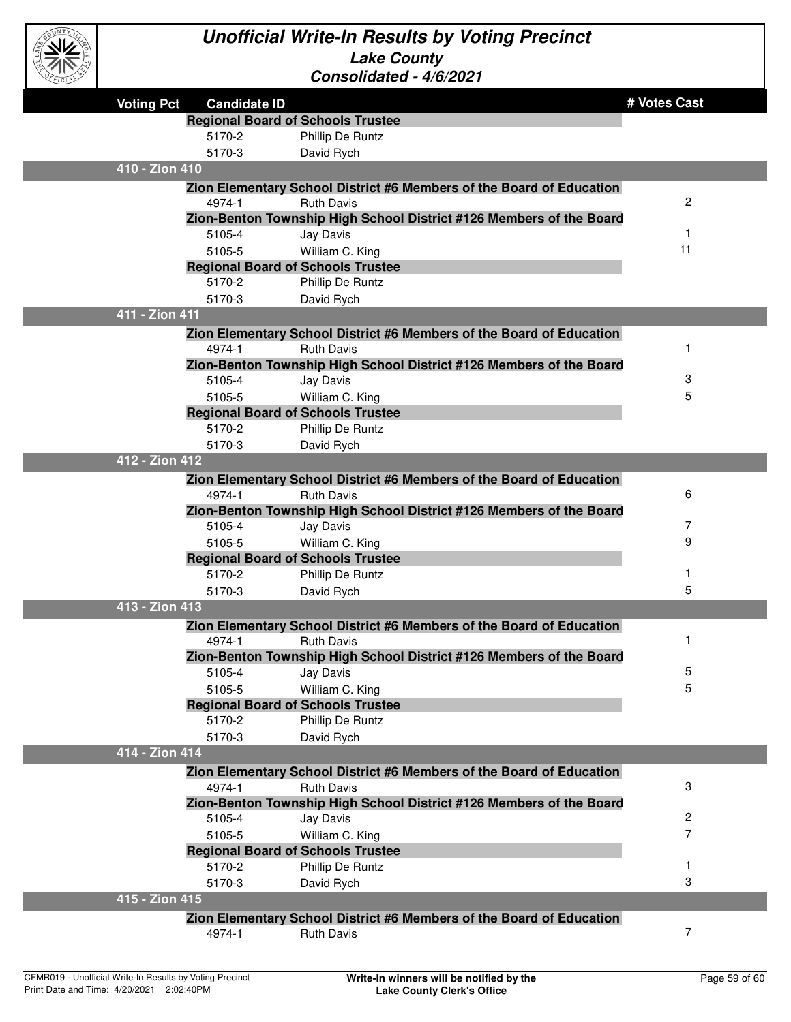

| .                 |                                          |                                                                                  |              |
|-------------------|------------------------------------------|----------------------------------------------------------------------------------|--------------|
| <b>Voting Pct</b> | <b>Candidate ID</b>                      |                                                                                  | # Votes Cast |
|                   | <b>Regional Board of Schools Trustee</b> |                                                                                  |              |
|                   | 5170-2                                   | Phillip De Runtz                                                                 |              |
|                   | 5170-3                                   | David Rych                                                                       |              |
| 410 - Zion 410    |                                          |                                                                                  |              |
|                   |                                          | Zion Elementary School District #6 Members of the Board of Education             |              |
|                   | 4974-1                                   | <b>Ruth Davis</b>                                                                | 2            |
|                   |                                          | Zion-Benton Township High School District #126 Members of the Board              |              |
|                   | 5105-4                                   | Jay Davis                                                                        | 1            |
|                   | 5105-5                                   | William C. King                                                                  | 11           |
|                   | <b>Regional Board of Schools Trustee</b> |                                                                                  |              |
|                   | 5170-2                                   | Phillip De Runtz                                                                 |              |
|                   | 5170-3                                   | David Rych                                                                       |              |
| 411 - Zion 411    |                                          |                                                                                  |              |
|                   |                                          | Zion Elementary School District #6 Members of the Board of Education             |              |
|                   | 4974-1                                   | <b>Ruth Davis</b>                                                                | 1            |
|                   |                                          | Zion-Benton Township High School District #126 Members of the Board              |              |
|                   | 5105-4                                   | Jay Davis                                                                        | 3            |
|                   | 5105-5                                   | William C. King                                                                  | 5            |
|                   | <b>Regional Board of Schools Trustee</b> |                                                                                  |              |
|                   | 5170-2                                   | Phillip De Runtz                                                                 |              |
| 412 - Zion 412    | 5170-3                                   | David Rych                                                                       |              |
|                   |                                          |                                                                                  |              |
|                   |                                          | Zion Elementary School District #6 Members of the Board of Education             | 6            |
|                   | 4974-1                                   | <b>Ruth Davis</b>                                                                |              |
|                   | 5105-4                                   | Zion-Benton Township High School District #126 Members of the Board<br>Jay Davis | 7            |
|                   | 5105-5                                   | William C. King                                                                  | 9            |
|                   | <b>Regional Board of Schools Trustee</b> |                                                                                  |              |
|                   | 5170-2                                   | Phillip De Runtz                                                                 | 1            |
|                   | 5170-3                                   | David Rych                                                                       | 5            |
| 413 - Zion 413    |                                          |                                                                                  |              |
|                   |                                          | Zion Elementary School District #6 Members of the Board of Education             |              |
|                   | 4974-1                                   | <b>Ruth Davis</b>                                                                | $\mathbf 1$  |
|                   |                                          | Zion-Benton Township High School District #126 Members of the Board              |              |
|                   | 5105-4                                   | Jay Davis                                                                        | 5            |
|                   | 5105-5                                   | William C. King                                                                  | 5            |
|                   | <b>Regional Board of Schools Trustee</b> |                                                                                  |              |
|                   | 5170-2                                   | Phillip De Runtz                                                                 |              |
|                   | 5170-3                                   | David Rych                                                                       |              |
| 414 - Zion 414    |                                          |                                                                                  |              |
|                   |                                          | Zion Elementary School District #6 Members of the Board of Education             |              |
|                   | 4974-1                                   | <b>Ruth Davis</b>                                                                | 3            |
|                   |                                          | Zion-Benton Township High School District #126 Members of the Board              |              |
|                   | 5105-4                                   | Jay Davis                                                                        | 2            |
|                   | 5105-5                                   | William C. King                                                                  | 7            |
|                   | <b>Regional Board of Schools Trustee</b> |                                                                                  |              |
|                   | 5170-2                                   | Phillip De Runtz                                                                 |              |
|                   | 5170-3                                   | David Rych                                                                       | 3            |
| 415 - Zion 415    |                                          |                                                                                  |              |
|                   |                                          | Zion Elementary School District #6 Members of the Board of Education             |              |
|                   | 4974-1                                   | <b>Ruth Davis</b>                                                                | 7            |
|                   |                                          |                                                                                  |              |